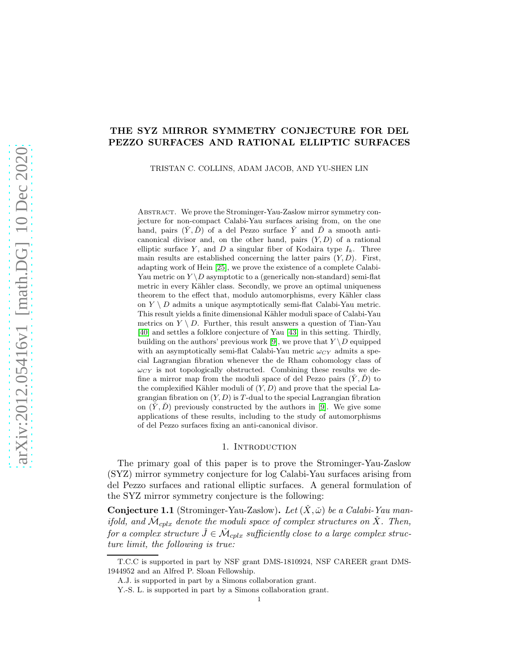# THE SYZ MIRROR SYMMETRY CONJECTURE FOR DEL PEZZO SURFACES AND RATIONAL ELLIPTIC SURFACES

TRISTAN C. COLLINS, ADAM JACOB, AND YU-SHEN LIN

Abstract. We prove the Strominger-Yau-Zaslow mirror symmetry conjecture for non-compact Calabi-Yau surfaces arising from, on the one hand, pairs  $(\check{Y}, \check{D})$  of a del Pezzo surface  $\check{Y}$  and  $\check{D}$  a smooth anticanonical divisor and, on the other hand, pairs  $(Y, D)$  of a rational elliptic surface Y, and D a singular fiber of Kodaira type  $I_k$ . Three main results are established concerning the latter pairs  $(Y, D)$ . First, adapting work of Hein [\[25\]](#page-75-0), we prove the existence of a complete Calabi-Yau metric on  $Y \ D$  asymptotic to a (generically non-standard) semi-flat metric in every Kähler class. Secondly, we prove an optimal uniqueness theorem to the effect that, modulo automorphisms, every Kähler class on  $Y \setminus D$  admits a unique asymptotically semi-flat Calabi-Yau metric. This result yields a finite dimensional Kähler moduli space of Calabi-Yau metrics on  $Y \setminus D$ . Further, this result answers a question of Tian-Yau [\[40\]](#page-75-1) and settles a folklore conjecture of Yau [\[43\]](#page-75-2) in this setting. Thirdly, building on the authors' previous work [\[9\]](#page-74-0), we prove that  $Y \ D$  equipped with an asymptotically semi-flat Calabi-Yau metric  $\omega_{CY}$  admits a special Lagrangian fibration whenever the de Rham cohomology class of  $\omega_{CY}$  is not topologically obstructed. Combining these results we define a mirror map from the moduli space of del Pezzo pairs  $(\check{Y}, \check{D})$  to the complexified Kähler moduli of  $(Y, D)$  and prove that the special Lagrangian fibration on  $(Y, D)$  is T-dual to the special Lagrangian fibration on  $(\check{Y}, \check{D})$  previously constructed by the authors in [\[9\]](#page-74-0). We give some applications of these results, including to the study of automorphisms of del Pezzo surfaces fixing an anti-canonical divisor.

#### 1. INTRODUCTION

The primary goal of this paper is to prove the Strominger-Yau-Zaslow (SYZ) mirror symmetry conjecture for log Calabi-Yau surfaces arising from del Pezzo surfaces and rational elliptic surfaces. A general formulation of the SYZ mirror symmetry conjecture is the following:

<span id="page-0-0"></span>**Conjecture 1.1** (Strominger-Yau-Zaslow). Let  $(\check{X}, \check{\omega})$  be a Calabi-Yau manifold, and  $\check{\mathcal{M}}_{cplx}$  denote the moduli space of complex structures on  $\check{X}$ . Then, for a complex structure  $\check{J} \in \check{\mathcal{M}}_{cplx}$  sufficiently close to a large complex structure limit, the following is true:

T.C.C is supported in part by NSF grant DMS-1810924, NSF CAREER grant DMS-1944952 and an Alfred P. Sloan Fellowship.

A.J. is supported in part by a Simons collaboration grant.

Y.-S. L. is supported in part by a Simons collaboration grant.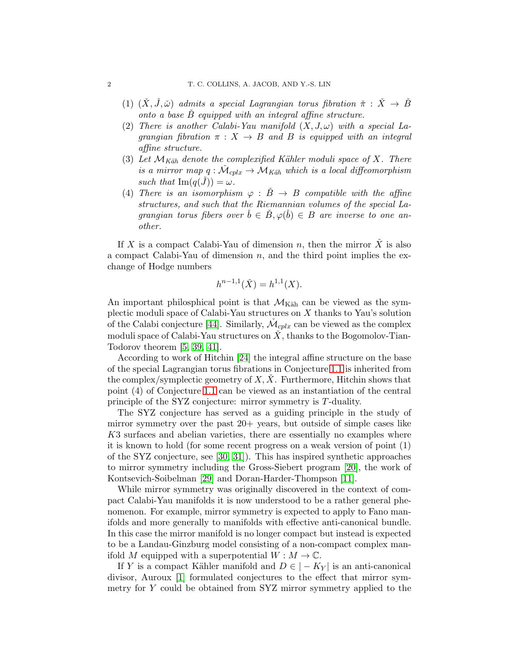- (1)  $(\check{X}, \check{J}, \check{\omega})$  admits a special Lagrangian torus fibration  $\check{\pi} : \check{X} \to \check{B}$ onto a base  $\ddot{B}$  equipped with an integral affine structure.
- (2) There is another Calabi-Yau manifold  $(X, J, \omega)$  with a special Lagrangian fibration  $\pi : X \to B$  and B is equipped with an integral affine structure.
- (3) Let  $\mathcal{M}_{K\ddot{a}h}$  denote the complexified Kähler moduli space of X. There is a mirror map  $q : \mathcal{M}_{cplx} \to \mathcal{M}_{Käh}$  which is a local diffeomorphism such that  $\text{Im}(q(\check{J})) = \omega$ .
- (4) There is an isomorphism  $\varphi : \check{B} \to B$  compatible with the affine structures, and such that the Riemannian volumes of the special Lagrangian torus fibers over  $\check{b} \in \check{B}$ ,  $\varphi(\check{b}) \in B$  are inverse to one another.

If X is a compact Calabi-Yau of dimension n, then the mirror  $\tilde{X}$  is also a compact Calabi-Yau of dimension  $n$ , and the third point implies the exchange of Hodge numbers

$$
h^{n-1,1}(\check{X}) = h^{1,1}(X).
$$

An important philosphical point is that  $\mathcal{M}_{\text{Käh}}$  can be viewed as the symplectic moduli space of Calabi-Yau structures on X thanks to Yau's solution of the Calabi conjecture [\[44\]](#page-75-3). Similarly,  $\check{\mathcal{M}}_{cplx}$  can be viewed as the complex moduli space of Calabi-Yau structures on  $\dot{X}$ , thanks to the Bogomolov-Tian-Todorov theorem [\[5,](#page-74-1) [39,](#page-75-4) [41\]](#page-75-5).

According to work of Hitchin [\[24\]](#page-75-6) the integral affine structure on the base of the special Lagrangian torus fibrations in Conjecture [1.1](#page-0-0) is inherited from the complex/symplectic geometry of  $X, X$ . Furthermore, Hitchin shows that point (4) of Conjecture [1.1](#page-0-0) can be viewed as an instantiation of the central principle of the SYZ conjecture: mirror symmetry is T-duality.

The SYZ conjecture has served as a guiding principle in the study of mirror symmetry over the past 20+ years, but outside of simple cases like K3 surfaces and abelian varieties, there are essentially no examples where it is known to hold (for some recent progress on a weak version of point (1) of the SYZ conjecture, see [\[30,](#page-75-7) [31\]](#page-75-8)). This has inspired synthetic approaches to mirror symmetry including the Gross-Siebert program [\[20\]](#page-74-2), the work of Kontsevich-Soibelman [\[29\]](#page-75-9) and Doran-Harder-Thompson [\[11\]](#page-74-3).

While mirror symmetry was originally discovered in the context of compact Calabi-Yau manifolds it is now understood to be a rather general phenomenon. For example, mirror symmetry is expected to apply to Fano manifolds and more generally to manifolds with effective anti-canonical bundle. In this case the mirror manifold is no longer compact but instead is expected to be a Landau-Ginzburg model consisting of a non-compact complex manifold M equipped with a superpotential  $W : M \to \mathbb{C}$ .

If Y is a compact Kähler manifold and  $D \in |-K_Y|$  is an anti-canonical divisor, Auroux [\[1\]](#page-74-4) formulated conjectures to the effect that mirror symmetry for Y could be obtained from SYZ mirror symmetry applied to the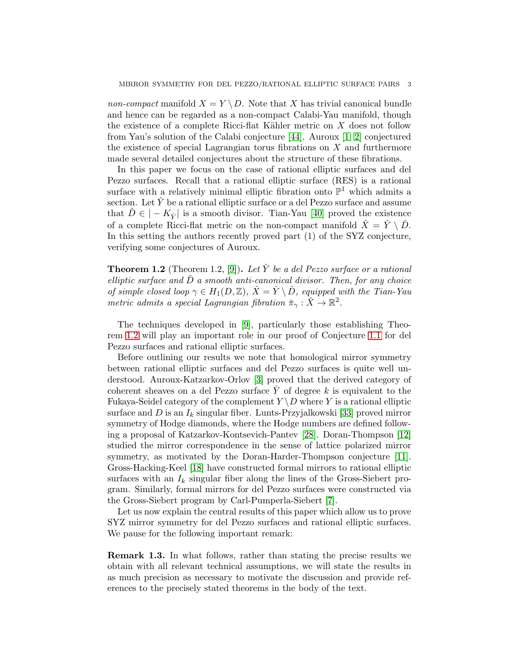non-compact manifold  $X = Y \ D$ . Note that X has trivial canonical bundle and hence can be regarded as a non-compact Calabi-Yau manifold, though the existence of a complete Ricci-flat Kähler metric on  $X$  does not follow from Yau's solution of the Calabi conjecture [\[44\]](#page-75-3). Auroux [\[1,](#page-74-4) [2\]](#page-74-5) conjectured the existence of special Lagrangian torus fibrations on  $X$  and furthermore made several detailed conjectures about the structure of these fibrations.

In this paper we focus on the case of rational elliptic surfaces and del Pezzo surfaces. Recall that a rational elliptic surface (RES) is a rational surface with a relatively minimal elliptic fibration onto  $\mathbb{P}^1$  which admits a section. Let  $\check{Y}$  be a rational elliptic surface or a del Pezzo surface and assume that  $\hat{D} \in |-K_{\check{Y}}|$  is a smooth divisor. Tian-Yau [\[40\]](#page-75-1) proved the existence of a complete Ricci-flat metric on the non-compact manifold  $\check{X} = \check{Y} \setminus \check{D}$ . In this setting the authors recently proved part (1) of the SYZ conjecture, verifying some conjectures of Auroux.

<span id="page-2-0"></span>**Theorem 1.2** (Theorem 1.2, [\[9\]](#page-74-0)). Let Y be a del Pezzo surface or a rational elliptic surface and  $\check{D}$  a smooth anti-canonical divisor. Then, for any choice of simple closed loop  $\gamma \in H_1(D, \mathbb{Z})$ ,  $\dot{X} = \dot{Y} \setminus \dot{D}$ , equipped with the Tian-Yau metric admits a special Lagrangian fibration  $\check{\pi}_{\gamma} : \check{X} \to \mathbb{R}^2$ .

The techniques developed in [\[9\]](#page-74-0), particularly those establishing Theorem [1.2](#page-2-0) will play an important role in our proof of Conjecture [1.1](#page-0-0) for del Pezzo surfaces and rational elliptic surfaces.

Before outlining our results we note that homological mirror symmetry between rational elliptic surfaces and del Pezzo surfaces is quite well understood. Auroux-Katzarkov-Orlov [\[3\]](#page-74-6) proved that the derived category of coherent sheaves on a del Pezzo surface  $\check{Y}$  of degree k is equivalent to the Fukaya-Seidel category of the complement  $Y \ D$  where Y is a rational elliptic surface and D is an  $I_k$  singular fiber. Lunts-Przyjalkowski [\[33\]](#page-75-10) proved mirror symmetry of Hodge diamonds, where the Hodge numbers are defined following a proposal of Katzarkov-Kontsevich-Pantev [\[28\]](#page-75-11). Doran-Thompson [\[12\]](#page-74-7) studied the mirror correspondence in the sense of lattice polarized mirror symmetry, as motivated by the Doran-Harder-Thompson conjecture [\[11\]](#page-74-3). Gross-Hacking-Keel [\[18\]](#page-74-8) have constructed formal mirrors to rational elliptic surfaces with an  $I_k$  singular fiber along the lines of the Gross-Siebert program. Similarly, formal mirrors for del Pezzo surfaces were constructed via the Gross-Siebert program by Carl-Pumperla-Siebert [\[7\]](#page-74-9).

Let us now explain the central results of this paper which allow us to prove SYZ mirror symmetry for del Pezzo surfaces and rational elliptic surfaces. We pause for the following important remark:

Remark 1.3. In what follows, rather than stating the precise results we obtain with all relevant technical assumptions, we will state the results in as much precision as necessary to motivate the discussion and provide references to the precisely stated theorems in the body of the text.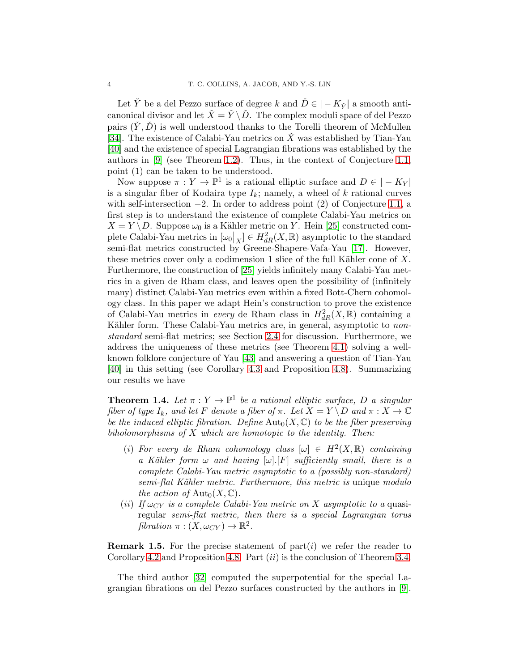Let Y<sup> $\dot{Y}$ </sup> be a del Pezzo surface of degree k and  $\check{D} \in |-K_{\check{Y}}|$  a smooth anticanonical divisor and let  $\check{X} = \check{Y} \setminus \check{D}$ . The complex moduli space of del Pezzo pairs  $(Y, D)$  is well understood thanks to the Torelli theorem of McMullen [\[34\]](#page-75-12). The existence of Calabi-Yau metrics on  $\check{X}$  was established by Tian-Yau [\[40\]](#page-75-1) and the existence of special Lagrangian fibrations was established by the authors in [\[9\]](#page-74-0) (see Theorem [1.2\)](#page-2-0). Thus, in the context of Conjecture [1.1,](#page-0-0) point (1) can be taken to be understood.

Now suppose  $\pi : Y \to \mathbb{P}^1$  is a rational elliptic surface and  $D \in |-K_Y|$ is a singular fiber of Kodaira type  $I_k$ ; namely, a wheel of k rational curves with self-intersection  $-2$ . In order to address point (2) of Conjecture [1.1,](#page-0-0) a first step is to understand the existence of complete Calabi-Yau metrics on  $X = Y \backslash D$ . Suppose  $\omega_0$  is a Kähler metric on Y. Hein [\[25\]](#page-75-0) constructed complete Calabi-Yau metrics in  $[\omega_0|_X] \in H^2_{dR}(X,\mathbb{R})$  asymptotic to the standard semi-flat metrics constructed by Greene-Shapere-Vafa-Yau [\[17\]](#page-74-10). However, these metrics cover only a codimension 1 slice of the full Kähler cone of  $X$ . Furthermore, the construction of [\[25\]](#page-75-0) yields infinitely many Calabi-Yau metrics in a given de Rham class, and leaves open the possibility of (infinitely many) distinct Calabi-Yau metrics even within a fixed Bott-Chern cohomology class. In this paper we adapt Hein's construction to prove the existence of Calabi-Yau metrics in *every* de Rham class in  $H^2_{dR}(X,\mathbb{R})$  containing a Kähler form. These Calabi-Yau metrics are, in general, asymptotic to nonstandard semi-flat metrics; see Section [2.4](#page-11-0) for discussion. Furthermore, we address the uniqueness of these metrics (see Theorem [4.1\)](#page-35-0) solving a wellknown folklore conjecture of Yau [\[43\]](#page-75-2) and answering a question of Tian-Yau [\[40\]](#page-75-1) in this setting (see Corollary [4.3](#page-36-0) and Proposition [4.8\)](#page-48-0). Summarizing our results we have

<span id="page-3-0"></span>**Theorem 1.4.** Let  $\pi: Y \to \mathbb{P}^1$  be a rational elliptic surface, D a singular fiber of type  $I_k$ , and let F denote a fiber of  $\pi$ . Let  $X = Y \setminus D$  and  $\pi : X \to \mathbb{C}$ be the induced elliptic fibration. Define  $\text{Aut}_0(X, \mathbb{C})$  to be the fiber preserving biholomorphisms of  $X$  which are homotopic to the identity. Then:

- (i) For every de Rham cohomology class  $[\omega] \in H^2(X, \mathbb{R})$  containing a Kähler form  $\omega$  and having  $[\omega][F]$  sufficiently small, there is a complete Calabi-Yau metric asymptotic to a (possibly non-standard) semi-flat Kähler metric. Furthermore, this metric is unique modulo the action of  $\text{Aut}_0(X,\mathbb{C})$ .
- (ii) If  $\omega_{CY}$  is a complete Calabi-Yau metric on X asymptotic to a quasiregular semi-flat metric, then there is a special Lagrangian torus fibration  $\pi : (X, \omega_{CY}) \to \mathbb{R}^2$ .

**Remark 1.5.** For the precise statement of part $(i)$  we refer the reader to Corollary [4.2](#page-35-1) and Proposition [4.8.](#page-48-0) Part  $(ii)$  is the conclusion of Theorem [3.4.](#page-33-0)

The third author [\[32\]](#page-75-13) computed the superpotential for the special Lagrangian fibrations on del Pezzo surfaces constructed by the authors in [\[9\]](#page-74-0).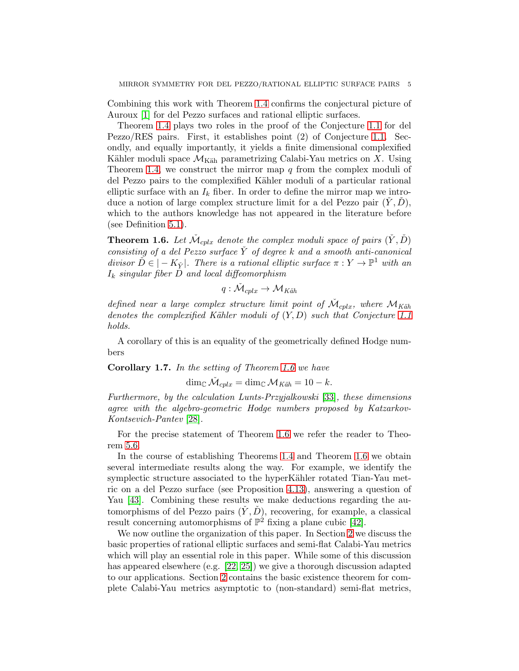Combining this work with Theorem [1.4](#page-3-0) confirms the conjectural picture of Auroux [\[1\]](#page-74-4) for del Pezzo surfaces and rational elliptic surfaces.

Theorem [1.4](#page-3-0) plays two roles in the proof of the Conjecture [1.1](#page-0-0) for del Pezzo/RES pairs. First, it establishes point (2) of Conjecture [1.1.](#page-0-0) Secondly, and equally importantly, it yields a finite dimensional complexified Kähler moduli space  $\mathcal{M}_{\text{Käh}}$  parametrizing Calabi-Yau metrics on X. Using Theorem [1.4,](#page-3-0) we construct the mirror map  $q$  from the complex moduli of del Pezzo pairs to the complexified Kähler moduli of a particular rational elliptic surface with an  $I_k$  fiber. In order to define the mirror map we introduce a notion of large complex structure limit for a del Pezzo pair  $(Y, D)$ , which to the authors knowledge has not appeared in the literature before (see Definition [5.1\)](#page-51-0).

<span id="page-4-0"></span>**Theorem 1.6.** Let  $\check{\mathcal{M}}_{cplx}$  denote the complex moduli space of pairs  $(\check{Y}, \check{D})$ consisting of a del Pezzo surface  $\check{Y}$  of degree k and a smooth anti-canonical divisor  $\tilde{D} \in |-K_{\tilde{Y}}|$ . There is a rational elliptic surface  $\pi : Y \to \mathbb{P}^1$  with an  $I_k$  singular fiber  $D$  and local diffeomorphism

$$
q: \check{\mathcal{M}}_{cplx} \to \mathcal{M}_{K\ddot{a}h}
$$

defined near a large complex structure limit point of  $\check{\mathcal{M}}_{cplx}$ , where  $\mathcal{M}_{Käh}$ denotes the complexified Kähler moduli of  $(Y, D)$  such that Conjecture [1.1](#page-0-0) holds.

A corollary of this is an equality of the geometrically defined Hodge numbers

Corollary 1.7. In the setting of Theorem [1.6](#page-4-0) we have

$$
\dim_{\mathbb{C}} \tilde{\mathcal{M}}_{cplx} = \dim_{\mathbb{C}} \mathcal{M}_{K\ddot{a}h} = 10 - k.
$$

Furthermore, by the calculation Lunts-Przyjalkowski [\[33\]](#page-75-10), these dimensions agree with the algebro-geometric Hodge numbers proposed by Katzarkov-Kontsevich-Pantev [\[28\]](#page-75-11).

For the precise statement of Theorem [1.6](#page-4-0) we refer the reader to Theorem [5.6.](#page-55-0)

In the course of establishing Theorems [1.4](#page-3-0) and Theorem [1.6](#page-4-0) we obtain several intermediate results along the way. For example, we identify the symplectic structure associated to the hyperKähler rotated Tian-Yau metric on a del Pezzo surface (see Proposition [4.13\)](#page-50-0), answering a question of Yau [\[43\]](#page-75-2). Combining these results we make deductions regarding the automorphisms of del Pezzo pairs  $(Y, D)$ , recovering, for example, a classical result concerning automorphisms of  $\mathbb{P}^2$  fixing a plane cubic [\[42\]](#page-75-14).

We now outline the organization of this paper. In Section [2](#page-5-0) we discuss the basic properties of rational elliptic surfaces and semi-flat Calabi-Yau metrics which will play an essential role in this paper. While some of this discussion has appeared elsewhere (e.g. [\[22,](#page-75-15) [25\]](#page-75-0)) we give a thorough discussion adapted to our applications. Section [2](#page-5-0) contains the basic existence theorem for complete Calabi-Yau metrics asymptotic to (non-standard) semi-flat metrics,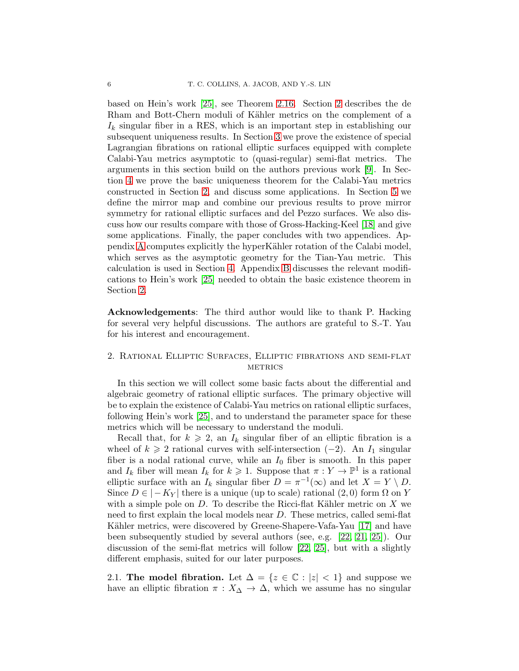based on Hein's work [\[25\]](#page-75-0), see Theorem [2.16.](#page-15-0) Section [2](#page-5-0) describes the de Rham and Bott-Chern moduli of Kähler metrics on the complement of a  $I_k$  singular fiber in a RES, which is an important step in establishing our subsequent uniqueness results. In Section [3](#page-27-0) we prove the existence of special Lagrangian fibrations on rational elliptic surfaces equipped with complete Calabi-Yau metrics asymptotic to (quasi-regular) semi-flat metrics. The arguments in this section build on the authors previous work [\[9\]](#page-74-0). In Section [4](#page-35-2) we prove the basic uniqueness theorem for the Calabi-Yau metrics constructed in Section [2,](#page-5-0) and discuss some applications. In Section [5](#page-50-1) we define the mirror map and combine our previous results to prove mirror symmetry for rational elliptic surfaces and del Pezzo surfaces. We also discuss how our results compare with those of Gross-Hacking-Keel [\[18\]](#page-74-8) and give some applications. Finally, the paper concludes with two appendices. Ap-pendix [A](#page-60-0) computes explicitly the hyperKähler rotation of the Calabi model, which serves as the asymptotic geometry for the Tian-Yau metric. This calculation is used in Section [4.](#page-35-2) Appendix [B](#page-67-0) discusses the relevant modifications to Hein's work [\[25\]](#page-75-0) needed to obtain the basic existence theorem in Section [2.](#page-5-0)

Acknowledgements: The third author would like to thank P. Hacking for several very helpful discussions. The authors are grateful to S.-T. Yau for his interest and encouragement.

## <span id="page-5-0"></span>2. Rational Elliptic Surfaces, Elliptic fibrations and semi-flat **METRICS**

In this section we will collect some basic facts about the differential and algebraic geometry of rational elliptic surfaces. The primary objective will be to explain the existence of Calabi-Yau metrics on rational elliptic surfaces, following Hein's work [\[25\]](#page-75-0), and to understand the parameter space for these metrics which will be necessary to understand the moduli.

Recall that, for  $k \geq 2$ , an  $I_k$  singular fiber of an elliptic fibration is a wheel of  $k \geq 2$  rational curves with self-intersection (−2). An  $I_1$  singular fiber is a nodal rational curve, while an  $I_0$  fiber is smooth. In this paper and  $I_k$  fiber will mean  $I_k$  for  $k \geq 1$ . Suppose that  $\pi : Y \to \mathbb{P}^1$  is a rational elliptic surface with an  $I_k$  singular fiber  $D = \pi^{-1}(\infty)$  and let  $X = Y \setminus D$ . Since  $D \in |-K_Y|$  there is a unique (up to scale) rational  $(2,0)$  form  $\Omega$  on Y with a simple pole on  $D$ . To describe the Ricci-flat Kähler metric on  $X$  we need to first explain the local models near D. These metrics, called semi-flat Kähler metrics, were discovered by Greene-Shapere-Vafa-Yau [\[17\]](#page-74-10) and have been subsequently studied by several authors (see, e.g. [\[22,](#page-75-15) [21,](#page-74-11) [25\]](#page-75-0)). Our discussion of the semi-flat metrics will follow [\[22,](#page-75-15) [25\]](#page-75-0), but with a slightly different emphasis, suited for our later purposes.

2.1. The model fibration. Let  $\Delta = \{z \in \mathbb{C} : |z| < 1\}$  and suppose we have an elliptic fibration  $\pi : X_{\Delta} \to \Delta$ , which we assume has no singular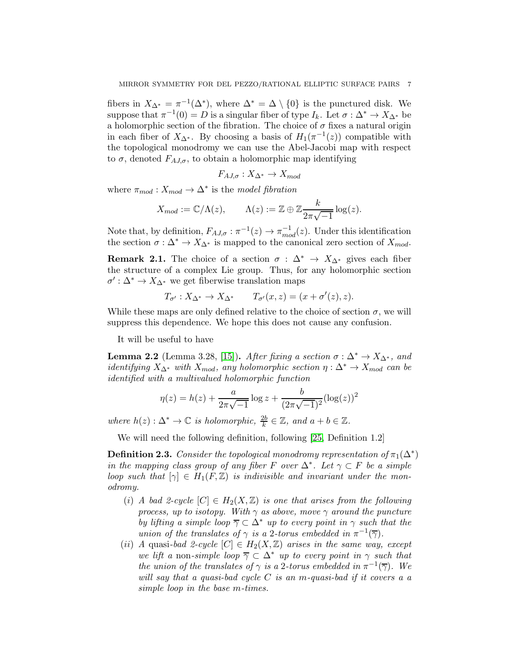fibers in  $X_{\Delta^*} = \pi^{-1}(\Delta^*)$ , where  $\Delta^* = \Delta \setminus \{0\}$  is the punctured disk. We suppose that  $\pi^{-1}(0) = D$  is a singular fiber of type  $I_k$ . Let  $\sigma : \Delta^* \to X_{\Delta^*}$  be a holomorphic section of the fibration. The choice of  $\sigma$  fixes a natural origin in each fiber of  $X_{\Delta^*}$ . By choosing a basis of  $H_1(\pi^{-1}(z))$  compatible with the topological monodromy we can use the Abel-Jacobi map with respect to  $\sigma$ , denoted  $F_{A J, \sigma}$ , to obtain a holomorphic map identifying

$$
F_{AJ,\sigma}: X_{\Delta^*} \to X_{mod}
$$

where  $\pi_{mod}: X_{mod} \to \Delta^*$  is the model fibration

$$
X_{mod} := \mathbb{C}/\Lambda(z), \qquad \Lambda(z) := \mathbb{Z} \oplus \mathbb{Z} \frac{k}{2\pi\sqrt{-1}} \log(z).
$$

Note that, by definition,  $F_{AJ,\sigma}: \pi^{-1}(z) \to \pi_{mod}^{-1}(z)$ . Under this identification the section  $\sigma : \Delta^* \to X_{\Delta^*}$  is mapped to the canonical zero section of  $X_{mod}$ .

**Remark 2.1.** The choice of a section  $\sigma : \Delta^* \to X_{\Delta^*}$  gives each fiber the structure of a complex Lie group. Thus, for any holomorphic section  $\sigma' : \Delta^* \to X_{\Delta^*}$  we get fiberwise translation maps

$$
T_{\sigma'}: X_{\Delta^*} \to X_{\Delta^*} \qquad T_{\sigma'}(x, z) = (x + \sigma'(z), z).
$$

While these maps are only defined relative to the choice of section  $\sigma$ , we will suppress this dependence. We hope this does not cause any confusion.

It will be useful to have

<span id="page-6-0"></span>**Lemma 2.2** (Lemma 3.28, [\[15\]](#page-74-12)). After fixing a section  $\sigma : \Delta^* \to X_{\Delta^*}$ , and *identifying*  $X_{\Delta^*}$  with  $X_{mod}$ , any holomorphic section  $\eta : \Delta^* \to X_{mod}$  can be identified with a multivalued holomorphic function

$$
\eta(z) = h(z) + \frac{a}{2\pi\sqrt{-1}}\log z + \frac{b}{(2\pi\sqrt{-1})^2}(\log(z))^2
$$

where  $h(z): \Delta^* \to \mathbb{C}$  is holomorphic,  $\frac{2b}{k} \in \mathbb{Z}$ , and  $a + b \in \mathbb{Z}$ .

We will need the following definition, following [\[25,](#page-75-0) Definition 1.2]

**Definition 2.3.** Consider the topological monodromy representation of  $\pi_1(\Delta^*)$ in the mapping class group of any fiber F over  $\Delta^*$ . Let  $\gamma \subset F$  be a simple loop such that  $[\gamma] \in H_1(F, \mathbb{Z})$  is indivisible and invariant under the monodromy.

- (i) A bad 2-cycle  $[C] \in H_2(X,\mathbb{Z})$  is one that arises from the following process, up to isotopy. With  $\gamma$  as above, move  $\gamma$  around the puncture by lifting a simple loop  $\overline{\gamma} \subset \Delta^*$  up to every point in  $\gamma$  such that the union of the translates of  $\gamma$  is a 2-torus embedded in  $\pi^{-1}(\overline{\gamma})$ .
- (ii) A quasi-bad 2-cycle  $[C] \in H_2(X,\mathbb{Z})$  arises in the same way, except we lift a non-simple loop  $\overline{\gamma} \subset \Delta^*$  up to every point in  $\gamma$  such that the union of the translates of  $\gamma$  is a 2-torus embedded in  $\pi^{-1}(\overline{\gamma})$ . We will say that a quasi-bad cycle  $C$  is an m-quasi-bad if it covers a a simple loop in the base m-times.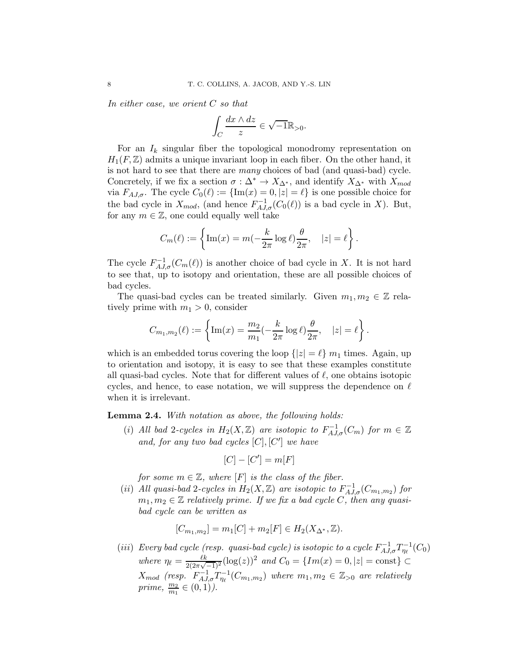In either case, we orient C so that

$$
\int_C \frac{dx\wedge dz}{z}\in \sqrt{-1}\mathbb{R}_{>0}.
$$

For an  $I_k$  singular fiber the topological monodromy representation on  $H_1(F, \mathbb{Z})$  admits a unique invariant loop in each fiber. On the other hand, it is not hard to see that there are many choices of bad (and quasi-bad) cycle. Concretely, if we fix a section  $\sigma : \Delta^* \to X_{\Delta^*}$ , and identify  $X_{\Delta^*}$  with  $X_{mod}$ via  $F_{A,J,\sigma}$ . The cycle  $C_0(\ell) := {\text{Im}(x) = 0, |z| = \ell}$  is one possible choice for the bad cycle in  $X_{mod}$ , (and hence  $F_{AJ,\sigma}^{-1}(C_0(\ell))$  is a bad cycle in X). But, for any  $m \in \mathbb{Z}$ , one could equally well take

$$
C_m(\ell) := \left\{ \text{Im}(x) = m(-\frac{k}{2\pi} \log \ell) \frac{\theta}{2\pi}, \quad |z| = \ell \right\}.
$$

The cycle  $F_{A,J,\sigma}^{-1}(C_m(\ell))$  is another choice of bad cycle in X. It is not hard to see that, up to isotopy and orientation, these are all possible choices of bad cycles.

The quasi-bad cycles can be treated similarly. Given  $m_1, m_2 \in \mathbb{Z}$  relatively prime with  $m_1 > 0$ , consider

$$
C_{m_1,m_2}(\ell) := \left\{ \text{Im}(x) = \frac{m_2}{m_1} \left( -\frac{k}{2\pi} \log \ell \right) \frac{\theta}{2\pi}, \quad |z| = \ell \right\}.
$$

which is an embedded torus covering the loop  $\{|z| = \ell\}$  m<sub>1</sub> times. Again, up to orientation and isotopy, it is easy to see that these examples constitute all quasi-bad cycles. Note that for different values of  $\ell$ , one obtains isotopic cycles, and hence, to ease notation, we will suppress the dependence on  $\ell$ when it is irrelevant.

<span id="page-7-0"></span>Lemma 2.4. With notation as above, the following holds:

(i) All bad 2-cycles in  $H_2(X,\mathbb{Z})$  are isotopic to  $F_{A,J,\sigma}^{-1}(C_m)$  for  $m \in \mathbb{Z}$ and, for any two bad cycles  $[C], [C']$  we have

$$
[C] - [C'] = m[F]
$$

for some  $m \in \mathbb{Z}$ , where  $[F]$  is the class of the fiber.

(ii) All quasi-bad 2-cycles in  $H_2(X, \mathbb{Z})$  are isotopic to  $F_{A J, \sigma}^{-1}(C_{m_1, m_2})$  for  $m_1, m_2 \in \mathbb{Z}$  relatively prime. If we fix a bad cycle C, then any quasibad cycle can be written as

$$
[C_{m_1,m_2}] = m_1[C] + m_2[F] \in H_2(X_{\Delta^*}, \mathbb{Z}).
$$

(iii) Every bad cycle (resp. quasi-bad cycle) is isotopic to a cycle  $F_{A J, \sigma}^{-1} T_{\eta_\ell}^{-1}(C_0)$ where  $\eta_{\ell} = \frac{\ell k}{2(2\pi\sqrt{\ell})^2}$  $\frac{\ell k}{2(2\pi\sqrt{-1})^2}(\log(z))^2$  and  $C_0 = \{Im(x) = 0, |z| = \text{const}\}\subset$  $X_{mod}$  (resp.  $F_{A,J,\sigma}^{-1}T_{\eta_\ell}^{-1}(C_{m_1,m_2})$  where  $m_1, m_2 \in \mathbb{Z}_{>0}$  are relatively prime,  $\frac{m_2}{m_1} \in (0,1)$ ).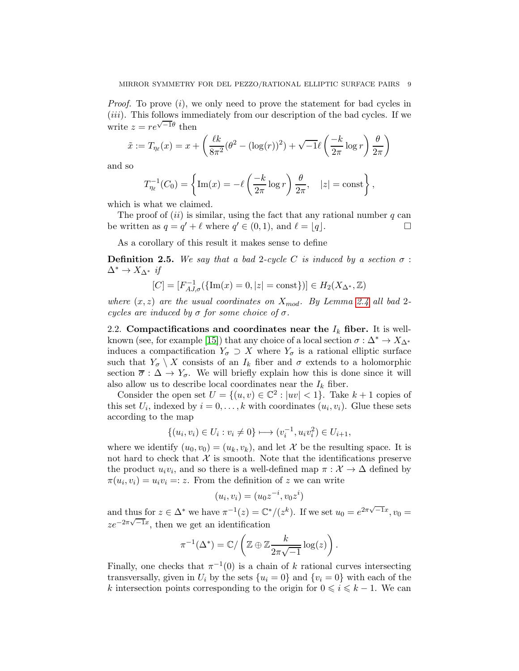*Proof.* To prove (*i*), we only need to prove the statement for bad cycles in (iii). This follows immediately from our description of the bad cycles. If we write  $z = re^{\sqrt{-1}\theta}$  then

$$
\tilde{x} := T_{\eta_\ell}(x) = x + \left(\frac{\ell k}{8\pi^2}(\theta^2 - (\log(r))^2) + \sqrt{-1}\ell\left(\frac{-k}{2\pi}\log r\right)\frac{\theta}{2\pi}\right)
$$

and so

$$
T_{\eta_{\ell}}^{-1}(C_0) = \left\{ \text{Im}(x) = -\ell \left( \frac{-k}{2\pi} \log r \right) \frac{\theta}{2\pi}, \quad |z| = \text{const} \right\},\,
$$

which is what we claimed.

The proof of  $(ii)$  is similar, using the fact that any rational number q can be written as  $q = q' + \ell$  where  $q' \in (0, 1)$ , and  $\ell = \lfloor q \rfloor$ .

As a corollary of this result it makes sense to define

**Definition 2.5.** We say that a bad 2-cycle C is induced by a section  $\sigma$ :  $\Delta^* \to X_{\Delta^*}$  if

$$
[C] = [F_{AJ,\sigma}^{-1}(\{\text{Im}(x) = 0, |z| = \text{const}\})] \in H_2(X_{\Delta^*}, \mathbb{Z})
$$

where  $(x, z)$  are the usual coordinates on  $X_{mod}$ . By Lemma [2.4](#page-7-0) all bad 2cycles are induced by  $\sigma$  for some choice of  $\sigma$ .

2.2. Compactifications and coordinates near the  $I_k$  fiber. It is well-known (see, for example [\[15\]](#page-74-12)) that any choice of a local section  $\sigma : \Delta^* \to X_{\Delta^*}$ induces a compactification  $Y_{\sigma} \supset X$  where  $Y_{\sigma}$  is a rational elliptic surface such that  $Y_{\sigma} \setminus X$  consists of an  $I_k$  fiber and  $\sigma$  extends to a holomorphic section  $\overline{\sigma} : \Delta \to Y_{\sigma}$ . We will briefly explain how this is done since it will also allow us to describe local coordinates near the  $I_k$  fiber.

Consider the open set  $U = \{(u, v) \in \mathbb{C}^2 : |uv| < 1\}$ . Take  $k + 1$  copies of this set  $U_i$ , indexed by  $i = 0, \ldots, k$  with coordinates  $(u_i, v_i)$ . Glue these sets according to the map

$$
\{(u_i, v_i) \in U_i : v_i \neq 0\} \longmapsto (v_i^{-1}, u_i v_i^2) \in U_{i+1},
$$

where we identify  $(u_0, v_0) = (u_k, v_k)$ , and let X be the resulting space. It is not hard to check that  $\mathcal X$  is smooth. Note that the identifications preserve the product  $u_i v_i$ , and so there is a well-defined map  $\pi : \mathcal{X} \to \Delta$  defined by  $\pi(u_i, v_i) = u_i v_i =: z$ . From the definition of z we can write

$$
(u_i, v_i) = (u_0 z^{-i}, v_0 z^i)
$$

and thus for  $z \in \Delta^*$  we have  $\pi^{-1}(z) = \mathbb{C}^*/(z^k)$ . If we set  $u_0 = e^{2\pi\sqrt{-1}x}$ ,  $v_0 =$  $ze^{-2\pi\sqrt{-1}x}$ , then we get an identification

$$
\pi^{-1}(\Delta^*) = \mathbb{C}/\left(\mathbb{Z} \oplus \mathbb{Z} \frac{k}{2\pi\sqrt{-1}} \log(z)\right).
$$

Finally, one checks that  $\pi^{-1}(0)$  is a chain of k rational curves intersecting transversally, given in  $U_i$  by the sets  $\{u_i = 0\}$  and  $\{v_i = 0\}$  with each of the k intersection points corresponding to the origin for  $0 \leq i \leq k - 1$ . We can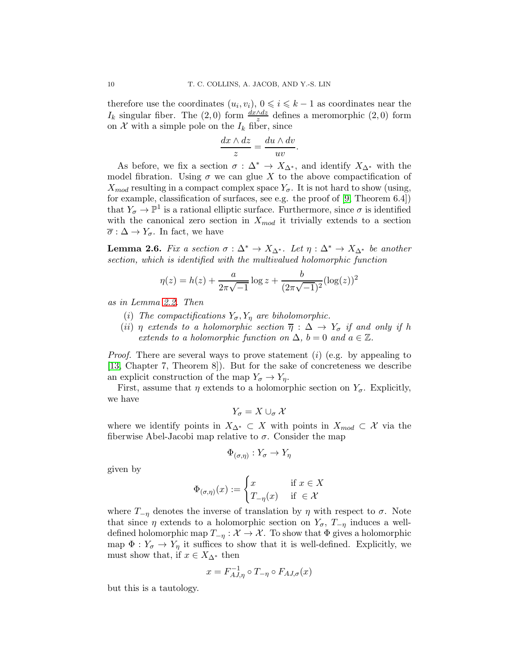therefore use the coordinates  $(u_i, v_i), 0 \leq i \leq k-1$  as coordinates near the I<sub>k</sub> singular fiber. The (2,0) form  $\frac{dx \wedge dz}{z}$  defines a meromorphic (2,0) form on  $\mathcal X$  with a simple pole on the  $I_k$  fiber, since

$$
\frac{dx \wedge dz}{z} = \frac{du \wedge dv}{uv}.
$$

As before, we fix a section  $\sigma : \Delta^* \to X_{\Delta^*}$ , and identify  $X_{\Delta^*}$  with the model fibration. Using  $\sigma$  we can glue X to the above compactification of  $X_{mod}$  resulting in a compact complex space  $Y_{\sigma}$ . It is not hard to show (using, for example, classification of surfaces, see e.g. the proof of [\[9,](#page-74-0) Theorem 6.4]) that  $Y_{\sigma} \to \mathbb{P}^1$  is a rational elliptic surface. Furthermore, since  $\sigma$  is identified with the canonical zero section in  $X_{mod}$  it trivially extends to a section  $\overline{\sigma} : \Delta \to Y_{\sigma}$ . In fact, we have

<span id="page-9-0"></span>**Lemma 2.6.** Fix a section  $\sigma : \Delta^* \to X_{\Delta^*}$ . Let  $\eta : \Delta^* \to X_{\Delta^*}$  be another section, which is identified with the multivalued holomorphic function

$$
\eta(z) = h(z) + \frac{a}{2\pi\sqrt{-1}}\log z + \frac{b}{(2\pi\sqrt{-1})^2}(\log(z))^2
$$

as in Lemma [2.2.](#page-6-0) Then

- (i) The compactifications  $Y_{\sigma}$ ,  $Y_{\eta}$  are biholomorphic.
- (ii) η extends to a holomorphic section  $\overline{\eta}: \Delta \to Y_{\sigma}$  if and only if h extends to a holomorphic function on  $\Delta$ ,  $b = 0$  and  $a \in \mathbb{Z}$ .

*Proof.* There are several ways to prove statement (i) (e.g. by appealing to [\[13,](#page-74-13) Chapter 7, Theorem 8]). But for the sake of concreteness we describe an explicit construction of the map  $Y_{\sigma} \to Y_{\eta}$ .

First, assume that  $\eta$  extends to a holomorphic section on  $Y_{\sigma}$ . Explicitly, we have

$$
Y_{\sigma}=X\cup_{\sigma}\mathcal{X}
$$

where we identify points in  $X_{\Delta^*} \subset X$  with points in  $X_{mod} \subset \mathcal{X}$  via the fiberwise Abel-Jacobi map relative to  $\sigma$ . Consider the map

$$
\Phi_{(\sigma,\eta)}:Y_{\sigma}\to Y_{\eta}
$$

given by

$$
\Phi_{(\sigma,\eta)}(x) := \begin{cases} x & \text{if } x \in X \\ T_{-\eta}(x) & \text{if } \in \mathcal{X} \end{cases}
$$

where  $T_{-\eta}$  denotes the inverse of translation by  $\eta$  with respect to  $\sigma$ . Note that since  $\eta$  extends to a holomorphic section on  $Y_{\sigma}$ ,  $T_{-\eta}$  induces a welldefined holomorphic map  $T_{-\eta}: \mathcal{X} \to \mathcal{X}$ . To show that  $\Phi$  gives a holomorphic map  $\Phi: Y_{\sigma} \to Y_{\eta}$  it suffices to show that it is well-defined. Explicitly, we must show that, if  $x \in X_{\Delta^*}$  then

$$
x = F_{AJ,\eta}^{-1} \circ T_{-\eta} \circ F_{AJ,\sigma}(x)
$$

but this is a tautology.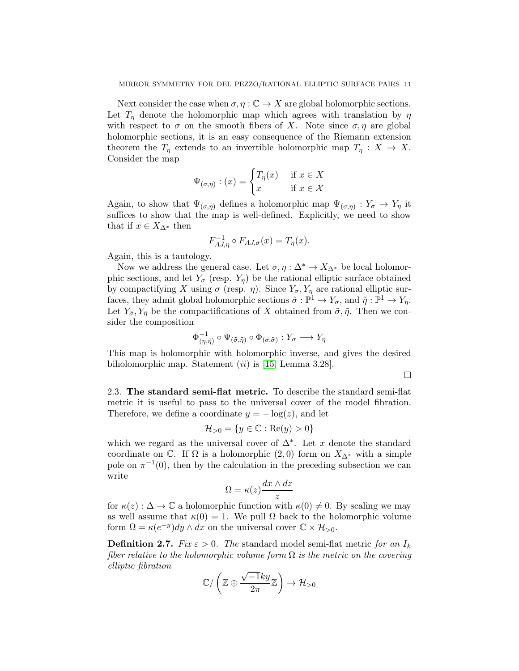Next consider the case when  $\sigma, \eta : \mathbb{C} \to X$  are global holomorphic sections. Let  $T_n$  denote the holomorphic map which agrees with translation by  $\eta$ with respect to  $\sigma$  on the smooth fibers of X. Note since  $\sigma, \eta$  are global holomorphic sections, it is an easy consequence of the Riemann extension theorem the  $T_{\eta}$  extends to an invertible holomorphic map  $T_{\eta}: X \to X$ . Consider the map

$$
\Psi_{(\sigma,\eta)} : (x) = \begin{cases} T_{\eta}(x) & \text{if } x \in X \\ x & \text{if } x \in \mathcal{X} \end{cases}
$$

Again, to show that  $\Psi_{(\sigma,\eta)}$  defines a holomorphic map  $\Psi_{(\sigma,\eta)} : Y_{\sigma} \to Y_{\eta}$  it suffices to show that the map is well-defined. Explicitly, we need to show that if  $x \in X_{\Delta^*}$  then

$$
F_{AJ,\eta}^{-1} \circ F_{AJ,\sigma}(x) = T_{\eta}(x).
$$

Again, this is a tautology.

Now we address the general case. Let  $\sigma, \eta : \Delta^* \to X_{\Delta^*}$  be local holomorphic sections, and let  $Y_{\sigma}$  (resp.  $Y_{\eta}$ ) be the rational elliptic surface obtained by compactifying X using  $\sigma$  (resp.  $\eta$ ). Since  $Y_{\sigma}$ ,  $Y_{\eta}$  are rational elliptic surfaces, they admit global holomorphic sections  $\tilde{\sigma} : \mathbb{P}^1 \to Y_{\sigma}$ , and  $\tilde{\eta} : \mathbb{P}^1 \to Y_{\eta}$ . Let  $Y_{\tilde{\sigma}}, Y_{\tilde{\eta}}$  be the compactifications of X obtained from  $\tilde{\sigma}, \tilde{\eta}$ . Then we consider the composition

$$
\Phi^{-1}_{(\eta,\tilde{\eta})}\circ\Psi_{(\tilde{\sigma},\tilde{\eta})}\circ\Phi_{(\sigma,\tilde{\sigma})}:Y_{\sigma}\longrightarrow Y_{\eta}
$$

This map is holomorphic with holomorphic inverse, and gives the desired biholomorphic map. Statement  $(ii)$  is [\[15,](#page-74-12) Lemma 3.28].

 $\Box$ 

2.3. The standard semi-flat metric. To describe the standard semi-flat metric it is useful to pass to the universal cover of the model fibration. Therefore, we define a coordinate  $y = -\log(z)$ , and let

$$
\mathcal{H}_{>0} = \{ y \in \mathbb{C} : \text{Re}(y) > 0 \}
$$

which we regard as the universal cover of  $\Delta^*$ . Let x denote the standard coordinate on  $\mathbb{C}$ . If  $\Omega$  is a holomorphic  $(2,0)$  form on  $X_{\Delta^*}$  with a simple pole on  $\pi^{-1}(0)$ , then by the calculation in the preceding subsection we can write

$$
\Omega = \kappa(z) \frac{dx \wedge dz}{z}
$$

for  $\kappa(z)$ :  $\Delta \to \mathbb{C}$  a holomorphic function with  $\kappa(0) \neq 0$ . By scaling we may as well assume that  $\kappa(0) = 1$ . We pull  $\Omega$  back to the holomorphic volume form  $\Omega = \kappa (e^{-y}) dy \wedge dx$  on the universal cover  $\mathbb{C} \times \mathcal{H}_{>0}$ .

<span id="page-10-0"></span>**Definition 2.7.** Fix  $\varepsilon > 0$ . The standard model semi-flat metric for an  $I_k$ fiber relative to the holomorphic volume form  $\Omega$  is the metric on the covering elliptic fibration

$$
\mathbb{C}\big/\left(\mathbb{Z}\oplus \frac{\sqrt{-1}ky}{2\pi}\mathbb{Z}\right)\to \mathcal{H}_{>0}
$$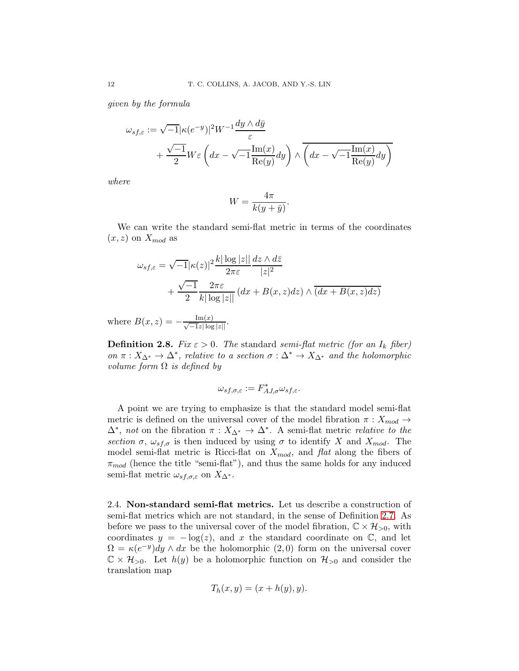given by the formula

$$
\omega_{sf,\varepsilon} := \sqrt{-1} |\kappa(e^{-y})|^2 W^{-1} \frac{dy \wedge d\bar{y}}{\varepsilon} + \frac{\sqrt{-1}}{2} W \varepsilon \left( dx - \sqrt{-1} \frac{\text{Im}(x)}{\text{Re}(y)} dy \right) \wedge \overline{\left( dx - \sqrt{-1} \frac{\text{Im}(x)}{\text{Re}(y)} dy \right)}
$$

where

$$
W = \frac{4\pi}{k(y + \bar{y})}.
$$

We can write the standard semi-flat metric in terms of the coordinates  $(x, z)$  on  $X_{mod}$  as

$$
\omega_{s f, \varepsilon} = \sqrt{-1} |\kappa(z)|^2 \frac{k |\log|z||}{2\pi \varepsilon} \frac{dz \wedge d\overline{z}}{|z|^2}
$$

$$
+ \frac{\sqrt{-1}}{2} \frac{2\pi \varepsilon}{k |\log|z||} (dx + B(x, z) dz) \wedge (dx + B(x, z) dz)
$$

where  $B(x, z) = -\frac{\text{Im}(x)}{\sqrt{-1}z|\log|z|}.$ 

**Definition 2.8.** Fix  $\varepsilon > 0$ . The standard semi-flat metric (for an  $I_k$  fiber) on  $\pi: X_{\Delta^*} \to \Delta^*$ , relative to a section  $\sigma: \Delta^* \to X_{\Delta^*}$  and the holomorphic volume form  $\Omega$  is defined by

$$
\omega_{sf,\sigma,\varepsilon}:=F_{AJ,\sigma}^*\omega_{sf,\varepsilon}.
$$

A point we are trying to emphasize is that the standard model semi-flat metric is defined on the universal cover of the model fibration  $\pi : X_{mod} \rightarrow$  $\Delta^*$ , not on the fibration  $\pi: X_{\Delta^*} \to \Delta^*$ . A semi-flat metric relative to the section  $\sigma$ ,  $\omega_{s,f,\sigma}$  is then induced by using  $\sigma$  to identify X and  $X_{mod}$ . The model semi-flat metric is Ricci-flat on  $X_{mod}$ , and flat along the fibers of  $\pi_{mod}$  (hence the title "semi-flat"), and thus the same holds for any induced semi-flat metric  $\omega_{s,f,\sigma,\varepsilon}$  on  $X_{\Delta^*}$ .

<span id="page-11-0"></span>2.4. Non-standard semi-flat metrics. Let us describe a construction of semi-flat metrics which are not standard, in the sense of Definition [2.7.](#page-10-0) As before we pass to the universal cover of the model fibration,  $\mathbb{C} \times \mathcal{H}_{>0}$ , with coordinates  $y = -\log(z)$ , and x the standard coordinate on  $\mathbb{C}$ , and let  $\Omega = \kappa (e^{-y}) dy \wedge dx$  be the holomorphic (2,0) form on the universal cover  $\mathbb{C} \times \mathcal{H}_{>0}$ . Let  $h(y)$  be a holomorphic function on  $\mathcal{H}_{>0}$  and consider the translation map

$$
T_h(x, y) = (x + h(y), y).
$$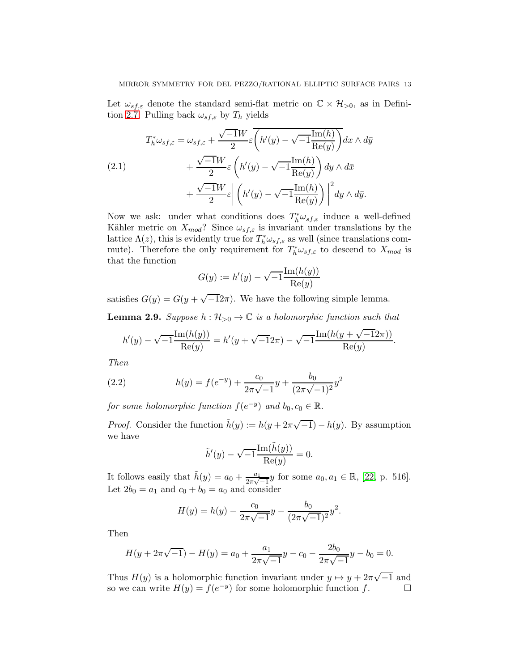Let  $\omega_{s,f,\varepsilon}$  denote the standard semi-flat metric on  $\mathbb{C}\times\mathcal{H}_{>0}$ , as in Defini-tion [2.7.](#page-10-0) Pulling back  $\omega_{sf,\varepsilon}$  by  $T_h$  yields

(2.1) 
$$
T_h^* \omega_{sf,\varepsilon} = \omega_{sf,\varepsilon} + \frac{\sqrt{-1}W}{2} \varepsilon \overline{\left(h'(y) - \sqrt{-1}\frac{\text{Im}(h)}{\text{Re}(y)}\right)} dx \wedge d\bar{y} + \frac{\sqrt{-1}W}{2} \varepsilon \left(h'(y) - \sqrt{-1}\frac{\text{Im}(h)}{\text{Re}(y)}\right) dy \wedge d\bar{x} + \frac{\sqrt{-1}W}{2} \varepsilon \left|\left(h'(y) - \sqrt{-1}\frac{\text{Im}(h)}{\text{Re}(y)}\right)\right|^2 dy \wedge d\bar{y}.
$$

Now we ask: under what conditions does  $T^*_{h} \omega_{s,f,\varepsilon}$  induce a well-defined Kähler metric on  $X_{mod}$ ? Since  $\omega_{sf,\varepsilon}$  is invariant under translations by the lattice  $\Lambda(z)$ , this is evidently true for  $T^*_{h}\omega_{sf,\varepsilon}$  as well (since translations commute). Therefore the only requirement for  $T^*_{h} \omega_{sf,\varepsilon}$  to descend to  $X_{mod}$  is that the function

$$
G(y) := h'(y) - \sqrt{-1} \frac{\operatorname{Im}(h(y))}{\operatorname{Re}(y)}
$$

satisfies  $G(y) = G(y + \sqrt{-12\pi})$ . We have the following simple lemma.

<span id="page-12-0"></span>**Lemma 2.9.** Suppose  $h : \mathcal{H}_{>0} \to \mathbb{C}$  is a holomorphic function such that

$$
h'(y) - \sqrt{-1} \frac{\operatorname{Im}(h(y))}{\operatorname{Re}(y)} = h'(y + \sqrt{-1}2\pi) - \sqrt{-1} \frac{\operatorname{Im}(h(y + \sqrt{-1}2\pi))}{\operatorname{Re}(y)}.
$$

Then

<span id="page-12-1"></span>(2.2) 
$$
h(y) = f(e^{-y}) + \frac{c_0}{2\pi\sqrt{-1}}y + \frac{b_0}{(2\pi\sqrt{-1})^2}y^2
$$

for some holomorphic function  $f(e^{-y})$  and  $b_0, c_0 \in \mathbb{R}$ .

*Proof.* Consider the function  $\tilde{h}(y) := h(y + 2\pi\sqrt{-1}) - h(y)$ . By assumption we have

$$
\tilde{h}'(y) - \sqrt{-1} \frac{\text{Im}(\tilde{h}(y))}{\text{Re}(y)} = 0.
$$

It follows easily that  $\tilde{h}(y) = a_0 + \frac{a_1}{2\pi\sqrt{y}}$  $\frac{a_1}{2\pi\sqrt{-1}}y$  for some  $a_0, a_1 \in \mathbb{R}$ , [\[22,](#page-75-15) p. 516]. Let  $2b_0 = a_1$  and  $c_0 + b_0 = a_0$  and consider

$$
H(y) = h(y) - \frac{c_0}{2\pi\sqrt{-1}}y - \frac{b_0}{(2\pi\sqrt{-1})^2}y^2.
$$

Then

$$
H(y + 2\pi\sqrt{-1}) - H(y) = a_0 + \frac{a_1}{2\pi\sqrt{-1}}y - c_0 - \frac{2b_0}{2\pi\sqrt{-1}}y - b_0 = 0.
$$

Thus  $H(y)$  is a holomorphic function invariant under  $y \mapsto y + 2\pi\sqrt{-1}$  and so we can write  $H(y) = f(e^{-y})$  for some holomorphic function f.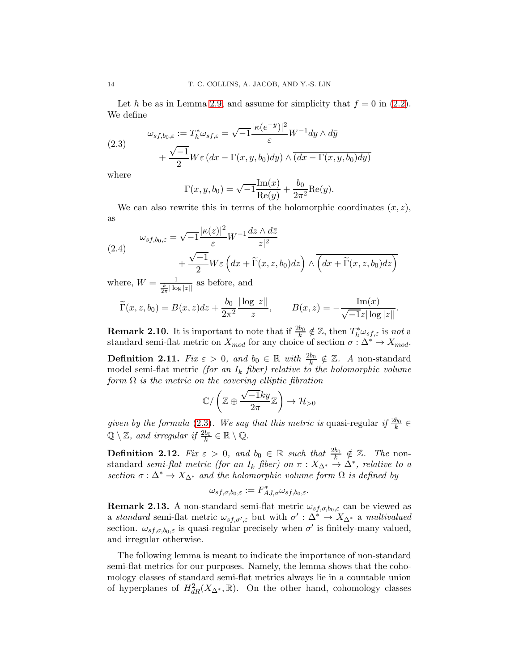Let h be as in Lemma [2.9,](#page-12-0) and assume for simplicity that  $f = 0$  in [\(2.2\)](#page-12-1). We define

<span id="page-13-0"></span>(2.3) 
$$
\omega_{sf,b_0,\varepsilon} := T_h^* \omega_{sf,\varepsilon} = \sqrt{-1} \frac{|\kappa(e^{-y})|^2}{\varepsilon} W^{-1} dy \wedge d\bar{y} + \frac{\sqrt{-1}}{2} W \varepsilon (dx - \Gamma(x, y, b_0) dy) \wedge (dx - \Gamma(x, y, b_0) dy)
$$

where

$$
\Gamma(x, y, b_0) = \sqrt{-1} \frac{\text{Im}(x)}{\text{Re}(y)} + \frac{b_0}{2\pi^2} \text{Re}(y).
$$

We can also rewrite this in terms of the holomorphic coordinates  $(x, z)$ , as

<span id="page-13-1"></span>(2.4) 
$$
\omega_{sf,b_0,\varepsilon} = \sqrt{-1} \frac{|\kappa(z)|^2}{\varepsilon} W^{-1} \frac{dz \wedge d\overline{z}}{|z|^2} + \frac{\sqrt{-1}}{2} W \varepsilon \left( dx + \widetilde{\Gamma}(x,z,b_0) dz \right) \wedge \overline{\left( dx + \widetilde{\Gamma}(x,z,b_0) dz \right)}
$$

where,  $W = \frac{1}{\frac{k}{2\pi} |\log |z||}$  as before, and

$$
\widetilde{\Gamma}(x, z, b_0) = B(x, z)dz + \frac{b_0}{2\pi^2} \frac{|\log|z||}{z}, \qquad B(x, z) = -\frac{\text{Im}(x)}{\sqrt{-1}z|\log|z||}.
$$

**Remark 2.10.** It is important to note that if  $\frac{2b_0}{k} \notin \mathbb{Z}$ , then  $T_h^* \omega_{sf,\varepsilon}$  is not a standard semi-flat metric on  $X_{mod}$  for any choice of section  $\sigma : \Delta^* \to X_{mod}$ .

**Definition 2.11.** Fix  $\varepsilon > 0$ , and  $b_0 \in \mathbb{R}$  with  $\frac{2b_0}{k} \notin \mathbb{Z}$ . A non-standard model semi-flat metric *(for an*  $I_k$  *fiber)* relative to the holomorphic volume form  $\Omega$  is the metric on the covering elliptic fibration

$$
\mathbb{C}/\left(\mathbb{Z}\oplus\frac{\sqrt{-1}ky}{2\pi}\mathbb{Z}\right)\to\mathcal{H}_{>0}
$$

given by the formula [\(2.3\)](#page-13-0). We say that this metric is quasi-regular if  $\frac{2b_0}{k} \in$  $\mathbb{Q}\setminus\mathbb{Z}$ , and irregular if  $\frac{2b_0}{k}\in\mathbb{R}\setminus\mathbb{Q}$ .

**Definition 2.12.** Fix  $\varepsilon > 0$ , and  $b_0 \in \mathbb{R}$  such that  $\frac{2b_0}{k} \notin \mathbb{Z}$ . The nonstandard semi-flat metric (for an  $I_k$  fiber) on  $\pi : X_{\Delta^*} \to \Delta^*$ , relative to a section  $\sigma : \Delta^* \to X_{\Delta^*}$  and the holomorphic volume form  $\Omega$  is defined by

$$
\omega_{sf,\sigma,b_0,\varepsilon} := F_{AJ,\sigma}^* \omega_{sf,b_0,\varepsilon}.
$$

<span id="page-13-2"></span>**Remark 2.13.** A non-standard semi-flat metric  $\omega_{sf,\sigma,b_0,\varepsilon}$  can be viewed as a standard semi-flat metric  $\omega_{s,f,\sigma',\varepsilon}$  but with  $\sigma': \Delta^* \to X_{\Delta^*}$  a multivalued section.  $\omega_{s,f,\sigma,b_0,\varepsilon}$  is quasi-regular precisely when  $\sigma'$  is finitely-many valued, and irregular otherwise.

The following lemma is meant to indicate the importance of non-standard semi-flat metrics for our purposes. Namely, the lemma shows that the cohomology classes of standard semi-flat metrics always lie in a countable union of hyperplanes of  $H^2_{dR}(X_{\Delta^*}, \mathbb{R})$ . On the other hand, cohomology classes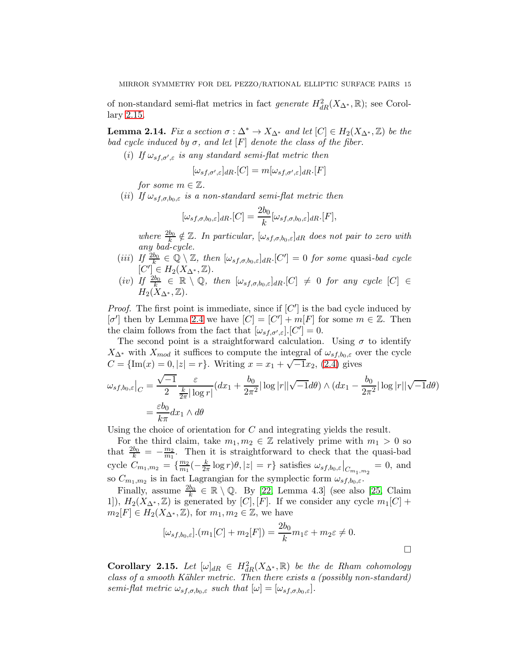of non-standard semi-flat metrics in fact *generate*  $H^2_{dR}(X_{\Delta^*}, \mathbb{R})$ ; see Corollary [2.15.](#page-14-0)

<span id="page-14-1"></span>**Lemma 2.14.** Fix a section  $\sigma : \Delta^* \to X_{\Delta^*}$  and let  $[C] \in H_2(X_{\Delta^*}, \mathbb{Z})$  be the bad cycle induced by  $\sigma$ , and let  $[F]$  denote the class of the fiber.

(i) If  $\omega_{s f, \sigma', \varepsilon}$  is any standard semi-flat metric then

$$
[\omega_{sf,\sigma',\varepsilon}]_{dR}.[C] = m[\omega_{sf,\sigma',\varepsilon}]_{dR}.[F]
$$

for some  $m \in \mathbb{Z}$ .

(ii) If  $\omega_{s,f,\sigma,b_0,\varepsilon}$  is a non-standard semi-flat metric then

$$
[\omega_{sf,\sigma,b_0,\varepsilon}]_{dR}.[C] = \frac{2b_0}{k} [\omega_{sf,\sigma,b_0,\varepsilon}]_{dR}.[F],
$$

where  $\frac{2b_0}{k} \notin \mathbb{Z}$ . In particular,  $[\omega_{sf,\sigma,b_0,\varepsilon}]_{dR}$  does not pair to zero with any bad-cycle.

- (iii) If  $\frac{2b_0}{k} \in \mathbb{Q} \setminus \mathbb{Z}$ , then  $[\omega_{s,f,\sigma,b_0,\varepsilon}]_{dR}$ .  $[C'] = 0$  for some quasi-bad cycle  $[C'] \in H_2(X_{\Delta^*}, \mathbb{Z}).$
- $(iv)$  If  $\frac{2b_0}{k_1} \in \mathbb{R} \setminus \mathbb{Q}$ , then  $[\omega_{sf,\sigma,b_0,\varepsilon}]_{dR}$ .  $[C] \neq 0$  for any cycle  $[C] \in$  $H_2(X_{\Delta^*},\mathbb{Z}).$

*Proof.* The first point is immediate, since if  $[C']$  is the bad cycle induced by  $[\sigma']$  then by Lemma [2.4](#page-7-0) we have  $[C] = [C'] + m[F]$  for some  $m \in \mathbb{Z}$ . Then the claim follows from the fact that  $[\omega_{s f, \sigma', \varepsilon}].[C'] = 0.$ 

The second point is a straightforward calculation. Using  $\sigma$  to identify  $X_{\Delta^*}$  with  $X_{mod}$  it suffices to compute the integral of  $\omega_{s,f,b_0,\varepsilon}$  over the cycle  $C = \{Im(x) = 0, |z| = r\}$ . Writing  $x = x_1 + \sqrt{-1}x_2$ , [\(2.4\)](#page-13-1) gives

$$
\omega_{sf,b_0,\varepsilon}\big|_C = \frac{\sqrt{-1}}{2} \frac{\varepsilon}{\frac{k}{2\pi} |\log r|} (dx_1 + \frac{b_0}{2\pi^2} |\log |r||\sqrt{-1}d\theta) \wedge (dx_1 - \frac{b_0}{2\pi^2} |\log |r||\sqrt{-1}d\theta)
$$

$$
= \frac{\varepsilon b_0}{k\pi} dx_1 \wedge d\theta
$$

Using the choice of orientation for C and integrating yields the result.

For the third claim, take  $m_1, m_2 \in \mathbb{Z}$  relatively prime with  $m_1 > 0$  so that  $\frac{2b_0}{k} = -\frac{m_2}{m_1}$  $\frac{m_2}{m_1}$ . Then it is straightforward to check that the quasi-bad cycle  $C_{m_1,m_2} = \{\frac{m_2}{m_1}\}$  $\frac{m_2}{m_1}(-\frac{k}{2n})$  $\frac{k}{2\pi} \log r |\theta| |z| = r$  satisfies  $\omega_{s f, b_0, \varepsilon}|_{C_{m_1, m_2}} = 0$ , and so  $C_{m_1,m_2}$  is in fact Lagrangian for the symplectic form  $\omega_{s,f,b_0,\varepsilon}$ .

Finally, assume  $\frac{2b_0}{k} \in \mathbb{R} \setminus \mathbb{Q}$ . By [\[22,](#page-75-15) Lemma 4.3] (see also [\[25,](#page-75-0) Claim 1]),  $H_2(X_{\Delta^*}, \mathbb{Z})$  is generated by [C], [F]. If we consider any cycle  $m_1[C]$  +  $m_2[F] \in H_2(X_{\Delta^*}, \mathbb{Z})$ , for  $m_1, m_2 \in \mathbb{Z}$ , we have

$$
[\omega_{sf,b_0,\varepsilon}].(m_1[C] + m_2[F]) = \frac{2b_0}{k}m_1\varepsilon + m_2\varepsilon \neq 0.
$$

<span id="page-14-0"></span>**Corollary 2.15.** Let  $[\omega]_{dR} \in H^2_{dR}(X_{\Delta^*}, \mathbb{R})$  be the de Rham cohomology class of a smooth Kähler metric. Then there exists a (possibly non-standard) semi-flat metric  $\omega_{s,f,\sigma,b_0,\varepsilon}$  such that  $[\omega] = [\omega_{s,f,\sigma,b_0,\varepsilon}].$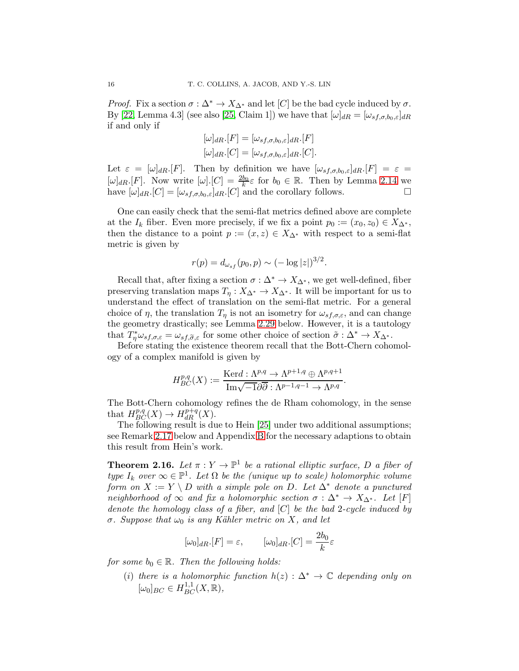*Proof.* Fix a section  $\sigma : \Delta^* \to X_{\Delta^*}$  and let [C] be the bad cycle induced by  $\sigma$ . By [\[22,](#page-75-15) Lemma 4.3] (see also [\[25,](#page-75-0) Claim 1]) we have that  $[\omega]_{dR} = [\omega_{sf,\sigma,b_0,\varepsilon}]_{dR}$ if and only if

$$
[\omega]_{dR}.[F] = [\omega_{sf,\sigma,b_0,\varepsilon}]_{dR}.[F]
$$

$$
[\omega]_{dR}.[C] = [\omega_{sf,\sigma,b_0,\varepsilon}]_{dR}.[C].
$$

Let  $\varepsilon = [\omega]_{dR} [F]$ . Then by definition we have  $[\omega_{s,f,\sigma,b_0,\varepsilon}]_{dR} [F] = \varepsilon =$  $[\omega]_{dR}$  [F]. Now write  $[\omega]$ . [C]  $=\frac{2b_0}{k}\varepsilon$  for  $b_0 \in \mathbb{R}$ . Then by Lemma [2.14](#page-14-1) we have  $[\omega]_{dR}$ .[C] =  $[\omega_{sf,\sigma,b_0,\varepsilon}]_{dR}$ .[C] and the corollary follows.  $\square$ 

One can easily check that the semi-flat metrics defined above are complete at the  $I_k$  fiber. Even more precisely, if we fix a point  $p_0 := (x_0, z_0) \in X_{\Delta^*}$ , then the distance to a point  $p := (x, z) \in X_{\Delta^*}$  with respect to a semi-flat metric is given by

$$
r(p) = d_{\omega_{sf}}(p_0, p) \sim (-\log|z|)^{3/2}.
$$

Recall that, after fixing a section  $\sigma : \Delta^* \to X_{\Delta^*}$ , we get well-defined, fiber preserving translation maps  $T_n: X_{\Delta^*} \to X_{\Delta^*}$ . It will be important for us to understand the effect of translation on the semi-flat metric. For a general choice of  $\eta$ , the translation  $T_{\eta}$  is not an isometry for  $\omega_{s f, \sigma, \varepsilon}$ , and can change the geometry drastically; see Lemma [2.29](#page-23-0) below. However, it is a tautology that  $T^*_{\eta}\omega_{s,f,\sigma,\varepsilon}=\omega_{s,f,\widetilde{\sigma},\varepsilon}$  for some other choice of section  $\widetilde{\sigma}:\Delta^*\to X_{\Delta^*}.$ 

Before stating the existence theorem recall that the Bott-Chern cohomology of a complex manifold is given by

$$
H_{BC}^{p,q}(X) := \frac{\text{Ker} d : \Lambda^{p,q} \to \Lambda^{p+1,q} \oplus \Lambda^{p,q+1}}{\text{Im}\sqrt{-1}\partial\overline{\partial} : \Lambda^{p-1,q-1} \to \Lambda^{p,q}}.
$$

The Bott-Chern cohomology refines the de Rham cohomology, in the sense that  $H^{p,q}_{BC}(X) \to H^{p+q}_{dR}(X)$ .

The following result is due to Hein [\[25\]](#page-75-0) under two additional assumptions; see Remark [2.17](#page-16-0) below and Appendix [B](#page-67-0) for the necessary adaptions to obtain this result from Hein's work.

<span id="page-15-0"></span>**Theorem 2.16.** Let  $\pi: Y \to \mathbb{P}^1$  be a rational elliptic surface, D a fiber of type  $I_k$  over  $\infty \in \mathbb{P}^1$ . Let  $\Omega$  be the (unique up to scale) holomorphic volume form on  $X := Y \setminus D$  with a simple pole on D. Let  $\Delta^*$  denote a punctured neighborhood of  $\infty$  and fix a holomorphic section  $\sigma : \Delta^* \to X_{\Delta^*}$ . Let [F] denote the homology class of a fiber, and  $[C]$  be the bad 2-cycle induced by σ. Suppose that  $ω_0$  is any Kähler metric on X, and let

$$
[\omega_0]_{dR}.[F] = \varepsilon, \qquad [\omega_0]_{dR}.[C] = \frac{2b_0}{k}\varepsilon
$$

for some  $b_0 \in \mathbb{R}$ . Then the following holds:

(i) there is a holomorphic function  $h(z) : \Delta^* \to \mathbb{C}$  depending only on  $[\omega_0]_{BC} \in H_{BC}^{1,1}(X, \mathbb{R}),$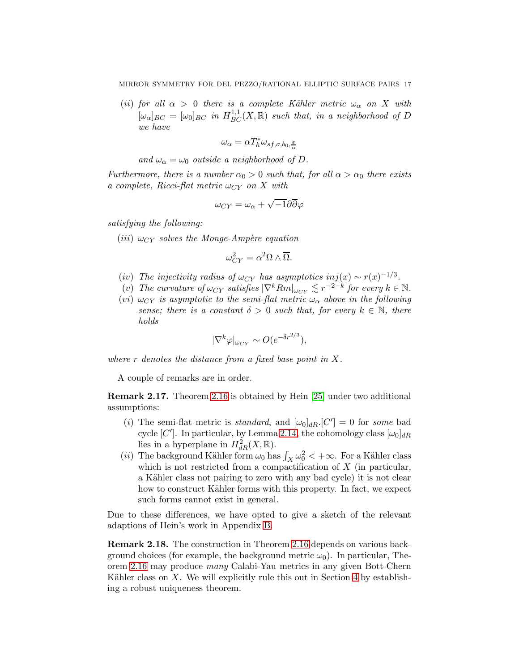(ii) for all  $\alpha > 0$  there is a complete Kähler metric  $\omega_{\alpha}$  on X with  $[\omega_{\alpha}]_{BC} = [\omega_0]_{BC}$  in  $H_{BC}^{1,1}(X, \mathbb{R})$  such that, in a neighborhood of D we have

$$
\omega_{\alpha} = \alpha T_h^* \omega_{s f, \sigma, b_0, \frac{\varepsilon}{\alpha}}
$$

and  $\omega_{\alpha} = \omega_0$  outside a neighborhood of D.

Furthermore, there is a number  $\alpha_0 > 0$  such that, for all  $\alpha > \alpha_0$  there exists a complete, Ricci-flat metric  $\omega_{CY}$  on X with

$$
\omega_{CY} = \omega_{\alpha} + \sqrt{-1}\partial\overline{\partial}\varphi
$$

satisfying the following:

(*iii*)  $\omega_{CY}$  solves the Monge-Ampère equation

$$
\omega_{CY}^2 = \alpha^2 \Omega \wedge \overline{\Omega}.
$$

- (iv) The injectivity radius of  $\omega_{CY}$  has asymptotics inj $(x) \sim r(x)^{-1/3}$ .
- (v) The curvature of  $\omega_{CY}$  satisfies  $|\nabla^k Rm|_{\omega_{CY}} \lesssim r^{-2-k}$  for every  $k \in \mathbb{N}$ .
- (vi)  $\omega_{CY}$  is asymptotic to the semi-flat metric  $\omega_{\alpha}$  above in the following sense; there is a constant  $\delta > 0$  such that, for every  $k \in \mathbb{N}$ , there holds

$$
|\nabla^k \varphi|_{\omega_{CY}} \sim O(e^{-\delta r^{2/3}}),
$$

where  $r$  denotes the distance from a fixed base point in  $X$ .

A couple of remarks are in order.

<span id="page-16-0"></span>Remark 2.17. Theorem [2.16](#page-15-0) is obtained by Hein [\[25\]](#page-75-0) under two additional assumptions:

- (i) The semi-flat metric is *standard*, and  $[\omega_0]_{dR}$ .  $[C'] = 0$  for *some* bad cycle [C']. In particular, by Lemma [2.14,](#page-14-1) the cohomology class  $[\omega_0]_{dR}$ lies in a hyperplane in  $H^2_{dR}(X,\mathbb{R})$ .
- (*ii*) The background Kähler form  $\omega_0$  has  $\int_X \omega_0^2 < +\infty$ . For a Kähler class which is not restricted from a compactification of  $X$  (in particular, a Kähler class not pairing to zero with any bad cycle) it is not clear how to construct Kähler forms with this property. In fact, we expect such forms cannot exist in general.

Due to these differences, we have opted to give a sketch of the relevant adaptions of Hein's work in Appendix [B.](#page-67-0)

Remark 2.18. The construction in Theorem [2.16](#page-15-0) depends on various background choices (for example, the background metric  $\omega_0$ ). In particular, Theorem [2.16](#page-15-0) may produce many Calabi-Yau metrics in any given Bott-Chern Kähler class on  $X$ . We will explicitly rule this out in Section [4](#page-35-2) by establishing a robust uniqueness theorem.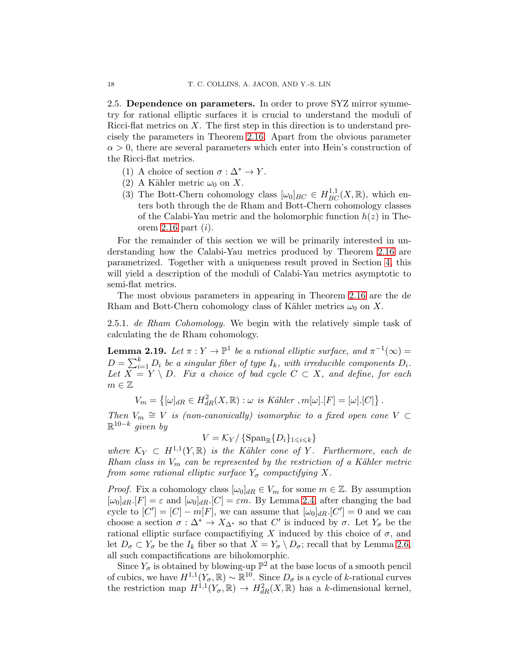2.5. Dependence on parameters. In order to prove SYZ mirror symmetry for rational elliptic surfaces it is crucial to understand the moduli of Ricci-flat metrics on  $X$ . The first step in this direction is to understand precisely the parameters in Theorem [2.16.](#page-15-0) Apart from the obvious parameter  $\alpha > 0$ , there are several parameters which enter into Hein's construction of the Ricci-flat metrics.

- (1) A choice of section  $\sigma : \Delta^* \to Y$ .
- (2) A Kähler metric  $\omega_0$  on X.
- (3) The Bott-Chern cohomology class  $[\omega_0]_{BC} \in H_{BC}^{1,1}(X,\mathbb{R})$ , which enters both through the de Rham and Bott-Chern cohomology classes of the Calabi-Yau metric and the holomorphic function  $h(z)$  in The-orem [2.16](#page-15-0) part  $(i)$ .

For the remainder of this section we will be primarily interested in understanding how the Calabi-Yau metrics produced by Theorem [2.16](#page-15-0) are parametrized. Together with a uniqueness result proved in Section [4,](#page-35-2) this will yield a description of the moduli of Calabi-Yau metrics asymptotic to semi-flat metrics.

The most obvious parameters in appearing in Theorem [2.16](#page-15-0) are the de Rham and Bott-Chern cohomology class of Kähler metrics  $\omega_0$  on X.

2.5.1. de Rham Cohomology. We begin with the relatively simple task of calculating the de Rham cohomology.

<span id="page-17-0"></span>**Lemma 2.19.** Let  $\pi: Y \to \mathbb{P}^1$  be a rational elliptic surface, and  $\pi^{-1}(\infty) =$  $D = \sum_{i=1}^{k} D_i$  be a singular fiber of type  $I_k$ , with irreducible components  $D_i$ . Let  $X = Y \setminus D$ . Fix a choice of bad cycle  $C \subset X$ , and define, for each  $m \in \mathbb{Z}$ 

 $V_m = \left\{ [\omega]_{dR} \in H_{dR}^2(X, \mathbb{R}) : \omega \text{ is Kähler }, m[\omega][F] = [\omega][C] \right\}.$ 

Then  $V_m \cong V$  is (non-canonically) isomorphic to a fixed open cone  $V \subset$  $\mathbb{R}^{10-k}$  given by

 $V = \mathcal{K}_Y / \{ \operatorname{Span}_{\mathbb{R}} \{ D_i \}_{1 \leq i \leq k} \}$ 

where  $\mathcal{K}_Y \subset H^{1,1}(Y,\mathbb{R})$  is the Kähler cone of Y. Furthermore, each de Rham class in  $V_m$  can be represented by the restriction of a Kähler metric from some rational elliptic surface  $Y_{\sigma}$  compactifying X.

*Proof.* Fix a cohomology class  $[\omega_0]_{dR} \in V_m$  for some  $m \in \mathbb{Z}$ . By assumption  $[\omega_0]_{dR}$ .[F] =  $\varepsilon$  and  $[\omega_0]_{dR}$ .[C] =  $\varepsilon m$ . By Lemma [2.4,](#page-7-0) after changing the bad cycle to  $[C'] = [C] - m[F]$ , we can assume that  $[\omega_0]_{dR}$   $[C'] = 0$  and we can choose a section  $\sigma : \Delta^* \to X_{\Delta^*}$  so that  $C'$  is induced by  $\sigma$ . Let  $Y_{\sigma}$  be the rational elliptic surface compactifiying X induced by this choice of  $\sigma$ , and let  $D_{\sigma} \subset Y_{\sigma}$  be the  $I_k$  fiber so that  $X = Y_{\sigma} \setminus D_{\sigma}$ ; recall that by Lemma [2.6,](#page-9-0) all such compactifications are biholomorphic.

Since  $Y_{\sigma}$  is obtained by blowing-up  $\mathbb{P}^2$  at the base locus of a smooth pencil of cubics, we have  $H^{1,1}(Y_\sigma,\mathbb{R}) \sim \mathbb{R}^{10}$ . Since  $D_\sigma$  is a cycle of k-rational curves the restriction map  $H^{1,1}(Y_\sigma,\mathbb{R}) \to H^2_{dR}(X,\mathbb{R})$  has a k-dimensional kernel,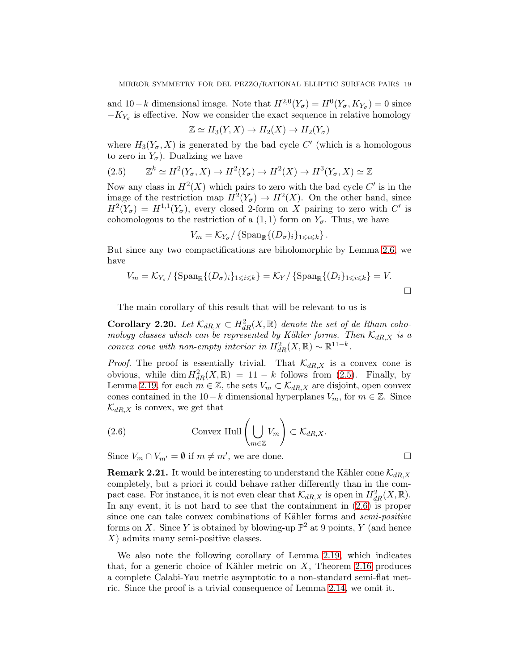and  $10-k$  dimensional image. Note that  $H^{2,0}(Y_{\sigma}) = H^0(Y_{\sigma}, K_{Y_{\sigma}}) = 0$  since  $-K_{Y_{\sigma}}$  is effective. Now we consider the exact sequence in relative homology

$$
\mathbb{Z} \simeq H_3(Y, X) \to H_2(X) \to H_2(Y_{\sigma})
$$

where  $H_3(Y_\sigma, X)$  is generated by the bad cycle C' (which is a homologous to zero in  $Y_{\sigma}$ ). Dualizing we have

<span id="page-18-0"></span>
$$
(2.5) \qquad \mathbb{Z}^k \simeq H^2(Y_\sigma, X) \to H^2(Y_\sigma) \to H^2(X) \to H^3(Y_\sigma, X) \simeq \mathbb{Z}
$$

Now any class in  $H^2(X)$  which pairs to zero with the bad cycle C' is in the image of the restriction map  $H^2(Y_\sigma) \to H^2(X)$ . On the other hand, since  $H^2(Y_{\sigma}) = H^{1,1}(Y_{\sigma})$ , every closed 2-form on X pairing to zero with C' is cohomologous to the restriction of a  $(1, 1)$  form on  $Y_{\sigma}$ . Thus, we have

$$
V_m = \mathcal{K}_{Y_{\sigma}} / \left\{ \mathrm{Span}_{\mathbb{R}} \{ (D_{\sigma})_i \} _{1 \leq i \leq k} \right\}.
$$

But since any two compactifications are biholomorphic by Lemma [2.6,](#page-9-0) we have

$$
V_m = \mathcal{K}_{Y_{\sigma}} / \{ \text{Span}_{\mathbb{R}} \{ (D_{\sigma})_i \}_{1 \leq i \leq k} \} = \mathcal{K}_Y / \{ \text{Span}_{\mathbb{R}} \{ (D_i \}_{1 \leq i \leq k} \} = V.
$$

The main corollary of this result that will be relevant to us is

<span id="page-18-2"></span>**Corollary 2.20.** Let  $\mathcal{K}_{dR,X} \subset H^2_{dR}(X,\mathbb{R})$  denote the set of de Rham cohomology classes which can be represented by Kähler forms. Then  $\mathcal{K}_{dR,X}$  is a convex cone with non-empty interior in  $H^2_{dR}(X,\mathbb{R}) \sim \mathbb{R}^{11-k}$ .

*Proof.* The proof is essentially trivial. That  $\mathcal{K}_{dR,X}$  is a convex cone is obvious, while  $\dim H^2_{dR}(X,\mathbb{R}) = 11 - k$  follows from [\(2.5\)](#page-18-0). Finally, by Lemma [2.19,](#page-17-0) for each  $m \in \mathbb{Z}$ , the sets  $V_m \subset \mathcal{K}_{dR,X}$  are disjoint, open convex cones contained in the 10−k dimensional hyperplanes  $V_m$ , for  $m \in \mathbb{Z}$ . Since  $\mathcal{K}_{dR,X}$  is convex, we get that

<span id="page-18-1"></span>(2.6) Convex Hull 
$$
\left(\bigcup_{m \in \mathbb{Z}} V_m\right) \subset \mathcal{K}_{dR,X}
$$
.

Since  $V_m \cap V_{m'} = \emptyset$  if  $m \neq m'$ , we are done.

**Remark 2.21.** It would be interesting to understand the Kähler cone  $\mathcal{K}_{dR,X}$ completely, but a priori it could behave rather differently than in the compact case. For instance, it is not even clear that  $\mathcal{K}_{dR,X}$  is open in  $H^2_{dR}(X,\mathbb{R})$ . In any event, it is not hard to see that the containment in [\(2.6\)](#page-18-1) is proper since one can take convex combinations of Kähler forms and *semi-positive* forms on X. Since Y is obtained by blowing-up  $\mathbb{P}^2$  at 9 points, Y (and hence X) admits many semi-positive classes.

We also note the following corollary of Lemma [2.19,](#page-17-0) which indicates that, for a generic choice of Kähler metric on  $X$ , Theorem [2.16](#page-15-0) produces a complete Calabi-Yau metric asymptotic to a non-standard semi-flat metric. Since the proof is a trivial consequence of Lemma [2.14,](#page-14-1) we omit it.

$$
\Box
$$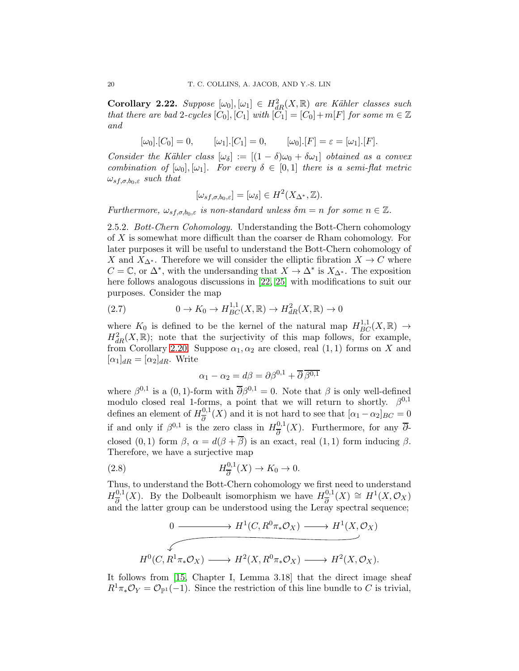**Corollary 2.22.** Suppose  $[\omega_0], [\omega_1] \in H^2_{dR}(X, \mathbb{R})$  are Kähler classes such that there are bad 2-cycles  $[C_0], [C_1]$  with  $[C_1] = [C_0] + m[F]$  for some  $m \in \mathbb{Z}$ and

 $[\omega_0]$ .[C<sub>0</sub>] = 0,  $[\omega_1]$ .[C<sub>1</sub>] = 0,  $[\omega_0]$ .[F] =  $\varepsilon = [\omega_1]$ .[F].

Consider the Kähler class  $[\omega_{\delta}] := [(1 - \delta)\omega_0 + \delta\omega_1]$  obtained as a convex combination of  $[\omega_0], [\omega_1]$ . For every  $\delta \in [0,1]$  there is a semi-flat metric  $\omega_{s,f,\sigma,b_0,\varepsilon}$  such that

$$
[\omega_{sf,\sigma,b_0,\varepsilon}] = [\omega_{\delta}] \in H^2(X_{\Delta^*},\mathbb{Z}).
$$

Furthermore,  $\omega_{s f, \sigma, b_0, \varepsilon}$  is non-standard unless  $\delta m = n$  for some  $n \in \mathbb{Z}$ .

2.5.2. *Bott-Chern Cohomology*. Understanding the Bott-Chern cohomology of X is somewhat more difficult than the coarser de Rham cohomology. For later purposes it will be useful to understand the Bott-Chern cohomology of X and  $X_{\Delta^*}$ . Therefore we will consider the elliptic fibration  $X \to C$  where  $C = \mathbb{C}$ , or  $\Delta^*$ , with the undersanding that  $X \to \Delta^*$  is  $X_{\Delta^*}$ . The exposition here follows analogous discussions in [\[22,](#page-75-15) [25\]](#page-75-0) with modifications to suit our purposes. Consider the map

(2.7) 
$$
0 \to K_0 \to H_{BC}^{1,1}(X, \mathbb{R}) \to H_{dR}^2(X, \mathbb{R}) \to 0
$$

where  $K_0$  is defined to be the kernel of the natural map  $H_{BC}^{1,1}(X,\mathbb{R}) \rightarrow$  $H_{dR}^2(X,\mathbb{R})$ ; note that the surjectivity of this map follows, for example, from Corollary [2.20.](#page-18-2) Suppose  $\alpha_1, \alpha_2$  are closed, real  $(1, 1)$  forms on X and  $[\alpha_1]_{dR} = [\alpha_2]_{dR}$ . Write

<span id="page-19-0"></span>
$$
\alpha_1 - \alpha_2 = d\beta = \partial \beta^{0,1} + \overline{\partial} \overline{\beta^{0,1}}
$$

where  $\beta^{0,1}$  is a  $(0,1)$ -form with  $\overline{\partial}\beta^{0,1}=0$ . Note that  $\beta$  is only well-defined modulo closed real 1-forms, a point that we will return to shortly.  $\beta^{0,1}$ defines an element of  $H_{\overline{5}}^{0,1}$  $\frac{\partial}{\partial \theta}(X)$  and it is not hard to see that  $[\alpha_1 - \alpha_2]_{BC} = 0$ if and only if  $\beta^{0,1}$  is the zero class in  $H_{\overline{\beta}}^{0,1}$  $\frac{\partial}{\partial}$  (X). Furthermore, for any  $\partial$ closed (0, 1) form  $\beta$ ,  $\alpha = d(\beta + \overline{\beta})$  is an exact, real (1, 1) form inducing  $\beta$ . Therefore, we have a surjective map

(2.8) 
$$
H_{\overline{\partial}}^{0,1}(X) \to K_0 \to 0.
$$

Thus, to understand the Bott-Chern cohomology we first need to understand  $H_{\frac{1}{2}}^{0,1}$  $\frac{0,1}{\partial}(X)$ . By the Dolbeault isomorphism we have  $H_{\overline{\partial}}^{0,1}$  $\frac{\partial^{0,1}}{\partial}(X) \cong H^1(X, \mathcal{O}_X)$ and the latter group can be understood using the Leray spectral sequence;

$$
0 \longrightarrow H^1(C, R^0 \pi_* \mathcal{O}_X) \longrightarrow H^1(X, \mathcal{O}_X)
$$
  

$$
H^0(C, R^1 \pi_* \mathcal{O}_X) \longrightarrow H^2(X, R^0 \pi_* \mathcal{O}_X) \longrightarrow H^2(X, \mathcal{O}_X).
$$

It follows from [\[15,](#page-74-12) Chapter I, Lemma 3.18] that the direct image sheaf  $R^1\pi_*\mathcal{O}_Y=\mathcal{O}_{\mathbb{P}^1}(-1)$ . Since the restriction of this line bundle to C is trivial,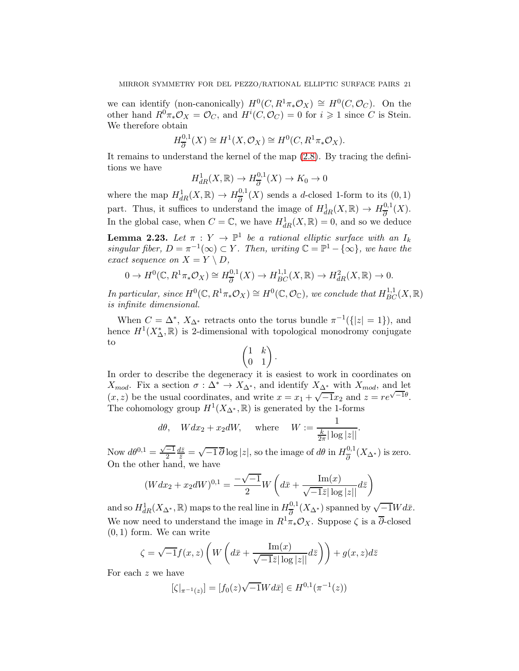we can identify (non-canonically)  $H^0(C, R^1 \pi_* \mathcal{O}_X) \cong H^0(C, \mathcal{O}_C)$ . On the other hand  $R^0\pi_*\mathcal{O}_X = \mathcal{O}_C$ , and  $H^i(C, \mathcal{O}_C) = 0$  for  $i \geq 1$  since C is Stein. We therefore obtain

$$
H_{\overline{\partial}}^{0,1}(X) \cong H^1(X, \mathcal{O}_X) \cong H^0(C, R^1 \pi_* \mathcal{O}_X).
$$

It remains to understand the kernel of the map [\(2.8\)](#page-19-0). By tracing the definitions we have

$$
H_{dR}^1(X, \mathbb{R}) \to H_{\overline{\partial}}^{0,1}(X) \to K_0 \to 0
$$

where the map  $H^1_{dR}(X,\mathbb{R}) \to H^{0,1}_{\overline{\partial}}$  $\frac{\partial}{\partial \theta}(X)$  sends a d-closed 1-form to its  $(0,1)$ part. Thus, it suffices to understand the image of  $H^1_{dR}(X,\mathbb{R}) \to H^{0,1}_{\overline{\partial}}$  $\frac{\partial}{\partial}(X).$ In the global case, when  $C = \mathbb{C}$ , we have  $H^1_{dR}(X, \mathbb{R}) = 0$ , and so we deduce

<span id="page-20-0"></span>**Lemma 2.23.** Let  $\pi : Y \to \mathbb{P}^1$  be a rational elliptic surface with an  $I_k$ singular fiber,  $D = \pi^{-1}(\infty) \subset Y$ . Then, writing  $\mathbb{C} = \mathbb{P}^1 - \{\infty\}$ , we have the exact sequence on  $X = Y \setminus D$ ,

$$
0 \to H^0(\mathbb{C}, R^1 \pi_* \mathcal{O}_X) \cong H^{0,1}_{\overline{\partial}}(X) \to H^{1,1}_{BC}(X, \mathbb{R}) \to H^2_{dR}(X, \mathbb{R}) \to 0.
$$

In particular, since  $H^0(\mathbb{C}, R^1\pi_*\mathcal{O}_X) \cong H^0(\mathbb{C}, \mathcal{O}_\mathbb{C})$ , we conclude that  $H^{1,1}_{BC}(X,\mathbb{R})$ is infinite dimensional.

When  $C = \Delta^*$ ,  $X_{\Delta^*}$  retracts onto the torus bundle  $\pi^{-1}(\{|z|=1\})$ , and hence  $H^1(X^*_{\Delta}, \mathbb{R})$  is 2-dimensional with topological monodromy conjugate to

$$
\begin{pmatrix} 1 & k \\ 0 & 1 \end{pmatrix}.
$$

In order to describe the degeneracy it is easiest to work in coordinates on  $X_{mod}$ . Fix a section  $\sigma : \Delta^* \to X_{\Delta^*}$ , and identify  $X_{\Delta^*}$  with  $X_{mod}$ , and let  $(x, z)$  be the usual coordinates, and write  $x = x_1 + \sqrt{-1}x_2$  and  $z = re^{\sqrt{-1}\theta}$ . The cohomology group  $H^1(X_{\Delta^*}, \mathbb{R})$  is generated by the 1-forms

$$
d\theta
$$
,  $Wdx_2 + x_2dW$ , where  $W := \frac{1}{\frac{k}{2\pi}|\log|z||}$ .

Now  $d\theta^{0,1} = \frac{\sqrt{-1}}{2}$  $\frac{d\bar{z}}{\bar{z}} = \sqrt{-1}\overline{\partial}\log|z|$ , so the image of  $d\theta$  in  $H_{\overline{\partial}}^{0,1}$  $\frac{\partial}{\partial}(X_{\Delta^*})$  is zero. On the other hand, we have

$$
(Wdx_2 + x_2 dW)^{0,1} = \frac{-\sqrt{-1}}{2}W\left(d\bar{x} + \frac{\text{Im}(x)}{\sqrt{-1}\bar{z}|\log|z||}d\bar{z}\right)
$$

and so  $H^1_{dR}(X_{\Delta^*}, \mathbb{R})$  maps to the real line in  $H_{\overline{\partial}}^{0,1}$  $\frac{0,1}{\partial}(X_{\Delta^*})$  spanned by  $\sqrt{-1}Wd\bar{x}$ . We now need to understand the image in  $R^1\pi_*\mathcal{O}_X$ . Suppose  $\zeta$  is a  $\overline{\partial}$ -closed  $(0, 1)$  form. We can write

$$
\zeta = \sqrt{-1} f(x, z) \left( W \left( d\bar{x} + \frac{\operatorname{Im}(x)}{\sqrt{-1}\bar{z}|\log|z||} d\bar{z} \right) \right) + g(x, z) d\bar{z}
$$

For each z we have

$$
[\zeta|_{\pi^{-1}(z)}] = [f_0(z)\sqrt{-1}Wd\bar{x}] \in H^{0,1}(\pi^{-1}(z))
$$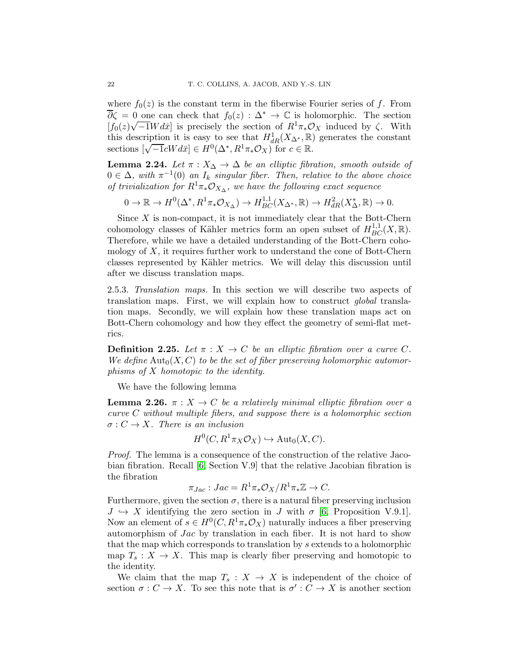where  $f_0(z)$  is the constant term in the fiberwise Fourier series of f. From  $\overline{\partial}\zeta = 0$  one can check that  $f_0(z) : \Delta^* \to \mathbb{C}$  is holomorphic. The section  $[f_0(z)\sqrt{-1}Wd\bar{x}]$  is precisely the section of  $R^1\pi_*\mathcal{O}_X$  induced by  $\zeta$ . With this description it is easy to see that  $H^1_{dR}(X_{\Delta^*}, \mathbb{R})$  generates the constant sections  $\left[\sqrt{-1}cWd\bar{x}\right] \in H^0(\Delta^*, R^1\pi_*\mathcal{O}_X)$  for  $c \in \mathbb{R}$ .

<span id="page-21-1"></span>**Lemma 2.24.** Let  $\pi$  :  $X_{\Delta} \to \Delta$  be an elliptic fibration, smooth outside of  $0 \in \Delta$ , with  $\pi^{-1}(0)$  an  $I_k$  singular fiber. Then, relative to the above choice of trivialization for  $R^1\pi_*\mathcal{O}_{X_\Delta}$ , we have the following exact sequence

 $0 \to \mathbb{R} \to H^0(\Delta^*, R^1 \pi_* \mathcal{O}_{X_\Delta}) \to H^{1,1}_{BC}(X_{\Delta^*}, \mathbb{R}) \to H^2_{dR}(X^*_{\Delta}, \mathbb{R}) \to 0.$ 

Since  $X$  is non-compact, it is not immediately clear that the Bott-Chern cohomology classes of Kähler metrics form an open subset of  $H_{BC}^{1,1}(X,\mathbb{R})$ . Therefore, while we have a detailed understanding of the Bott-Chern cohomology of  $X$ , it requires further work to understand the cone of Bott-Chern classes represented by Kähler metrics. We will delay this discussion until after we discuss translation maps.

2.5.3. Translation maps. In this section we will describe two aspects of translation maps. First, we will explain how to construct global translation maps. Secondly, we will explain how these translation maps act on Bott-Chern cohomology and how they effect the geometry of semi-flat metrics.

**Definition 2.25.** Let  $\pi : X \to C$  be an elliptic fibration over a curve C. We define  $\text{Aut}_0(X, C)$  to be the set of fiber preserving holomorphic automorphisms of X homotopic to the identity.

We have the following lemma

<span id="page-21-0"></span>**Lemma 2.26.**  $\pi$  :  $X \to C$  be a relatively minimal elliptic fibration over a curve C without multiple fibers, and suppose there is a holomorphic section  $\sigma: C \to X$ . There is an inclusion

$$
H^0(C, R^1 \pi_X \mathcal{O}_X) \hookrightarrow \mathrm{Aut}_0(X, C).
$$

Proof. The lemma is a consequence of the construction of the relative Jacobian fibration. Recall [\[6,](#page-74-14) Section V.9] that the relative Jacobian fibration is the fibration

$$
\pi_{Jac}: Jac = R^1 \pi_* \mathcal{O}_X/R^1 \pi_* \mathbb{Z} \to C.
$$

Furthermore, given the section  $\sigma$ , there is a natural fiber preserving inclusion  $J \hookrightarrow X$  identifying the zero section in J with  $\sigma$  [\[6,](#page-74-14) Proposition V.9.1]. Now an element of  $s \in H^0(C, R^1 \pi_* \mathcal{O}_X)$  naturally induces a fiber preserving automorphism of Jac by translation in each fiber. It is not hard to show that the map which corresponds to translation by s extends to a holomorphic map  $T_s: X \to X$ . This map is clearly fiber preserving and homotopic to the identity.

We claim that the map  $T_s: X \to X$  is independent of the choice of section  $\sigma: C \to X$ . To see this note that is  $\sigma': C \to X$  is another section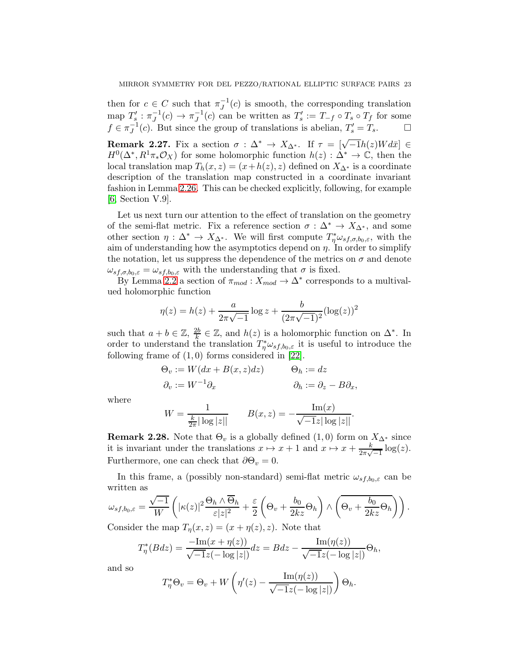then for  $c \in C$  such that  $\pi_J^{-1}(c)$  is smooth, the corresponding translation map  $T'_s : \pi_J^{-1}(c) \to \pi_J^{-1}(c)$  can be written as  $T'_s := T_{-f} \circ T_s \circ T_f$  for some  $f \in \pi_J^{-1}(c)$ . But since the group of translations is abelian,  $T_s' = T_s$ .

<span id="page-22-0"></span>**Remark 2.27.** Fix a section  $\sigma : \Delta^* \to X_{\Delta^*}$ . If  $\tau = [\sqrt{-1}h(z)Wd\bar{x}] \in$  $H^0(\Delta^*, R^1\pi_*\mathcal{O}_X)$  for some holomorphic function  $h(z): \Delta^* \to \mathbb{C}$ , then the local translation map  $T_h(x, z) = (x + h(z), z)$  defined on  $X_{\Delta^*}$  is a coordinate description of the translation map constructed in a coordinate invariant fashion in Lemma [2.26.](#page-21-0) This can be checked explicitly, following, for example [\[6,](#page-74-14) Section V.9].

Let us next turn our attention to the effect of translation on the geometry of the semi-flat metric. Fix a reference section  $\sigma : \Delta^* \to X_{\Delta^*}$ , and some other section  $\eta : \Delta^* \to X_{\Delta^*}$ . We will first compute  $T^*_{\eta}\omega_{sf,\sigma,b_0,\varepsilon}$ , with the aim of understanding how the asymptotics depend on  $\eta$ . In order to simplify the notation, let us suppress the dependence of the metrics on  $\sigma$  and denote  $\omega_{s,f,\sigma,b_0,\varepsilon} = \omega_{s,f,b_0,\varepsilon}$  with the understanding that  $\sigma$  is fixed.

By Lemma [2.2](#page-6-0) a section of  $\pi_{mod}: X_{mod} \to \Delta^*$  corresponds to a multivalued holomorphic function

$$
\eta(z) = h(z) + \frac{a}{2\pi\sqrt{-1}}\log z + \frac{b}{(2\pi\sqrt{-1})^2}(\log(z))^2
$$

such that  $a + b \in \mathbb{Z}$ ,  $\frac{2b}{k}$  $\frac{2b}{k}$  ∈ Z, and  $h(z)$  is a holomorphic function on  $\Delta^*$ . In order to understand the translation  $T^*_{\eta}\omega_{sf,b_0,\varepsilon}$  it is useful to introduce the following frame of  $(1,0)$  forms considered in [\[22\]](#page-75-15).

$$
\Theta_v := W(dx + B(x, z)dz) \qquad \Theta_h := dz
$$
  

$$
\partial_v := W^{-1}\partial_x \qquad \partial_h := \partial_z - B\partial_x,
$$

where

$$
W = \frac{1}{\frac{k}{2\pi}|\log|z||} \qquad B(x, z) = -\frac{\text{Im}(x)}{\sqrt{-1}z|\log|z||}.
$$

**Remark 2.28.** Note that  $\Theta_v$  is a globally defined  $(1,0)$  form on  $X_{\Delta^*}$  since it is invariant under the translations  $x \mapsto x + 1$  and  $x \mapsto x + \frac{k}{2\pi\sqrt{-1}}\log(z)$ . Furthermore, one can check that  $\partial \Theta_v = 0$ .

In this frame, a (possibly non-standard) semi-flat metric  $\omega_{s,f,b_0,\varepsilon}$  can be written as

$$
\omega_{sf,b_0,\varepsilon} = \frac{\sqrt{-1}}{W} \left( |\kappa(z)|^2 \frac{\Theta_h \wedge \overline{\Theta}_h}{\varepsilon |z|^2} + \frac{\varepsilon}{2} \left( \Theta_v + \frac{b_0}{2kz} \Theta_h \right) \wedge \left( \overline{\Theta_v + \frac{b_0}{2kz} \Theta_h} \right) \right).
$$
  
Consider the map  $T$   $(x, z) = (x + n(z), z)$ . Note that

Consider the map  $T_{\eta}(x, z) = (x + \eta(z), z)$ . Note that

$$
T_{\eta}^{*}(Bdz) = \frac{-\text{Im}(x + \eta(z))}{\sqrt{-1}z(-\log|z|)}dz = Bdz - \frac{\text{Im}(\eta(z))}{\sqrt{-1}z(-\log|z|)}\Theta_h,
$$

and so

$$
T_{\eta}^* \Theta_v = \Theta_v + W \left( \eta'(z) - \frac{\operatorname{Im}(\eta(z))}{\sqrt{-1}z(-\log|z|)} \right) \Theta_h.
$$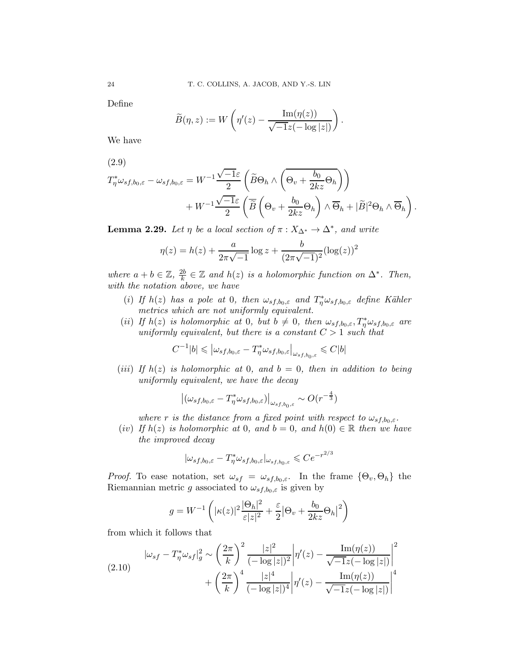Define

$$
\widetilde{B}(\eta,z) := W\left(\eta'(z) - \frac{\operatorname{Im}(\eta(z))}{\sqrt{-1}z(-\log|z|)}\right).
$$

We have

$$
(2.9)
$$

$$
T_{\eta}^{*}\omega_{sf,b_{0},\varepsilon}-\omega_{sf,b_{0},\varepsilon}=W^{-1}\frac{\sqrt{-1}\varepsilon}{2}\left(\widetilde{B}\Theta_{h}\wedge\left(\overline{\Theta_{v}+\frac{b_{0}}{2kz}\Theta_{h}}\right)\right) +W^{-1}\frac{\sqrt{-1}\varepsilon}{2}\left(\overline{\widetilde{B}}\left(\Theta_{v}+\frac{b_{0}}{2kz}\Theta_{h}\right)\wedge\overline{\Theta}_{h}+|\widetilde{B}|^{2}\Theta_{h}\wedge\overline{\Theta}_{h}\right).
$$

<span id="page-23-0"></span>**Lemma 2.29.** Let  $\eta$  be a local section of  $\pi : X_{\Delta^*} \to \Delta^*$ , and write

$$
\eta(z) = h(z) + \frac{a}{2\pi\sqrt{-1}}\log z + \frac{b}{(2\pi\sqrt{-1})^2}(\log(z))^2
$$

where  $a + b \in \mathbb{Z}, \frac{2b}{k}$  $\frac{2b}{k}$  ∈ Z and  $h(z)$  is a holomorphic function on  $\Delta^*$ . Then, with the notation above, we have

- (i) If  $h(z)$  has a pole at 0, then  $\omega_{s f, b_0, \varepsilon}$  and  $T^*_{\eta} \omega_{s f, b_0, \varepsilon}$  define Kähler metrics which are not uniformly equivalent.
- (ii) If  $h(z)$  is holomorphic at 0, but  $b \neq 0$ , then  $\omega_{s f, b_0, \varepsilon}$ ,  $T^*_{\eta} \omega_{s f, b_0, \varepsilon}$  are uniformly equivalent, but there is a constant  $C > 1$  such that

$$
C^{-1}|b| \leqslant \left| \omega_{sf,b_0,\varepsilon} - T^*_{\eta} \omega_{sf,b_0,\varepsilon} \right|_{\omega_{sf,b_0,\varepsilon}} \leqslant C|b|
$$

(iii) If  $h(z)$  is holomorphic at 0, and  $b = 0$ , then in addition to being uniformly equivalent, we have the decay

$$
\left| \left( \omega_{sf,b_0,\varepsilon} - T_{\eta}^* \omega_{sf,b_0,\varepsilon} \right) \right|_{\omega_{sf,b_0,\varepsilon}} \sim O(r^{-\frac{4}{3}})
$$

where r is the distance from a fixed point with respect to  $\omega_{sf,b_0,\varepsilon}$ .

(iv) If  $h(z)$  is holomorphic at 0, and  $b = 0$ , and  $h(0) \in \mathbb{R}$  then we have the improved decay

$$
|\omega_{sf,b_0,\varepsilon}-T^*_\eta \omega_{sf,b_0,\varepsilon}|_{\omega_{sf,b_0,\varepsilon}}\leqslant Ce^{-r^{2/3}}
$$

*Proof.* To ease notation, set  $\omega_{sf} = \omega_{sf,b_0,\varepsilon}$ . In the frame  $\{\Theta_v, \Theta_h\}$  the Riemannian metric g associated to  $\omega_{sf,b_0,\varepsilon}$  is given by

$$
g = W^{-1} \left( |\kappa(z)|^2 \frac{|\Theta_h|^2}{\varepsilon |z|^2} + \frac{\varepsilon}{2} |\Theta_v + \frac{b_0}{2kz} \Theta_h|^2 \right)
$$

from which it follows that

<span id="page-23-1"></span>
$$
(2.10) \qquad |\omega_{sf} - T_{\eta}^{*}\omega_{sf}|_{g}^{2} \sim \left(\frac{2\pi}{k}\right)^{2} \frac{|z|^{2}}{(-\log|z|)^{2}} \left|\eta'(z) - \frac{\operatorname{Im}(\eta(z))}{\sqrt{-1}z(-\log|z|)}\right|^{2} + \left(\frac{2\pi}{k}\right)^{4} \frac{|z|^{4}}{(-\log|z|)^{4}} \left|\eta'(z) - \frac{\operatorname{Im}(\eta(z))}{\sqrt{-1}z(-\log|z|)}\right|^{4}
$$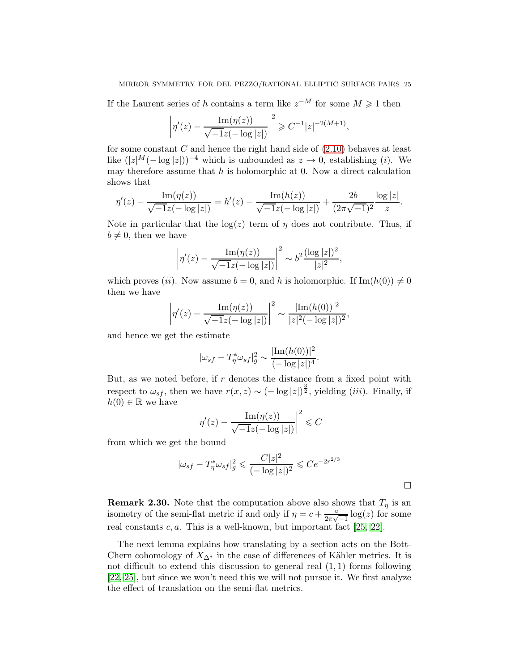If the Laurent series of h contains a term like  $z^{-M}$  for some  $M \geq 1$  then

$$
\left|\eta'(z) - \frac{\operatorname{Im}(\eta(z))}{\sqrt{-1}z(-\log|z|)}\right|^2 \geq C^{-1}|z|^{-2(M+1)},
$$

for some constant  $C$  and hence the right hand side of  $(2.10)$  behaves at least like  $(|z|^M(-\log|z|))^{-4}$  which is unbounded as  $z \to 0$ , establishing (i). We may therefore assume that  $h$  is holomorphic at 0. Now a direct calculation shows that

$$
\eta'(z) - \frac{\operatorname{Im}(\eta(z))}{\sqrt{-1}z(-\log|z|)} = h'(z) - \frac{\operatorname{Im}(h(z))}{\sqrt{-1}z(-\log|z|)} + \frac{2b}{(2\pi\sqrt{-1})^2} \frac{\log|z|}{z}.
$$

Note in particular that the  $log(z)$  term of  $\eta$  does not contribute. Thus, if  $b \neq 0$ , then we have

$$
\left|\eta'(z) - \frac{\operatorname{Im}(\eta(z))}{\sqrt{-1}z(-\log|z|)}\right|^2 \sim b^2 \frac{(\log|z|)^2}{|z|^2},
$$

which proves (ii). Now assume  $b = 0$ , and h is holomorphic. If  $\text{Im}(h(0)) \neq 0$ then we have

$$
\left|\eta'(z) - \frac{\operatorname{Im}(\eta(z))}{\sqrt{-1}z(-\log|z|)}\right|^2 \sim \frac{|\operatorname{Im}(h(0))|^2}{|z|^2(-\log|z|)^2},
$$

and hence we get the estimate

$$
|\omega_{sf} - T_{\eta}^* \omega_{sf}|_{g}^2 \sim \frac{|\text{Im}(h(0))|^2}{(-\log|z|)^4}.
$$

But, as we noted before, if  $r$  denotes the distance from a fixed point with respect to  $\omega_{sf}$ , then we have  $r(x, z) \sim (-\log|z|)^{\frac{3}{2}}$ , yielding *(iii)*. Finally, if  $h(0) \in \mathbb{R}$  we have

$$
\left|\eta'(z) - \frac{\operatorname{Im}(\eta(z))}{\sqrt{-1}z(-\log|z|)}\right|^2 \leq C
$$

from which we get the bound

$$
|\omega_{sf} - T_{\eta}^* \omega_{sf}|_g^2 \leq \frac{C|z|^2}{(-\log|z|)^2} \leq Ce^{-2r^{2/3}}
$$

<span id="page-24-0"></span>**Remark 2.30.** Note that the computation above also shows that  $T<sub>\eta</sub>$  is an isometry of the semi-flat metric if and only if  $\eta = c + \frac{a}{2\pi\sqrt{a}}$  $\frac{a}{2\pi\sqrt{-1}}\log(z)$  for some real constants  $c, a$ . This is a well-known, but important fact [\[25,](#page-75-0) [22\]](#page-75-15).

The next lemma explains how translating by a section acts on the Bott-Chern cohomology of  $X_{\Delta^*}$  in the case of differences of Kähler metrics. It is not difficult to extend this discussion to general real  $(1, 1)$  forms following [\[22,](#page-75-15) [25\]](#page-75-0), but since we won't need this we will not pursue it. We first analyze the effect of translation on the semi-flat metrics.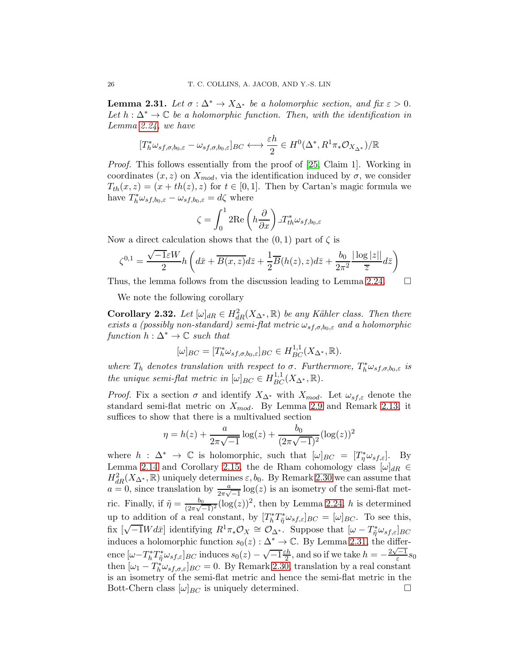<span id="page-25-0"></span>**Lemma 2.31.** Let  $\sigma : \Delta^* \to X_{\Delta^*}$  be a holomorphic section, and fix  $\varepsilon > 0$ . Let  $h : \Delta^* \to \mathbb{C}$  be a holomorphic function. Then, with the identification in Lemma [2.24,](#page-21-1) we have

$$
[T_h^*\omega_{sf,\sigma,b_0,\varepsilon}-\omega_{sf,\sigma,b_0,\varepsilon}]_{BC} \longleftrightarrow \frac{\varepsilon h}{2} \in H^0(\Delta^*, R^1\pi_*\mathcal{O}_{X_{\Delta^*}})/\mathbb{R}
$$

Proof. This follows essentially from the proof of [\[25,](#page-75-0) Claim 1]. Working in coordinates  $(x, z)$  on  $X_{mod}$ , via the identification induced by  $\sigma$ , we consider  $T_{th}(x, z) = (x + th(z), z)$  for  $t \in [0, 1]$ . Then by Cartan's magic formula we have  $T_h^* \omega_{s,f,b_0,\varepsilon} - \omega_{s,f,b_0,\varepsilon} = d\zeta$  where

$$
\zeta = \int_0^1 2\text{Re}\left(h\frac{\partial}{\partial x}\right) \lrcorner T_{th}^* \omega_{sf,b_0,\varepsilon}
$$

Now a direct calculation shows that the  $(0, 1)$  part of  $\zeta$  is

$$
\zeta^{0,1} = \frac{\sqrt{-1}\varepsilon W}{2} h\left(d\bar{x} + \overline{B(x,z)}d\bar{z} + \frac{1}{2}\overline{B}(h(z),z)d\bar{z} + \frac{b_0}{2\pi^2} \frac{|\log|z||}{\overline{z}}d\bar{z}\right)
$$

Thus, the lemma follows from the discussion leading to Lemma [2.24.](#page-21-1)  $\Box$ 

We note the following corollary

<span id="page-25-1"></span>**Corollary 2.32.** Let  $[\omega]_{dR} \in H^2_{dR}(X_{\Delta^*}, \mathbb{R})$  be any Kähler class. Then there exists a (possibly non-standard) semi-flat metric  $\omega_{sf,\sigma,b_0,\varepsilon}$  and a holomorphic function  $h : \Delta^* \to \mathbb{C}$  such that

$$
[\omega]_{BC} = [T_h^* \omega_{sf,\sigma,b_0,\varepsilon}]_{BC} \in H_{BC}^{1,1}(X_{\Delta^*}, \mathbb{R}).
$$

where  $T_h$  denotes translation with respect to  $\sigma$ . Furthermore,  $T_h^* \omega_{s,f,\sigma,b_0,\varepsilon}$  is the unique semi-flat metric in  $[\omega]_{BC} \in H_{BC}^{1,1}(X_{\Delta^*}, \mathbb{R})$ .

*Proof.* Fix a section  $\sigma$  and identify  $X_{\Delta^*}$  with  $X_{mod}$ . Let  $\omega_{sf,\varepsilon}$  denote the standard semi-flat metric on  $X_{mod}$ . By Lemma [2.9](#page-12-0) and Remark [2.13,](#page-13-2) it suffices to show that there is a multivalued section

$$
\eta = h(z) + \frac{a}{2\pi\sqrt{-1}}\log(z) + \frac{b_0}{(2\pi\sqrt{-1})^2}(\log(z))^2
$$

where  $h : \Delta^* \to \mathbb{C}$  is holomorphic, such that  $[\omega]_{BC} = [T^*_{\eta} \omega_{sf,\epsilon}]$ . By Lemma [2.14](#page-14-1) and Corollary [2.15,](#page-14-0) the de Rham cohomology class  $[\omega]_{dR} \in$  $H_{dR}^2(X_{\Delta^*}, \mathbb{R})$  uniquely determines  $\varepsilon, b_0$ . By Remark [2.30](#page-24-0) we can assume that  $a = 0$ , since translation by  $\frac{a}{2\pi\sqrt{-1}} \log(z)$  is an isometry of the semi-flat metric. Finally, if  $\tilde{\eta} = \frac{b_0}{\sqrt{2\pi\sqrt{a^2}}}$  $\frac{b_0}{(2\pi\sqrt{-1})^2} (\log(z))^2$ , then by Lemma [2.24,](#page-21-1) h is determined up to addition of a real constant, by  $[T_h^*T_{\tilde{\eta}}^*\omega_{sf,\varepsilon}]_{BC} = [\omega]_{BC}$ . To see this, fix  $[\sqrt{-1}Wd\bar{x}]$  identifying  $R^1\pi_*\mathcal{O}_X \cong \mathcal{O}_{\Delta^*}$ . Suppose that  $[\omega - T^*_{\tilde{\eta}}\omega_{sf,\varepsilon}]_{BC}$ induces a holomorphic function  $s_0(z): \Delta^* \to \mathbb{C}$ . By Lemma [2.31,](#page-25-0) the difference  $[\omega - T_h^* T_{\tilde{\eta}}^* \omega_{sf,\varepsilon}]_{BC}$  induces  $s_0(z) - \sqrt{-1} \frac{\varepsilon h}{2}$  $\frac{ch}{2}$ , and so if we take  $h = -\frac{2\sqrt{-1}}{\varepsilon} s_0$ then  $[\omega_1 - T_h^* \omega_{s f, \sigma, \varepsilon}]_{BC} = 0$ . By Remark [2.30,](#page-24-0) translation by a real constant is an isometry of the semi-flat metric and hence the semi-flat metric in the Bott-Chern class  $[\omega]_{BC}$  is uniquely determined.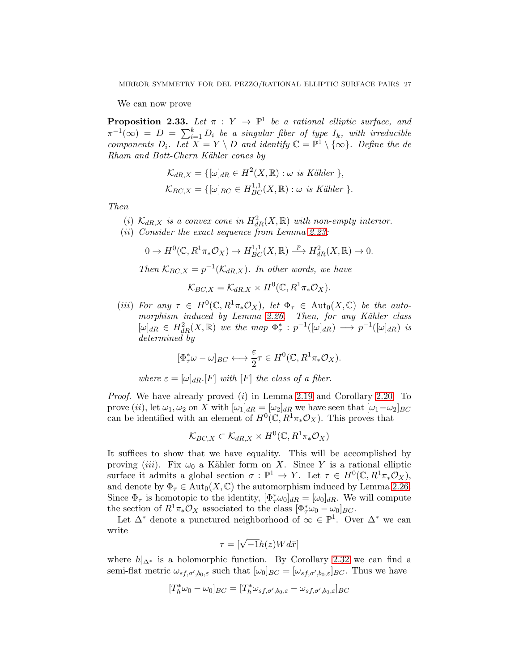We can now prove

**Proposition 2.33.** Let  $\pi : Y \to \mathbb{P}^1$  be a rational elliptic surface, and  $\pi^{-1}(\infty) = D = \sum_{i=1}^k D_i$  be a singular fiber of type  $I_k$ , with irreducible components  $D_i$ . Let  $X = Y \setminus D$  and identify  $\mathbb{C} = \mathbb{P}^1 \setminus \{\infty\}$ . Define the de Rham and Bott-Chern Kähler cones by

$$
\mathcal{K}_{dR,X} = \{ [\omega]_{dR} \in H^2(X, \mathbb{R}) : \omega \text{ is Kähler } \},
$$
  

$$
\mathcal{K}_{BC,X} = \{ [\omega]_{BC} \in H^{1,1}_{BC}(X, \mathbb{R}) : \omega \text{ is Kähler } \}.
$$

Then

- (i)  $\mathcal{K}_{dR,X}$  is a convex cone in  $H^2_{dR}(X,\mathbb{R})$  with non-empty interior.
- (ii) Consider the exact sequence from Lemma [2.23:](#page-20-0)

$$
0 \to H^0(\mathbb{C}, R^1\pi_*\mathcal{O}_X) \to H^{1,1}_{BC}(X, \mathbb{R}) \xrightarrow{\ p} H^2_{dR}(X, \mathbb{R}) \to 0.
$$

Then  $\mathcal{K}_{BC,X} = p^{-1}(\mathcal{K}_{dR,X})$ . In other words, we have

$$
\mathcal{K}_{BC,X} = \mathcal{K}_{dR,X} \times H^0(\mathbb{C}, R^1 \pi_* \mathcal{O}_X).
$$

(iii) For any  $\tau \in H^0(\mathbb{C}, R^1\pi_*\mathcal{O}_X)$ , let  $\Phi_{\tau} \in \text{Aut}_0(X, \mathbb{C})$  be the auto-morphism induced by Lemma [2.26.](#page-21-0) Then, for any Kähler class  $[\omega]_{dR} \in H^2_{dR}(X,\mathbb{R})$  we the map  $\Phi^*_{\tau}: p^{-1}([\omega]_{dR}) \longrightarrow p^{-1}([\omega]_{dR})$  is determined by

$$
[\Phi_{\tau}^*\omega-\omega]_{BC} \longleftrightarrow \frac{\varepsilon}{2}\tau\in H^0(\mathbb{C},R^1\pi_*\mathcal{O}_X).
$$

where  $\varepsilon = [\omega]_{dR}$ . [F] with [F] the class of a fiber.

Proof. We have already proved (i) in Lemma [2.19](#page-17-0) and Corollary [2.20.](#page-18-2) To prove (ii), let  $\omega_1, \omega_2$  on X with  $[\omega_1]_{dR} = [\omega_2]_{dR}$  we have seen that  $[\omega_1 - \omega_2]_{BC}$ can be identified with an element of  $H^0(\mathbb{C}, R^1\pi_*\mathcal{O}_X)$ . This proves that

$$
\mathcal{K}_{BC,X} \subset \mathcal{K}_{dR,X} \times H^0(\mathbb{C}, R^1 \pi_* \mathcal{O}_X)
$$

It suffices to show that we have equality. This will be accomplished by proving (iii). Fix  $\omega_0$  a Kähler form on X. Since Y is a rational elliptic surface it admits a global section  $\sigma : \mathbb{P}^1 \to Y$ . Let  $\tau \in H^0(\mathbb{C}, R^1\pi_*\mathcal{O}_X)$ , and denote by  $\Phi_{\tau} \in \text{Aut}_{0}(X,\mathbb{C})$  the automorphism induced by Lemma [2.26.](#page-21-0) Since  $\Phi_{\tau}$  is homotopic to the identity,  $[\Phi_{\tau}^* \omega_0]_{dR} = [\omega_0]_{dR}$ . We will compute the section of  $R^1\pi_*\mathcal{O}_X$  associated to the class  $[\Phi^*_\tau\omega_0 - \omega_0]_{BC}$ .

Let  $\Delta^*$  denote a punctured neighborhood of  $\infty \in \mathbb{P}^1$ . Over  $\Delta^*$  we can write

$$
\tau = [\sqrt{-1}h(z)Wd\bar{x}]
$$

where  $h|_{\Delta^*}$  is a holomorphic function. By Corollary [2.32](#page-25-1) we can find a semi-flat metric  $\omega_{s,f,\sigma',b_0,\varepsilon}$  such that  $[\omega_0]_{BC} = [\omega_{s,f,\sigma',b_0,\varepsilon}]_{BC}$ . Thus we have

$$
[T_h^*\omega_0 - \omega_0]_{BC} = [T_h^*\omega_{sf,\sigma',b_0,\varepsilon} - \omega_{sf,\sigma',b_0,\varepsilon}]_{BC}
$$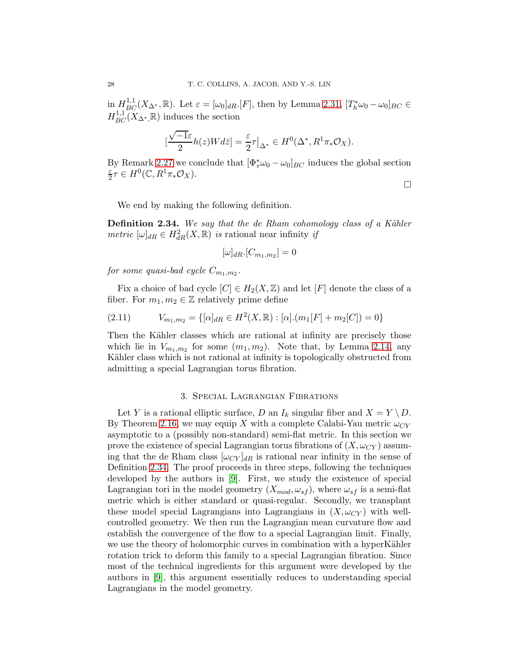in  $H_{BC}^{1,1}(X_{\Delta^*}, \mathbb{R})$ . Let  $\varepsilon = [\omega_0]_{dR}$ . [F], then by Lemma [2.31,](#page-25-0)  $[T_h^*\omega_0 - \omega_0]_{BC} \in$  $H_{BC}^{1,1}(X_{\Delta^*,\mathbb{R}})$  induces the section

$$
\left[\frac{\sqrt{-1}\varepsilon}{2}h(z)Wd\bar{z}\right] = \frac{\varepsilon}{2}\tau\big|_{\Delta^*} \in H^0(\Delta^*, R^1\pi_*\mathcal{O}_X).
$$

By Remark [2.27](#page-22-0) we conclude that  $[\Phi^*_\tau \omega_0 - \omega_0]_{BC}$  induces the global section ε  $\frac{\varepsilon}{2}\tau \in H^0(\mathbb{C}, R^1\pi_*\mathcal{O}_X).$ 

 $\Box$ 

We end by making the following definition.

<span id="page-27-1"></span>**Definition 2.34.** We say that the de Rham cohomology class of a Kähler metric  $[\omega]_{dR} \in H^2_{dR}(X,\mathbb{R})$  is rational near infinity if

$$
[\omega]_{dR}.[C_{m_1,m_2}] = 0
$$

 $\emph{for some quasi-bad cycle $C_{m_1,m_2}$}.$ 

Fix a choice of bad cycle  $[C] \in H_2(X, \mathbb{Z})$  and let  $[F]$  denote the class of a fiber. For  $m_1, m_2 \in \mathbb{Z}$  relatively prime define

(2.11) 
$$
V_{m_1,m_2} = \{ [\alpha]_{dR} \in H^2(X,\mathbb{R}) : [\alpha] \cdot (m_1[F] + m_2[C]) = 0 \}
$$

Then the Kähler classes which are rational at infinity are precisely those which lie in  $V_{m_1,m_2}$  for some  $(m_1, m_2)$ . Note that, by Lemma [2.14,](#page-14-1) any Kähler class which is not rational at infinity is topologically obstructed from admitting a special Lagrangian torus fibration.

### 3. Special Lagrangian Fibrations

<span id="page-27-0"></span>Let Y is a rational elliptic surface, D an  $I_k$  singular fiber and  $X = Y \setminus D$ . By Theorem [2.16,](#page-15-0) we may equip X with a complete Calabi-Yau metric  $\omega_{CY}$ asymptotic to a (possibly non-standard) semi-flat metric. In this section we prove the existence of special Lagrangian torus fibrations of  $(X, \omega_{CY})$  assuming that the de Rham class  $[\omega_{CY}]_{dR}$  is rational near infinity in the sense of Definition [2.34.](#page-27-1) The proof proceeds in three steps, following the techniques developed by the authors in [\[9\]](#page-74-0). First, we study the existence of special Lagrangian tori in the model geometry  $(X_{mod}, \omega_{sf})$ , where  $\omega_{sf}$  is a semi-flat metric which is either standard or quasi-regular. Secondly, we transplant these model special Lagrangians into Lagrangians in  $(X, \omega_{CY})$  with wellcontrolled geometry. We then run the Lagrangian mean curvature flow and establish the convergence of the flow to a special Lagrangian limit. Finally, we use the theory of holomorphic curves in combination with a hyperKähler rotation trick to deform this family to a special Lagrangian fibration. Since most of the technical ingredients for this argument were developed by the authors in [\[9\]](#page-74-0), this argument essentially reduces to understanding special Lagrangians in the model geometry.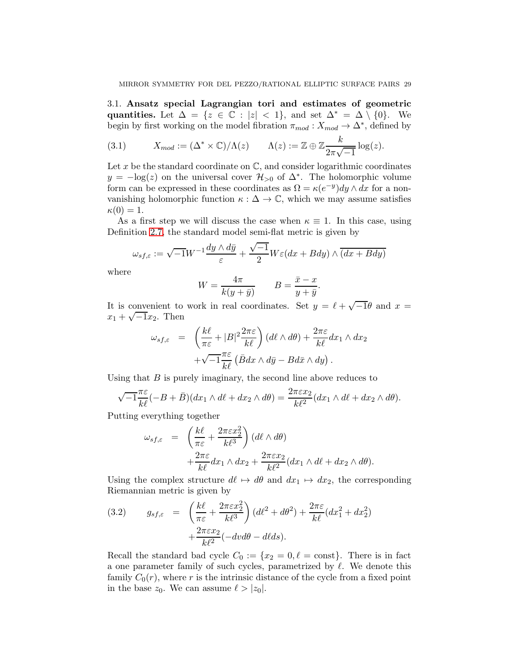3.1. Ansatz special Lagrangian tori and estimates of geometric quantities. Let  $\Delta = \{z \in \mathbb{C} : |z| < 1\}$ , and set  $\Delta^* = \Delta \setminus \{0\}$ . We begin by first working on the model fibration  $\pi_{mod}: X_{mod} \to \Delta^*$ , defined by

<span id="page-28-0"></span>(3.1) 
$$
X_{mod} := (\Delta^* \times \mathbb{C})/\Lambda(z) \qquad \Lambda(z) := \mathbb{Z} \oplus \mathbb{Z} \frac{k}{2\pi\sqrt{-1}} \log(z).
$$

Let x be the standard coordinate on  $\mathbb{C}$ , and consider logarithmic coordinates  $y = -\log(z)$  on the universal cover  $\mathcal{H}_{>0}$  of  $\Delta^*$ . The holomorphic volume form can be expressed in these coordinates as  $\Omega = \kappa(e^{-y})dy \wedge dx$  for a nonvanishing holomorphic function  $\kappa : \Delta \to \mathbb{C}$ , which we may assume satisfies  $\kappa(0)=1.$ 

As a first step we will discuss the case when  $\kappa \equiv 1$ . In this case, using Definition [2.7,](#page-10-0) the standard model semi-flat metric is given by

$$
\omega_{sf,\varepsilon} := \sqrt{-1}W^{-1}\frac{dy \wedge d\bar{y}}{\varepsilon} + \frac{\sqrt{-1}}{2}W\varepsilon(dx + Bdy) \wedge \overline{(dx + Bdy)}
$$

where

$$
W = \frac{4\pi}{k(y+\bar{y})} \qquad B = \frac{\bar{x} - x}{y + \bar{y}}.
$$

It is convenient to work in real coordinates. Set  $y = \ell + \sqrt{-1}\theta$  and  $x =$  $x_1 + \sqrt{-1}x_2$ . Then

$$
\omega_{s f, \varepsilon} = \left( \frac{k \ell}{\pi \varepsilon} + |B|^2 \frac{2 \pi \varepsilon}{k \ell} \right) (d\ell \wedge d\theta) + \frac{2 \pi \varepsilon}{k \ell} dx_1 \wedge dx_2 \n+ \sqrt{-1} \frac{\pi \varepsilon}{k \ell} (\bar{B} dx \wedge d\bar{y} - B d\bar{x} \wedge dy).
$$

Using that  $B$  is purely imaginary, the second line above reduces to

$$
\sqrt{-1}\frac{\pi\varepsilon}{k\ell}(-B+\bar{B})(dx_1\wedge d\ell+dx_2\wedge d\theta)=\frac{2\pi\varepsilon x_2}{k\ell^2}(dx_1\wedge d\ell+dx_2\wedge d\theta).
$$

Putting everything together

$$
\omega_{s f, \varepsilon} = \left( \frac{k \ell}{\pi \varepsilon} + \frac{2\pi \varepsilon x_2^2}{k \ell^3} \right) (d\ell \wedge d\theta) \n+ \frac{2\pi \varepsilon}{k \ell} dx_1 \wedge dx_2 + \frac{2\pi \varepsilon x_2}{k \ell^2} (dx_1 \wedge d\ell + dx_2 \wedge d\theta).
$$

Using the complex structure  $d\ell \mapsto d\theta$  and  $dx_1 \mapsto dx_2$ , the corresponding Riemannian metric is given by

(3.2) 
$$
g_{sf,\varepsilon} = \left(\frac{k\ell}{\pi\varepsilon} + \frac{2\pi\varepsilon x_2^2}{k\ell^3}\right) (d\ell^2 + d\theta^2) + \frac{2\pi\varepsilon}{k\ell} (dx_1^2 + dx_2^2) + \frac{2\pi\varepsilon x_2}{k\ell^2} (-dv d\theta - d\ell ds).
$$

Recall the standard bad cycle  $C_0 := \{x_2 = 0, \ell = \text{const}\}.$  There is in fact a one parameter family of such cycles, parametrized by  $\ell$ . We denote this family  $C_0(r)$ , where r is the intrinsic distance of the cycle from a fixed point in the base  $z_0$ . We can assume  $\ell > |z_0|$ .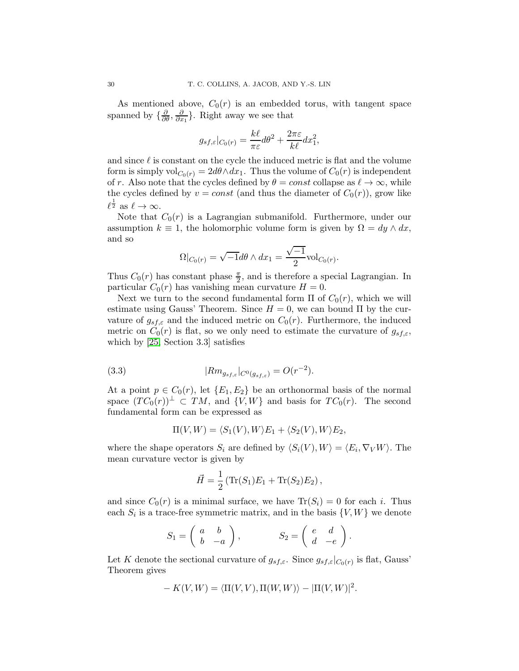As mentioned above,  $C_0(r)$  is an embedded torus, with tangent space spanned by  $\{\frac{\partial}{\partial \theta}, \frac{\partial}{\partial x}$  $\frac{\partial}{\partial x_1}$ . Right away we see that

$$
g_{sf,\varepsilon}|_{C_0(r)} = \frac{k\ell}{\pi\varepsilon}d\theta^2 + \frac{2\pi\varepsilon}{k\ell}dx_1^2,
$$

and since  $\ell$  is constant on the cycle the induced metric is flat and the volume form is simply vol $_{C_0(r)} = 2d\theta \wedge dx_1$ . Thus the volume of  $C_0(r)$  is independent of r. Also note that the cycles defined by  $\theta = const$  collapse as  $\ell \to \infty$ , while the cycles defined by  $v = const$  (and thus the diameter of  $C_0(r)$ ), grow like  $\ell^{\frac{1}{2}}$  as  $\ell \to \infty$ .

Note that  $C_0(r)$  is a Lagrangian submanifold. Furthermore, under our assumption  $k \equiv 1$ , the holomorphic volume form is given by  $\Omega = dy \wedge dx$ , and so

$$
\Omega|_{C_0(r)} = \sqrt{-1}d\theta \wedge dx_1 = \frac{\sqrt{-1}}{2}\text{vol}_{C_0(r)}.
$$

Thus  $C_0(r)$  has constant phase  $\frac{\pi}{2}$ , and is therefore a special Lagrangian. In particular  $C_0(r)$  has vanishing mean curvature  $H = 0$ .

Next we turn to the second fundamental form  $\Pi$  of  $C_0(r)$ , which we will estimate using Gauss' Theorem. Since  $H = 0$ , we can bound  $\Pi$  by the curvature of  $g_{sf,\varepsilon}$  and the induced metric on  $C_0(r)$ . Furthermore, the induced metric on  $C_0(r)$  is flat, so we only need to estimate the curvature of  $g_{sf,\varepsilon}$ , which by [\[25,](#page-75-0) Section 3.3] satisfies

(3.3) 
$$
|Rm_{g_{sf,\varepsilon}}|_{C^0(g_{sf,\varepsilon})} = O(r^{-2}).
$$

At a point  $p \in C_0(r)$ , let  $\{E_1, E_2\}$  be an orthonormal basis of the normal space  $(T C_0(r))^{\perp} \subset TM$ , and  $\{V, W\}$  and basis for  $TC_0(r)$ . The second fundamental form can be expressed as

<span id="page-29-0"></span>
$$
\Pi(V, W) = \langle S_1(V), W \rangle E_1 + \langle S_2(V), W \rangle E_2,
$$

where the shape operators  $S_i$  are defined by  $\langle S_i(V), W \rangle = \langle E_i, \nabla_V W \rangle$ . The mean curvature vector is given by

$$
\vec{H} = \frac{1}{2} \left( \text{Tr}(S_1) E_1 + \text{Tr}(S_2) E_2 \right),
$$

and since  $C_0(r)$  is a minimal surface, we have  $\text{Tr}(S_i) = 0$  for each i. Thus each  $S_i$  is a trace-free symmetric matrix, and in the basis  $\{V, W\}$  we denote

$$
S_1 = \begin{pmatrix} a & b \\ b & -a \end{pmatrix}, \qquad S_2 = \begin{pmatrix} e & d \\ d & -e \end{pmatrix}.
$$

Let K denote the sectional curvature of  $g_{sf,\varepsilon}$ . Since  $g_{sf,\varepsilon}|_{C_0(r)}$  is flat, Gauss' Theorem gives

$$
- K(V, W) = \langle \Pi(V, V), \Pi(W, W) \rangle - |\Pi(V, W)|^2.
$$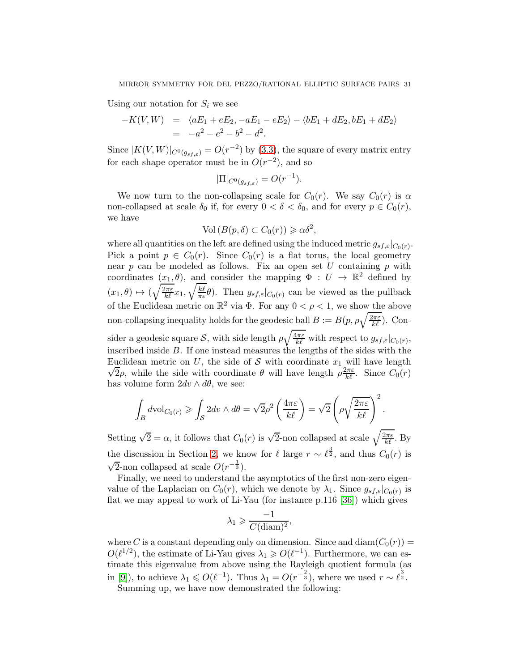Using our notation for  $S_i$  we see

$$
-K(V,W) = \langle aE_1 + eE_2, -aE_1 - eE_2 \rangle - \langle bE_1 + dE_2, bE_1 + dE_2 \rangle
$$
  
=  $-a^2 - e^2 - b^2 - d^2$ .

Since  $|K(V,W)|_{C^0(g_{s f,\varepsilon})} = O(r^{-2})$  by [\(3.3\)](#page-29-0), the square of every matrix entry for each shape operator must be in  $O(r^{-2})$ , and so

$$
|\Pi|_{C^0(g_{sf,\varepsilon})}=O(r^{-1}).
$$

We now turn to the non-collapsing scale for  $C_0(r)$ . We say  $C_0(r)$  is  $\alpha$ non-collapsed at scale  $\delta_0$  if, for every  $0 < \delta < \delta_0$ , and for every  $p \in C_0(r)$ , we have

$$
\text{Vol}\left(B(p,\delta)\subset C_0(r)\right)\geqslant\alpha\delta^2,
$$

where all quantities on the left are defined using the induced metric  $g_{sf,\varepsilon}|_{C_0(r)}$ . Pick a point  $p \in C_0(r)$ . Since  $C_0(r)$  is a flat torus, the local geometry near  $p$  can be modeled as follows. Fix an open set U containing  $p$  with coordinates  $(x_1, \theta)$ , and consider the mapping  $\Phi : U \to \mathbb{R}^2$  defined by  $(x_1, \theta) \mapsto (\sqrt{\frac{2\pi\varepsilon}{k\ell}}x_1, \sqrt{\frac{k\ell}{\pi\varepsilon}})$  $\frac{k\ell}{\pi\varepsilon}\theta$ ). Then  $g_{sf,\varepsilon}|_{C_0(r)}$  can be viewed as the pullback of the Euclidean metric on  $\mathbb{R}^2$  via  $\Phi$ . For any  $0 < \rho < 1$ , we show the above non-collapsing inequality holds for the geodesic ball  $B:=B(p,\rho\sqrt{\frac{2\pi\varepsilon}{k\ell}})$ . Consider a geodesic square S, with side length  $\rho \sqrt{\frac{4\pi \varepsilon}{k\ell}}$  with respect to  $g_{sf,\varepsilon}|_{C_0(r)}$ , inscribed inside B. If one instead measures the lengths of the sides with the Euclidean metric on U, the side of S with coordinate  $x_1$  will have length Latington mother on e, the side of  $C$  with coordinate  $u_1$  in the length  $\sqrt{2\rho}$ , while the side with coordinate  $\theta$  will have length  $\rho \frac{2\pi \varepsilon}{k\ell}$ . Since  $C_0(r)$ has volume form  $2dv \wedge d\theta$ , we see:

$$
\int_B d\text{vol}_{C_0(r)} \ge \int_{\mathcal{S}} 2dv \wedge d\theta = \sqrt{2}\rho^2 \left(\frac{4\pi\varepsilon}{k\ell}\right) = \sqrt{2}\left(\rho\sqrt{\frac{2\pi\varepsilon}{k\ell}}\right)^2.
$$

Setting  $\sqrt{2} = \alpha$ , it follows that  $C_0(r)$  is  $\sqrt{2}$ -non collapsed at scale  $\sqrt{\frac{2\pi\varepsilon}{k\ell}}$ . By the discussion in Section [2,](#page-5-0) we know for  $\ell$  large  $r \sim \ell^{\frac{3}{2}}$ , and thus  $C_0(r)$  is  $\sqrt{2}$ -non collapsed at scale  $O(r^{-\frac{1}{3}})$ .

Finally, we need to understand the asymptotics of the first non-zero eigenvalue of the Laplacian on  $C_0(r)$ , which we denote by  $\lambda_1$ . Since  $g_{sf,\varepsilon}|_{C_0(r)}$  is flat we may appeal to work of Li-Yau (for instance p.116 [\[36\]](#page-75-16)) which gives

$$
\lambda_1 \geqslant \frac{-1}{C(\text{diam})^2},
$$

where C is a constant depending only on dimension. Since and diam( $C_0(r)$ ) =  $O(\ell^{1/2})$ , the estimate of Li-Yau gives  $\lambda_1 \geqslant O(\ell^{-1})$ . Furthermore, we can estimate this eigenvalue from above using the Rayleigh quotient formula (as in [\[9\]](#page-74-0)), to achieve  $\lambda_1 \leqslant O(\ell^{-1})$ . Thus  $\lambda_1 = O(r^{-\frac{2}{3}})$ , where we used  $r \sim \ell^{\frac{3}{2}}$ .

Summing up, we have now demonstrated the following: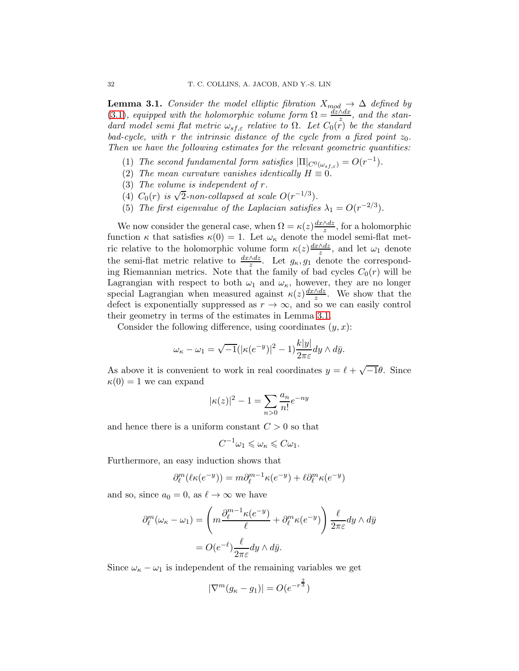<span id="page-31-0"></span>**Lemma 3.1.** Consider the model elliptic fibration  $X_{mod} \to \Delta$  defined by [\(3.1\)](#page-28-0), equipped with the holomorphic volume form  $\Omega = \frac{dz \wedge dx}{z}$ , and the standard model semi flat metric  $\omega_{s,f,\varepsilon}$  relative to  $\Omega$ . Let  $C_0(r)$  be the standard bad-cycle, with r the intrinsic distance of the cycle from a fixed point  $z_0$ . Then we have the following estimates for the relevant geometric quantities:

- (1) The second fundamental form satisfies  $|\Pi|_{C^0(\omega_{s,f,\varepsilon})} = O(r^{-1}).$
- (2) The mean curvature vanishes identically  $H \equiv 0$ .
- (3) The volume is independent of r.
- (4)  $C_0(r)$  is  $\sqrt{2}$ -non-collapsed at scale  $O(r^{-1/3})$ .
- (5) The first eigenvalue of the Laplacian satisfies  $\lambda_1 = O(r^{-2/3})$ .

We now consider the general case, when  $\Omega = \kappa(z) \frac{dx \wedge dz}{z}$ , for a holomorphic function  $\kappa$  that satisfies  $\kappa(0) = 1$ . Let  $\omega_{\kappa}$  denote the model semi-flat metric relative to the holomorphic volume form  $\kappa(z) \frac{dx \wedge dz}{z}$ , and let  $\omega_1$  denote the semi-flat metric relative to  $\frac{dx \wedge dz}{z}$ . Let  $g_{\kappa}, g_1$  denote the corresponding Riemannian metrics. Note that the family of bad cycles  $C_0(r)$  will be Lagrangian with respect to both  $\omega_1$  and  $\omega_\kappa$ , however, they are no longer special Lagrangian when measured against  $\kappa(z) \frac{dx \wedge dz}{z}$ . We show that the defect is exponentially suppressed as  $r \to \infty$ , and so we can easily control their geometry in terms of the estimates in Lemma [3.1.](#page-31-0)

Consider the following difference, using coordinates  $(y, x)$ :

$$
\omega_{\kappa} - \omega_1 = \sqrt{-1} (|\kappa(e^{-y})|^2 - 1) \frac{k|y|}{2\pi\varepsilon} dy \wedge d\bar{y}.
$$

As above it is convenient to work in real coordinates  $y = \ell + \sqrt{-1}\theta$ . Since  $\kappa(0) = 1$  we can expand

$$
|\kappa(z)|^2 - 1 = \sum_{n>0} \frac{a_n}{n!} e^{-ny}
$$

and hence there is a uniform constant  $C > 0$  so that

$$
C^{-1}\omega_1 \leqslant \omega_\kappa \leqslant C\omega_1.
$$

Furthermore, an easy induction shows that

$$
\partial_{\ell}^{m}(\ell \kappa(e^{-y})) = m \partial_{\ell}^{m-1} \kappa(e^{-y}) + \ell \partial_{\ell}^{m} \kappa(e^{-y})
$$

and so, since  $a_0 = 0$ , as  $\ell \to \infty$  we have

$$
\partial_{\ell}^{m}(\omega_{\kappa} - \omega_{1}) = \left( m \frac{\partial_{\ell}^{m-1} \kappa(e^{-y})}{\ell} + \partial_{\ell}^{m} \kappa(e^{-y}) \right) \frac{\ell}{2\pi\varepsilon} dy \wedge d\bar{y}
$$

$$
= O(e^{-\ell}) \frac{\ell}{2\pi\varepsilon} dy \wedge d\bar{y}.
$$

Since  $\omega_{\kappa} - \omega_1$  is independent of the remaining variables we get

$$
|\nabla^{m}(g_{\kappa} - g_1)| = O(e^{-r^{\frac{2}{3}}})
$$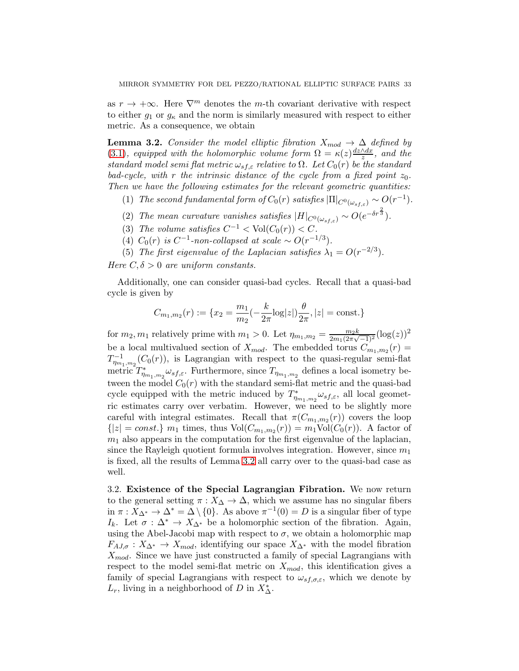as  $r \to +\infty$ . Here  $\nabla^m$  denotes the *m*-th covariant derivative with respect to either  $g_1$  or  $g_k$  and the norm is similarly measured with respect to either metric. As a consequence, we obtain

<span id="page-32-0"></span>**Lemma 3.2.** Consider the model elliptic fibration  $X_{mod} \rightarrow \Delta$  defined by [\(3.1\)](#page-28-0), equipped with the holomorphic volume form  $\Omega = \kappa(z) \frac{dz \wedge dx}{z}$ , and the standard model semi flat metric  $\omega_{s f, \varepsilon}$  relative to  $\Omega$ . Let  $C_0(r)$  be the standard bad-cycle, with r the intrinsic distance of the cycle from a fixed point  $z_0$ . Then we have the following estimates for the relevant geometric quantities:

- (1) The second fundamental form of  $C_0(r)$  satisfies  $|\Pi|_{C^0(\omega_{s,f,\varepsilon})} \sim O(r^{-1})$ .
- (2) The mean curvature vanishes satisfies  $|H|_{C^{0}(\omega_{s f,\varepsilon})} \sim O(e^{-\delta r^{\frac{2}{3}}}).$
- (3) The volume satisfies  $C^{-1} < Vol(C_0(r)) < C$ .
- (4)  $C_0(r)$  is  $C^{-1}$ -non-collapsed at scale ~  $O(r^{-1/3})$ .
- (5) The first eigenvalue of the Laplacian satisfies  $\lambda_1 = O(r^{-2/3})$ .

Here  $C, \delta > 0$  are uniform constants.

Additionally, one can consider quasi-bad cycles. Recall that a quasi-bad cycle is given by

$$
C_{m_1,m_2}(r) := \{x_2 = \frac{m_1}{m_2}(-\frac{k}{2\pi}\log|z|)\frac{\theta}{2\pi}, |z| = \text{const.}\}
$$

for  $m_2, m_1$  relatively prime with  $m_1 > 0$ . Let  $\eta_{m_1,m_2} = \frac{m_2 k}{2m_1(2\pi\sqrt{m_1})}$  $\frac{m_2 k}{2m_1(2\pi\sqrt{-1})^2}(\log(z))^2$ be a local multivalued section of  $X_{mod}$ . The embedded torus  $C_{m_1,m_2}(r)$  $T_{\eta_{m_1,m_2}}^{-1}(C_0(r))$ , is Lagrangian with respect to the quasi-regular semi-flat metric  $T_{\eta_{m_1,m_2}}^* \omega_{sf,\varepsilon}$ . Furthermore, since  $T_{\eta_{m_1,m_2}}$  defines a local isometry between the model  $C_0(r)$  with the standard semi-flat metric and the quasi-bad cycle equipped with the metric induced by  $T^*_{\eta_{m_1,m_2}} \omega_{sf,\varepsilon}$ , all local geometric estimates carry over verbatim. However, we need to be slightly more careful with integral estimates. Recall that  $\pi(C_{m_1,m_2}(r))$  covers the loop  ${|z| = const.}$   $m_1$  times, thus  $Vol(C_{m_1,m_2}(r)) = m_1 Vol(C_0(r))$ . A factor of  $m<sub>1</sub>$  also appears in the computation for the first eigenvalue of the laplacian, since the Rayleigh quotient formula involves integration. However, since  $m_1$ is fixed, all the results of Lemma [3.2](#page-32-0) all carry over to the quasi-bad case as well.

3.2. Existence of the Special Lagrangian Fibration. We now return to the general setting  $\pi : X_{\Delta} \to \Delta$ , which we assume has no singular fibers in  $\pi: X_{\Delta^*} \to \Delta^* = \Delta \setminus \{0\}$ . As above  $\pi^{-1}(0) = D$  is a singular fiber of type I<sub>k</sub>. Let  $\sigma : \Delta^* \to X_{\Delta^*}$  be a holomorphic section of the fibration. Again, using the Abel-Jacobi map with respect to  $\sigma$ , we obtain a holomorphic map  $F_{A J, \sigma}: X_{\Delta^*} \to X_{mod}$ , identifying our space  $X_{\Delta^*}$  with the model fibration  $X_{mod}$ . Since we have just constructed a family of special Lagrangians with respect to the model semi-flat metric on  $X_{mod}$ , this identification gives a family of special Lagrangians with respect to  $\omega_{s,f,\sigma,\varepsilon}$ , which we denote by  $L_r$ , living in a neighborhood of D in  $X^*_{\Delta}$ .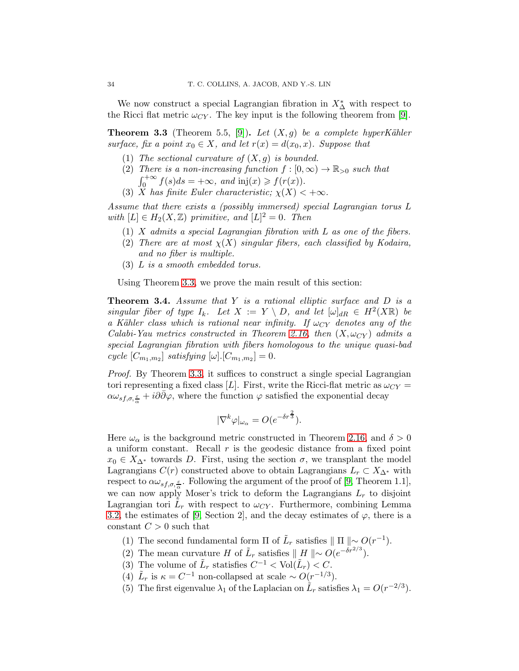We now construct a special Lagrangian fibration in  $X^*_{\Delta}$  with respect to the Ricci flat metric  $\omega_{CY}$ . The key input is the following theorem from [\[9\]](#page-74-0).

<span id="page-33-1"></span>**Theorem 3.3** (Theorem 5.5, [\[9\]](#page-74-0)). Let  $(X, g)$  be a complete hyperKähler surface, fix a point  $x_0 \in X$ , and let  $r(x) = d(x_0, x)$ . Suppose that

- (1) The sectional curvature of  $(X, g)$  is bounded.
- (2) There is a non-increasing function  $f : [0, \infty) \to \mathbb{R}_{>0}$  such that  $\int_0^{+\infty} f(s)ds = +\infty$ , and inj(x)  $\geq f(r(x))$ .
- (3) X has finite Euler characteristic;  $\chi(X) < +\infty$ .

Assume that there exists a (possibly immersed) special Lagrangian torus L with  $[L] \in H_2(X, \mathbb{Z})$  primitive, and  $[L]^2 = 0$ . Then

- $(1)$  X admits a special Lagrangian fibration with L as one of the fibers.
- (2) There are at most  $\chi(X)$  singular fibers, each classified by Kodaira, and no fiber is multiple.
- (3) L is a smooth embedded torus.

Using Theorem [3.3,](#page-33-1) we prove the main result of this section:

<span id="page-33-0"></span>**Theorem 3.4.** Assume that  $Y$  is a rational elliptic surface and  $D$  is a singular fiber of type  $I_k$ . Let  $X := Y \setminus D$ , and let  $[\omega]_{dR} \in H^2(X\mathbb{R})$  be a Kähler class which is rational near infinity. If  $\omega_{CY}$  denotes any of the Calabi-Yau metrics constructed in Theorem [2.16,](#page-15-0) then  $(X, \omega_{CY})$  admits a special Lagrangian fibration with fibers homologous to the unique quasi-bad cycle  $[C_{m_1,m_2}]$  satisfying  $[\omega]$ .  $[C_{m_1,m_2}] = 0$ .

Proof. By Theorem [3.3,](#page-33-1) it suffices to construct a single special Lagrangian tori representing a fixed class [L]. First, write the Ricci-flat metric as  $\omega_{CY}$  =  $\alpha\omega_{s f,\sigma,\frac{\varepsilon}{\alpha}}+i\partial\bar{\partial}\varphi$ , where the function  $\varphi$  satisfied the exponential decay

$$
|\nabla^k \varphi|_{\omega_\alpha} = O(e^{-\delta r^{\frac{2}{3}}}).
$$

Here  $\omega_{\alpha}$  is the background metric constructed in Theorem [2.16,](#page-15-0) and  $\delta > 0$ a uniform constant. Recall  $r$  is the geodesic distance from a fixed point  $x_0 \in X_{\Delta^*}$  towards D. First, using the section  $\sigma$ , we transplant the model Lagrangians  $C(r)$  constructed above to obtain Lagrangians  $L_r \subset X_{\Delta^*}$  with respect to  $\alpha \omega_{sf,\sigma,\frac{\varepsilon}{\alpha}}$ . Following the argument of the proof of [\[9,](#page-74-0) Theorem 1.1], we can now apply Moser's trick to deform the Lagrangians  $L_r$  to disjoint Lagrangian tori  $\tilde{L}_r$  with respect to  $\omega_{CY}$ . Furthermore, combining Lemma [3.2,](#page-32-0) the estimates of [\[9,](#page-74-0) Section 2], and the decay estimates of  $\varphi$ , there is a constant  $C > 0$  such that

(1) The second fundamental form  $\Pi$  of  $\tilde{L}_r$  satisfies  $\|\Pi\| \sim O(r^{-1})$ .

- (2) The mean curvature H of  $\tilde{L}_r$  satisfies  $\parallel H \parallel \sim O(e^{-\delta r^{2/3}})$ .
- (3) The volume of  $\tilde{L}_r$  statisfies  $C^{-1} < \text{Vol}(\tilde{L}_r) < C$ .
- (4)  $\tilde{L}_r$  is  $\kappa = C^{-1}$  non-collapsed at scale ~  $O(r^{-1/3})$ .
- (5) The first eigenvalue  $\lambda_1$  of the Laplacian on  $\tilde{L}_r$  satisfies  $\lambda_1 = O(r^{-2/3})$ .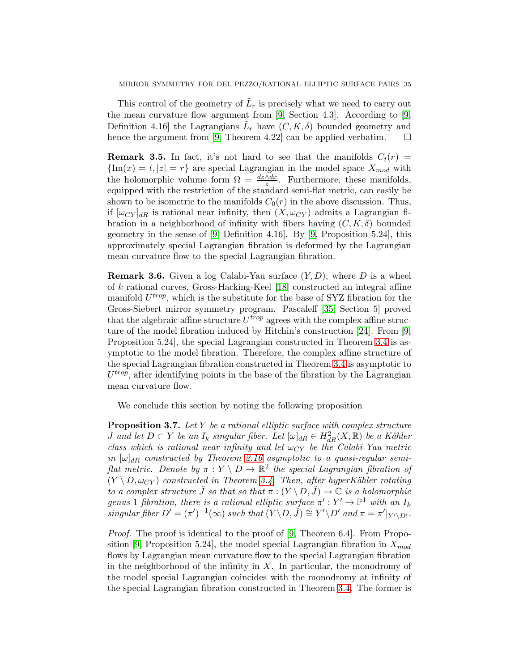This control of the geometry of  $\tilde{L}_r$  is precisely what we need to carry out the mean curvature flow argument from [\[9,](#page-74-0) Section 4.3]. According to [\[9,](#page-74-0) Definition 4.16 the Lagrangians  $\tilde{L}_r$  have  $(C, K, \delta)$  bounded geometry and hence the argument from [\[9,](#page-74-0) Theorem 4.22] can be applied verbatim.  $\square$ 

**Remark 3.5.** In fact, it's not hard to see that the manifolds  $C_t(r)$  =  ${\rm Im}(x) = t, |z| = r$  are special Lagrangian in the model space  $X_{mod}$  with the holomorphic volume form  $\Omega = \frac{dz \wedge dx}{z}$ . Furthermore, these manifolds, equipped with the restriction of the standard semi-flat metric, can easily be shown to be isometric to the manifolds  $C_0(r)$  in the above discussion. Thus, if  $[\omega_{CY}]_{dR}$  is rational near infinity, then  $(X, \omega_{CY})$  admits a Lagrangian fibration in a neighborhood of infinity with fibers having  $(C, K, \delta)$  bounded geometry in the sense of [\[9,](#page-74-0) Definition 4.16]. By [\[9,](#page-74-0) Proposition 5.24], this approximately special Lagrangian fibration is deformed by the Lagrangian mean curvature flow to the special Lagrangian fibration.

**Remark 3.6.** Given a log Calabi-Yau surface  $(Y, D)$ , where D is a wheel of k rational curves, Gross-Hacking-Keel [\[18\]](#page-74-8) constructed an integral affine manifold  $U^{trop}$ , which is the substitute for the base of SYZ fibration for the Gross-Siebert mirror symmetry program. Pascaleff [\[35,](#page-75-17) Section 5] proved that the algebraic affine structure  $U^{trop}$  agrees with the complex affine structure of the model fibration induced by Hitchin's construction [\[24\]](#page-75-6). From [\[9,](#page-74-0) Proposition 5.24], the special Lagrangian constructed in Theorem [3.4](#page-33-0) is asymptotic to the model fibration. Therefore, the complex affine structure of the special Lagrangian fibration constructed in Theorem [3.4](#page-33-0) is asymptotic to  $U^{trop}$ , after identifying points in the base of the fibration by the Lagrangian mean curvature flow.

We conclude this section by noting the following proposition

Proposition 3.7. Let Y be a rational elliptic surface with complex structure *J* and let  $D \subset Y$  be an  $I_k$  singular fiber. Let  $[\omega]_{dR} \in H^2_{dR}(X,\mathbb{R})$  be a Kähler class which is rational near infinity and let  $\omega_{CY}$  be the Calabi-Yau metric in  $[\omega]_{dR}$  constructed by Theorem [2.16](#page-15-0) asymptotic to a quasi-regular semiflat metric. Denote by  $\pi: Y \setminus D \to \mathbb{R}^2$  the special Lagrangian fibration of  $(Y \setminus D, \omega_{CY})$  constructed in Theorem [3.4.](#page-33-0) Then, after hyperKähler rotating to a complex structure  $\check{J}$  so that so that  $\pi : (Y \setminus D, \check{J}) \to \mathbb{C}$  is a holomorphic genus 1 fibration, there is a rational elliptic surface  $\pi': Y' \to \mathbb{P}^1$  with an  $I_k$ singular fiber  $D' = (\pi')^{-1}(\infty)$  such that  $(Y \setminus D, \check{J}) \cong Y' \setminus D'$  and  $\pi = \pi' \vert_{Y' \setminus D'}$ .

Proof. The proof is identical to the proof of [\[9,](#page-74-0) Theorem 6.4]. From Propo-sition [\[9,](#page-74-0) Proposition 5.24], the model special Lagrangian fibration in  $X_{mod}$ flows by Lagrangian mean curvature flow to the special Lagrangian fibration in the neighborhood of the infinity in  $X$ . In particular, the monodromy of the model special Lagrangian coincides with the monodromy at infinity of the special Lagrangian fibration constructed in Theorem [3.4.](#page-33-0) The former is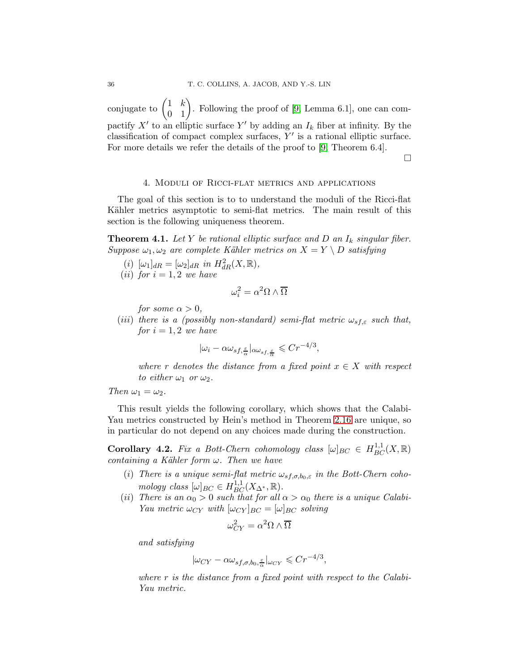conjugate to  $\begin{pmatrix} 1 & k \\ 0 & 1 \end{pmatrix}$ . Following the proof of [\[9,](#page-74-0) Lemma 6.1], one can compactify  $X'$  to an elliptic surface  $Y'$  by adding an  $I_k$  fiber at infinity. By the classification of compact complex surfaces,  $Y'$  is a rational elliptic surface. For more details we refer the details of the proof to [\[9,](#page-74-0) Theorem 6.4].

 $\Box$ 

#### 4. Moduli of Ricci-flat metrics and applications

<span id="page-35-2"></span>The goal of this section is to to understand the moduli of the Ricci-flat Kähler metrics asymptotic to semi-flat metrics. The main result of this section is the following uniqueness theorem.

<span id="page-35-0"></span>**Theorem 4.1.** Let Y be rational elliptic surface and D an  $I_k$  singular fiber. Suppose  $\omega_1, \omega_2$  are complete Kähler metrics on  $X = Y \setminus D$  satisfying

- (i)  $[\omega_1]_{dR} = [\omega_2]_{dR}$  in  $H^2_{dR}(X, \mathbb{R}),$
- (*ii*) for  $i = 1, 2$  we have

$$
\omega_i^2 = \alpha^2 \Omega \wedge \overline{\Omega}
$$

for some  $\alpha > 0$ ,

(iii) there is a (possibly non-standard) semi-flat metric  $\omega_{s,f,\varepsilon}$  such that, for  $i = 1, 2$  we have

$$
|\omega_i - \alpha \omega_{sf, \frac{\varepsilon}{\alpha}}|_{\alpha \omega_{sf, \frac{\varepsilon}{\alpha}}} \leqslant C r^{-4/3},
$$

where r denotes the distance from a fixed point  $x \in X$  with respect to either  $\omega_1$  or  $\omega_2$ .

Then  $\omega_1 = \omega_2$ .

This result yields the following corollary, which shows that the Calabi-Yau metrics constructed by Hein's method in Theorem [2.16](#page-15-0) are unique, so in particular do not depend on any choices made during the construction.

<span id="page-35-1"></span>**Corollary 4.2.** Fix a Bott-Chern cohomology class  $[\omega]_{BC} \in H_{BC}^{1,1}(X,\mathbb{R})$ containing a Kähler form  $\omega$ . Then we have

- (i) There is a unique semi-flat metric  $\omega_{s,f,\sigma,b_0,\varepsilon}$  in the Bott-Chern cohomology class  $[\omega]_{BC} \in H_{BC}^{1,1}(X_{\Delta^*}, \mathbb{R}).$
- (ii) There is an  $\alpha_0 > 0$  such that for all  $\alpha > \alpha_0$  there is a unique Calabi-Yau metric  $\omega_{CY}$  with  $[\omega_{CY}]_{BC} = [\omega]_{BC}$  solving

$$
\omega_{CY}^2 = \alpha^2 \Omega \wedge \overline{\Omega}
$$

and satisfying

$$
|\omega_{CY} - \alpha \omega_{sf,\sigma,b_0,\frac{\varepsilon}{\alpha}}|_{\omega_{CY}} \leq C r^{-4/3},
$$

where  $r$  is the distance from a fixed point with respect to the Calabi-Yau metric.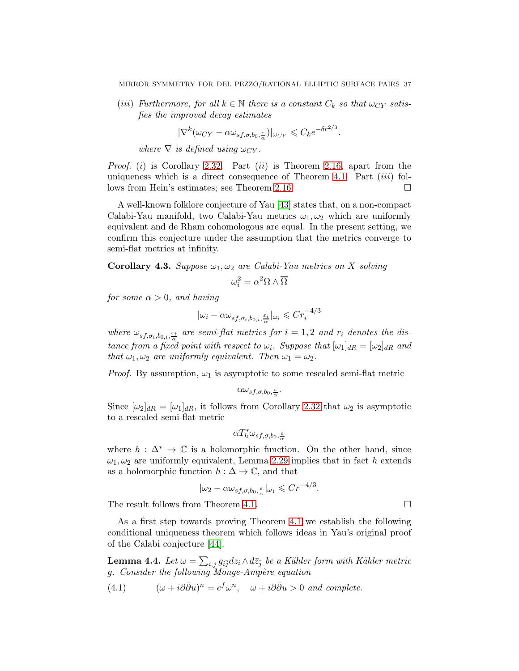(iii) Furthermore, for all  $k \in \mathbb{N}$  there is a constant  $C_k$  so that  $\omega_{CY}$  satisfies the improved decay estimates

$$
|\nabla^k(\omega_{CY}-\alpha\omega_{sf,\sigma,b_0,\frac{\varepsilon}{\alpha}})|_{\omega_{CY}}\leqslant C_k e^{-\delta r^{2/3}}.
$$

where  $\nabla$  is defined using  $\omega_{CY}$ .

*Proof.* (i) is Corollary [2.32.](#page-25-0) Part (ii) is Theorem [2.16,](#page-15-0) apart from the uniqueness which is a direct consequence of Theorem [4.1.](#page-35-0) Part  $(iii)$  follows from Hein's estimates; see Theorem [2.16.](#page-15-0)

A well-known folklore conjecture of Yau [\[43\]](#page-75-0) states that, on a non-compact Calabi-Yau manifold, two Calabi-Yau metrics  $\omega_1, \omega_2$  which are uniformly equivalent and de Rham cohomologous are equal. In the present setting, we confirm this conjecture under the assumption that the metrics converge to semi-flat metrics at infinity.

**Corollary 4.3.** Suppose  $\omega_1, \omega_2$  are Calabi-Yau metrics on X solving

$$
\omega_i^2 = \alpha^2 \Omega \wedge \overline{\Omega}
$$

for some  $\alpha > 0$ , and having

$$
|\omega_i - \alpha \omega_{sf, \sigma_i, b_{0,i}, \frac{\varepsilon_i}{\alpha}}|_{\omega_i} \leq C r_i^{-4/3}
$$

where  $\omega_{sf,\sigma_i,b_{0,i},\frac{\varepsilon_i}{\alpha}}$  are semi-flat metrics for  $i=1,2$  and  $r_i$  denotes the distance from a fixed point with respect to  $\omega_i$ . Suppose that  $[\omega_1]_{dR} = [\omega_2]_{dR}$  and that  $\omega_1, \omega_2$  are uniformly equivalent. Then  $\omega_1 = \omega_2$ .

*Proof.* By assumption,  $\omega_1$  is asymptotic to some rescaled semi-flat metric

$$
\alpha \omega_{sf,\sigma,b_0,\frac{\varepsilon}{\alpha}}.
$$

Since  $[\omega_2]_{dR} = [\omega_1]_{dR}$ , it follows from Corollary [2.32](#page-25-0) that  $\omega_2$  is asymptotic to a rescaled semi-flat metric

$$
\alpha T_h^* \omega_{sf,\sigma,b_0,\frac{\varepsilon}{\alpha}}
$$

where  $h : \Delta^* \to \mathbb{C}$  is a holomorphic function. On the other hand, since  $\omega_1, \omega_2$  are uniformly equivalent, Lemma [2.29](#page-23-0) implies that in fact h extends as a holomorphic function  $h : \Delta \to \mathbb{C}$ , and that

$$
|\omega_2 - \alpha \omega_{sf,\sigma,b_0,\frac{\varepsilon}{\alpha}}|_{\omega_1} \leqslant Cr^{-4/3}.
$$

The result follows from Theorem [4.1.](#page-35-0)

As a first step towards proving Theorem [4.1](#page-35-0) we establish the following conditional uniqueness theorem which follows ideas in Yau's original proof of the Calabi conjecture [\[44\]](#page-75-1).

<span id="page-36-1"></span>**Lemma 4.4.** Let  $\omega = \sum_{i,j} g_{i\overline{j}} dz_i \wedge d\overline{z}_{\overline{j}}$  be a Kähler form with Kähler metric g. Consider the following Monge-Ampère equation

<span id="page-36-0"></span>(4.1) 
$$
(\omega + i\partial\bar{\partial}u)^n = e^f\omega^n, \quad \omega + i\partial\bar{\partial}u > 0 \text{ and complete.}
$$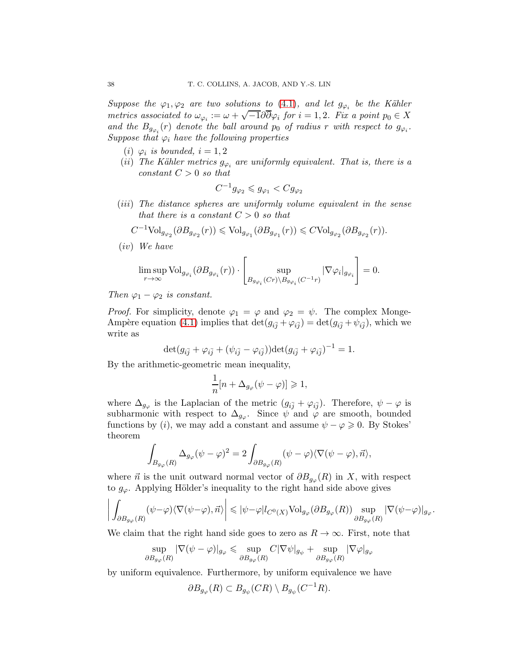Suppose the  $\varphi_1, \varphi_2$  are two solutions to [\(4.1\)](#page-36-0), and let  $g_{\varphi_i}$  be the Kähler metrics associated to  $\omega_{\varphi_i} := \omega + \sqrt{-1} \partial \overline{\partial} \varphi_i$  for  $i = 1, 2$ . Fix a point  $p_0 \in X$ and the  $B_{g_{\varphi_i}}(r)$  denote the ball around  $p_0$  of radius r with respect to  $g_{\varphi_i}$ . Suppose that  $\varphi_i$  have the following properties

- (i)  $\varphi_i$  is bounded,  $i = 1, 2$
- (ii) The Kähler metrics  $g_{\varphi_i}$  are uniformly equivalent. That is, there is a constant  $C > 0$  so that

$$
C^{-1}g_{\varphi_2} \leqslant g_{\varphi_1} < Cg_{\varphi_2}
$$

(iii) The distance spheres are uniformly volume equivalent in the sense that there is a constant  $C > 0$  so that

$$
C^{-1}\mathrm{Vol}_{g_{\varphi_2}}(\partial B_{g_{\varphi_2}}(r))\leqslant \mathrm{Vol}_{g_{\varphi_1}}(\partial B_{g_{\varphi_1}}(r))\leqslant C\mathrm{Vol}_{g_{\varphi_2}}(\partial B_{g_{\varphi_2}}(r)).
$$

(iv) We have

$$
\limsup_{r\to\infty}\mathrm{Vol}_{g_{\varphi_i}}(\partial B_{g_{\varphi_i}}(r))\cdot\left[\sup_{B_{g_{\varphi_i}}(Cr)\backslash B_{g_{\varphi_i}}(C^{-1}r)}|\nabla\varphi_i|_{g_{\varphi_i}}\right]=0.
$$

Then  $\varphi_1 - \varphi_2$  is constant.

*Proof.* For simplicity, denote  $\varphi_1 = \varphi$  and  $\varphi_2 = \psi$ . The complex Monge-Ampère equation [\(4.1\)](#page-36-0) implies that  $\det(g_{i\bar{j}} + \varphi_{i\bar{j}}) = \det(g_{i\bar{j}} + \psi_{i\bar{j}})$ , which we write as

$$
\det(g_{i\bar{j}} + \varphi_{i\bar{j}} + (\psi_{i\bar{j}} - \varphi_{i\bar{j}}))\det(g_{i\bar{j}} + \varphi_{i\bar{j}})^{-1} = 1.
$$

By the arithmetic-geometric mean inequality,

$$
\frac{1}{n}[n+\Delta_{g_{\varphi}}(\psi-\varphi)]\geqslant 1,
$$

where  $\Delta_{g_{\varphi}}$  is the Laplacian of the metric  $(g_{i\bar{j}} + \varphi_{i\bar{j}})$ . Therefore,  $\psi - \varphi$  is subharmonic with respect to  $\Delta_{g_{\varphi}}$ . Since  $\psi$  and  $\varphi$  are smooth, bounded functions by (i), we may add a constant and assume  $\psi - \varphi \geqslant 0$ . By Stokes' theorem

$$
\int_{B_{g_{\varphi}}(R)} \Delta_{g_{\varphi}}(\psi - \varphi)^2 = 2 \int_{\partial B_{g_{\varphi}}(R)} (\psi - \varphi) \langle \nabla(\psi - \varphi), \vec{n} \rangle,
$$

where  $\vec{n}$  is the unit outward normal vector of  $\partial B_{g_{\varphi}}(R)$  in X, with respect to  $g_{\varphi}$ . Applying Hölder's inequality to the right hand side above gives

$$
\bigg|\int_{\partial B_{g_{\varphi}}(R)} (\psi-\varphi)\langle \nabla(\psi-\varphi),\vec{n}\rangle\bigg|\leqslant |\psi-\varphi| l_{C^0(X)} {\rm Vol}_{g_{\varphi}}(\partial B_{g_{\varphi}}(R)) \sup_{\partial B_{g_{\varphi}}(R)} |\nabla(\psi-\varphi)|_{g_{\varphi}}.
$$

We claim that the right hand side goes to zero as  $R \to \infty$ . First, note that

$$
\sup_{\partial B_{g_{\varphi}}(R)} |\nabla(\psi - \varphi)|_{g_{\varphi}} \leq \sup_{\partial B_{g_{\varphi}}(R)} C|\nabla \psi|_{g_{\psi}} + \sup_{\partial B_{g_{\varphi}}(R)} |\nabla \varphi|_{g_{\varphi}}
$$

by uniform equivalence. Furthermore, by uniform equivalence we have

$$
\partial B_{g_{\varphi}}(R) \subset B_{g_{\psi}}(CR) \setminus B_{g_{\psi}}(C^{-1}R).
$$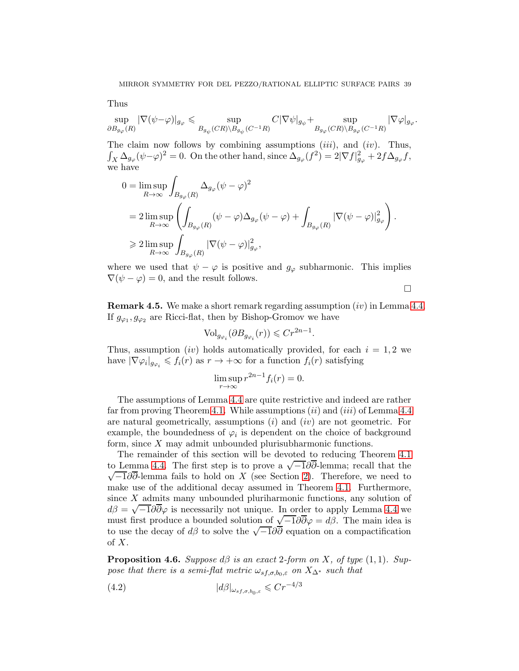Thus

$$
\sup_{\partial B_{g_{\varphi}}(R)} |\nabla(\psi - \varphi)|_{g_{\varphi}} \leq \sup_{B_{g_{\psi}}(CR)\backslash B_{g_{\psi}}(C^{-1}R)} C|\nabla\psi|_{g_{\psi}} + \sup_{B_{g_{\varphi}}(CR)\backslash B_{g_{\varphi}}(C^{-1}R)} |\nabla\varphi|_{g_{\varphi}}.
$$

The claim now follows by combining assumptions *(iii)*, and *(iv)*. Thus,  $\int_X \Delta_{g_\varphi} (\psi - \varphi)^2 = 0.$  On the other hand, since  $\Delta_{g_\varphi}(f^2) = 2|\nabla f|_{g_\varphi}^2 + 2f \Delta_{g_\varphi} f$ , we have

$$
\begin{split} 0&=\limsup_{R\to\infty}\int_{B_{g_{\varphi}}(R)}\Delta_{g_{\varphi}}(\psi-\varphi)^2\\ &=2\limsup_{R\to\infty}\left(\int_{B_{g_{\varphi}}(R)}(\psi-\varphi)\Delta_{g_{\varphi}}(\psi-\varphi)+\int_{B_{g_{\varphi}}(R)}|\nabla(\psi-\varphi)|_{g_{\varphi}}^2\right).\\ &\geqslant 2\limsup_{R\to\infty}\int_{B_{g_{\varphi}}(R)}|\nabla(\psi-\varphi)|_{g_{\varphi}}^2, \end{split}
$$

where we used that  $\psi - \varphi$  is positive and  $g_{\varphi}$  subharmonic. This implies  $\nabla(\psi - \varphi) = 0$ , and the result follows.

 $\Box$ 

<span id="page-38-2"></span>**Remark 4.5.** We make a short remark regarding assumption  $(iv)$  in Lemma [4.4.](#page-36-1) If  $g_{\varphi_1}, g_{\varphi_2}$  are Ricci-flat, then by Bishop-Gromov we have

$$
\text{Vol}_{g_{\varphi_i}}(\partial B_{g_{\varphi_i}}(r)) \leqslant Cr^{2n-1}.
$$

Thus, assumption *(iv)* holds automatically provided, for each  $i = 1, 2$  we have  $|\nabla \varphi_i|_{g_{\varphi_i}} \leqslant f_i(r)$  as  $r \to +\infty$  for a function  $f_i(r)$  satisfying

$$
\limsup_{r \to \infty} r^{2n-1} f_i(r) = 0.
$$

The assumptions of Lemma [4.4](#page-36-1) are quite restrictive and indeed are rather far from proving Theorem [4.1.](#page-35-0) While assumptions  $(ii)$  and  $(iii)$  of Lemma [4.4](#page-36-1) are natural geometrically, assumptions  $(i)$  and  $(iv)$  are not geometric. For example, the boundedness of  $\varphi_i$  is dependent on the choice of background form, since X may admit unbounded plurisubharmonic functions.

The remainder of this section will be devoted to reducing Theorem [4.1](#page-35-0) to Lemma [4.4.](#page-36-1) The first step is to prove a  $\sqrt{-1}\partial\overline{\partial}$ -lemma; recall that the  $\sqrt{-1}\partial\overline{\partial}$ -lemma fails to hold on X (see Section 2). Therefore, we need to  $\sqrt{-1}\partial\bar{\partial}$ -lemma fails to hold on X (see Section [2\)](#page-5-0). Therefore, we need to make use of the additional decay assumed in Theorem [4.1.](#page-35-0) Furthermore, since X admits many unbounded pluriharmonic functions, any solution of  $d\beta = \sqrt{-1}\partial\overline{\partial}\varphi$  is necessarily not unique. In order to apply Lemma [4.4](#page-36-1) we must first produce a bounded solution of  $\sqrt{-1}\partial\bar{\partial}\varphi = d\beta$ . The main idea is to use the decay of  $d\beta$  to solve the  $\sqrt{-1}\partial\overline{\partial}$  equation on a compactification of  $X$ .

<span id="page-38-1"></span>**Proposition 4.6.** Suppose  $d\beta$  is an exact 2-form on X, of type  $(1, 1)$ . Suppose that there is a semi-flat metric  $\omega_{s,f,\sigma,b_0,\varepsilon}$  on  $X_{\Delta^*}$  such that

<span id="page-38-0"></span>
$$
(4.2) \t\t |d\beta|_{\omega_{sf,\sigma,b_0,\varepsilon}} \leqslant Cr^{-4/3}
$$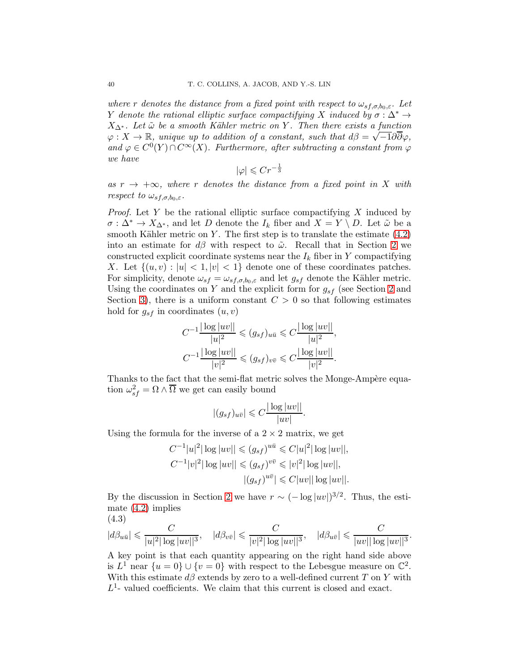where r denotes the distance from a fixed point with respect to  $\omega_{s,f,\sigma,b_0,\varepsilon}$ . Let Y denote the rational elliptic surface compactifying X induced by  $\sigma : \Delta^* \to$  $X_{\Delta^*}$ . Let  $\tilde{\omega}$  be a smooth Kähler metric on Y. Then there exists a function  $\varphi: X \to \mathbb{R}$ , unique up to addition of a constant, such that  $d\beta = \sqrt{-1}\partial\overline{\partial}\varphi$ , and  $\varphi \in C^0(Y) \cap C^{\infty}(X)$ . Furthermore, after subtracting a constant from  $\varphi$ we have

$$
|\varphi| \leqslant Cr^{-\frac{1}{3}}
$$

as  $r \to +\infty$ , where r denotes the distance from a fixed point in X with respect to  $\omega_{s f, \sigma, b_0, \varepsilon}$ .

*Proof.* Let  $Y$  be the rational elliptic surface compactifying  $X$  induced by  $\sigma : \Delta^* \to X_{\Delta^*}$ , and let D denote the  $I_k$  fiber and  $X = Y \setminus D$ . Let  $\tilde{\omega}$  be a smooth Kähler metric on Y. The first step is to translate the estimate  $(4.2)$ into an estimate for  $d\beta$  with respect to  $\tilde{\omega}$ . Recall that in Section [2](#page-5-0) we constructed explicit coordinate systems near the  $I_k$  fiber in Y compactifying X. Let  $\{(u, v) : |u| < 1, |v| < 1\}$  denote one of these coordinates patches. For simplicity, denote  $\omega_{sf} = \omega_{sf,\sigma,b_0,\varepsilon}$  and let  $g_{sf}$  denote the Kähler metric. Using the coordinates on Y and the explicit form for  $g_{sf}$  (see Section [2](#page-5-0) and Section [3\)](#page-27-0), there is a uniform constant  $C > 0$  so that following estimates hold for  $g_{sf}$  in coordinates  $(u, v)$ 

$$
C^{-1} \frac{|\log |uv||}{|u|^2} \leq (g_{sf})_{u\bar{u}} \leq C \frac{|\log |uv||}{|u|^2},
$$
  

$$
C^{-1} \frac{|\log |uv||}{|v|^2} \leq (g_{sf})_{v\bar{v}} \leq C \frac{|\log |uv||}{|v|^2}.
$$

Thanks to the fact that the semi-flat metric solves the Monge-Ampère equation  $\omega_{sf}^2 = \Omega \wedge \overline{\Omega}$  we get can easily bound

$$
|(g_{sf})_{u\bar{v}}| \leqslant C \frac{|\log |uv||}{|uv|}.
$$

Using the formula for the inverse of a  $2 \times 2$  matrix, we get

$$
C^{-1}|u|^2|\log|uv|| \le (g_{sf})^{u\bar{u}} \le C|u|^2|\log|uv||,
$$
  
\n
$$
C^{-1}|v|^2|\log|uv|| \le (g_{sf})^{v\bar{v}} \le |v|^2|\log|uv||,
$$
  
\n
$$
|(g_{sf})^{u\bar{v}}| \le C|uv||\log|uv||.
$$

By the discussion in Section [2](#page-5-0) we have  $r \sim (-\log |uv|)^{3/2}$ . Thus, the estimate [\(4.2\)](#page-38-0) implies

<span id="page-39-0"></span>(4.3)  
\n
$$
|d\beta_{u\bar{u}}| \leq \frac{C}{|u|^2 |\log |uv||^3}
$$
,  $|d\beta_{v\bar{v}}| \leq \frac{C}{|v|^2 |\log |uv||^3}$ ,  $|d\beta_{u\bar{v}}| \leq \frac{C}{|uv||\log |uv||^3}$ 

.

A key point is that each quantity appearing on the right hand side above is  $L^1$  near  $\{u=0\} \cup \{v=0\}$  with respect to the Lebesgue measure on  $\mathbb{C}^2$ . With this estimate  $d\beta$  extends by zero to a well-defined current T on Y with  $L<sup>1</sup>$ - valued coefficients. We claim that this current is closed and exact.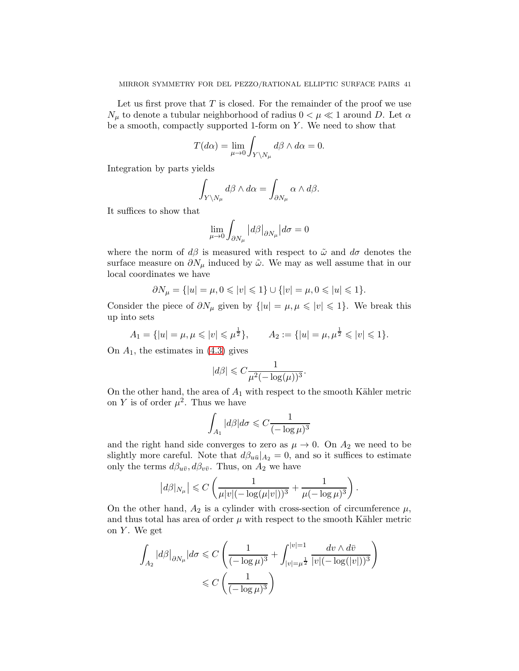Let us first prove that  $T$  is closed. For the remainder of the proof we use  $N_{\mu}$  to denote a tubular neighborhood of radius  $0<\mu\ll1$  around  $D.$  Let  $\alpha$ be a smooth, compactly supported 1-form on  $Y$ . We need to show that

$$
T(d\alpha) = \lim_{\mu \to 0} \int_{Y \setminus N_{\mu}} d\beta \wedge d\alpha = 0.
$$

Integration by parts yields

$$
\int_{Y\setminus N_{\mu}} d\beta \wedge d\alpha = \int_{\partial N_{\mu}} \alpha \wedge d\beta.
$$

It suffices to show that

$$
\lim_{\mu\to 0}\int_{\partial N_\mu}\left|d\beta\right|_{\partial N_\mu}\left|d\sigma=0\right.
$$

where the norm of  $d\beta$  is measured with respect to  $\tilde{\omega}$  and  $d\sigma$  denotes the surface measure on  $\partial N_\mu$  induced by  $\tilde{\omega}$ . We may as well assume that in our local coordinates we have

$$
\partial N_{\mu} = \{ |u| = \mu, 0 \leq |v| \leq 1 \} \cup \{ |v| = \mu, 0 \leq |u| \leq 1 \}.
$$

Consider the piece of  $\partial N_\mu$  given by  $\{|u| = \mu, \mu \leqslant |v| \leqslant 1\}$ . We break this up into sets

$$
A_1 = \{|u| = \mu, \mu \leq |v| \leq \mu^{\frac{1}{2}}\}, \qquad A_2 := \{|u| = \mu, \mu^{\frac{1}{2}} \leq |v| \leq 1\}.
$$

On  $A_1$ , the estimates in  $(4.3)$  gives

$$
|d\beta| \leq C \frac{1}{\mu^2 (-\log(\mu))^3}
$$

.

.

On the other hand, the area of  $A_1$  with respect to the smooth Kähler metric on Y is of order  $\mu^2$ . Thus we have

$$
\int_{A_1} |d\beta|d\sigma \leqslant C \frac{1}{(-\log \mu)^3}
$$

and the right hand side converges to zero as  $\mu \to 0$ . On  $A_2$  we need to be slightly more careful. Note that  $d\beta_{u\bar{u}}|_{A_2} = 0$ , and so it suffices to estimate only the terms  $d\beta_{u\bar{v}}, d\beta_{v\bar{v}}$ . Thus, on  $A_2$  we have

$$
|d\beta|_{N_{\mu}}| \leq C\left(\frac{1}{\mu|v|(-\log(\mu|v|))^3} + \frac{1}{\mu(-\log \mu)^3}\right)
$$

On the other hand,  $A_2$  is a cylinder with cross-section of circumference  $\mu$ , and thus total has area of order  $\mu$  with respect to the smooth Kähler metric on  $Y$ . We get

$$
\begin{aligned} \int_{A_2} |d\beta|_{\partial N_\mu} |d\sigma &\leqslant C \left( \frac{1}{(-\log \mu)^3} + \int_{|v|=\mu^{\frac{1}{2}}}^{|v|=1} \frac{dv \wedge d\overline{v}}{|v| (-\log (|v|))^3} \right) \\ &\leqslant C \left( \frac{1}{(-\log \mu)^3} \right) \end{aligned}
$$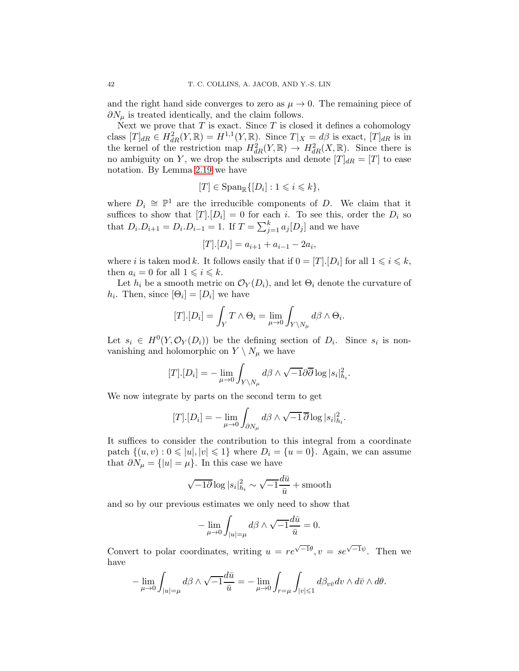and the right hand side converges to zero as  $\mu \to 0$ . The remaining piece of  $\partial N_\mu$  is treated identically, and the claim follows.

Next we prove that  $T$  is exact. Since  $T$  is closed it defines a cohomology class  $[T]_{dR} \in H_{dR}^2(Y,\mathbb{R}) = H^{1,1}(Y,\mathbb{R})$ . Since  $T|_X = d\beta$  is exact,  $[T]_{dR}$  is in the kernel of the restriction map  $H^2_{dR}(Y,\mathbb{R}) \to H^2_{dR}(X,\mathbb{R})$ . Since there is no ambiguity on Y, we drop the subscripts and denote  $[T]_{dR} = [T]$  to ease notation. By Lemma [2.19](#page-17-0) we have

$$
[T] \in \mathrm{Span}_{\mathbb{R}}\{[D_i] : 1 \leqslant i \leqslant k\},\
$$

where  $D_i \cong \mathbb{P}^1$  are the irreducible components of D. We claim that it suffices to show that  $[T][D_i] = 0$  for each i. To see this, order the  $D_i$  so that  $D_i \cdot D_{i+1} = D_i \cdot D_{i-1} = 1$ . If  $T = \sum_{j=1}^{k} a_j [D_j]$  and we have

$$
[T].[D_i] = a_{i+1} + a_{i-1} - 2a_i,
$$

where *i* is taken mod *k*. It follows easily that if  $0 = [T]$ . [ $D_i$ ] for all  $1 \leq i \leq k$ , then  $a_i = 0$  for all  $1 \leq i \leq k$ .

Let  $h_i$  be a smooth metric on  $\mathcal{O}_Y(D_i)$ , and let  $\Theta_i$  denote the curvature of  $h_i$ . Then, since  $[\Theta_i] = [D_i]$  we have

$$
[T].[D_i] = \int_Y T \wedge \Theta_i = \lim_{\mu \to 0} \int_{Y \setminus N_\mu} d\beta \wedge \Theta_i.
$$

Let  $s_i \in H^0(Y, \mathcal{O}_Y(D_i))$  be the defining section of  $D_i$ . Since  $s_i$  is nonvanishing and holomorphic on  $Y \setminus N_\mu$  we have

$$
[T].[D_i] = -\lim_{\mu \to 0} \int_{Y \setminus N_{\mu}} d\beta \wedge \sqrt{-1} \partial \overline{\partial} \log |s_i|^2_{h_i}.
$$

We now integrate by parts on the second term to get

$$
[T].[D_i] = -\lim_{\mu \to 0} \int_{\partial N_\mu} d\beta \wedge \sqrt{-1} \, \overline{\partial} \log |s_i|^2_{h_i}.
$$

It suffices to consider the contribution to this integral from a coordinate patch  $\{(u, v): 0 \leq |u|, |v| \leq 1\}$  where  $D_i = \{u = 0\}$ . Again, we can assume that  $\partial N_{\mu} = \{|u| = \mu\}$ . In this case we have

$$
\sqrt{-1}\overline{\partial}\log|s_i|^2_{h_i} \sim \sqrt{-1}\frac{d\overline{u}}{\overline{u}} + \text{smooth}
$$

and so by our previous estimates we only need to show that

$$
-\lim_{\mu \to 0} \int_{|u|=\mu} d\beta \wedge \sqrt{-1} \frac{d\bar{u}}{\bar{u}} = 0.
$$

Convert to polar coordinates, writing  $u = re^{\sqrt{-1}\theta}$ ,  $v = se^{\sqrt{-1}\psi}$ . Then we have

$$
-\lim_{\mu\to 0}\int_{|u|=\mu}d\beta\wedge\sqrt{-1}\frac{d\bar{u}}{\bar{u}}=-\lim_{\mu\to 0}\int_{r=\mu}\int_{|v|\leqslant 1}d\beta_{v\bar{v}}dv\wedge d\bar{v}\wedge d\theta.
$$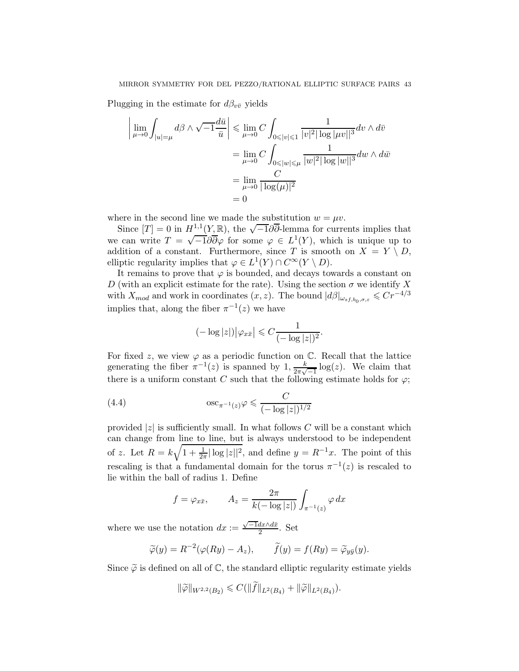Plugging in the estimate for  $d\beta_{v\bar{v}}$  yields

$$
\left| \lim_{\mu \to 0} \int_{|u| = \mu} d\beta \wedge \sqrt{-1} \frac{d\bar{u}}{\bar{u}} \right| \leq \lim_{\mu \to 0} C \int_{0 \leq |v| \leq 1} \frac{1}{|v|^2 |\log |\mu v||^3} dv \wedge d\bar{v}
$$

$$
= \lim_{\mu \to 0} C \int_{0 \leq |w| \leq \mu} \frac{1}{|w|^2 |\log |w||^3} dw \wedge d\bar{w}
$$

$$
= \lim_{\mu \to 0} \frac{C}{|\log(\mu)|^2}
$$

$$
= 0
$$

where in the second line we made the substitution  $w = \mu v$ .

Since  $[T] = 0$  in  $H^{1,1}(Y,\mathbb{R})$ , the  $\sqrt{-1}\partial\overline{\partial}$ -lemma for currents implies that we can write  $T = \sqrt{-1} \partial \overline{\partial} \varphi$  for some  $\varphi \in L^1(Y)$ , which is unique up to addition of a constant. Furthermore, since T is smooth on  $X = Y \setminus D$ , elliptic regularity implies that  $\varphi \in L^1(Y) \cap C^\infty(Y \setminus D)$ .

It remains to prove that  $\varphi$  is bounded, and decays towards a constant on D (with an explicit estimate for the rate). Using the section  $\sigma$  we identify X with  $X_{mod}$  and work in coordinates  $(x, z)$ . The bound  $|d\beta|_{\omega_{s f, b_0, \sigma, \varepsilon}} \leqslant C r^{-4/3}$ implies that, along the fiber  $\pi^{-1}(z)$  we have

<span id="page-42-0"></span>
$$
(-\log|z|)\big|\varphi_{x\bar{x}}\big|\leqslant C\frac{1}{(-\log|z|)^2}.
$$

For fixed z, we view  $\varphi$  as a periodic function on  $\mathbb{C}$ . Recall that the lattice generating the fiber  $\pi^{-1}(z)$  is spanned by  $1, \frac{k}{2\pi\sqrt{3}}$  $\frac{k}{2\pi\sqrt{-1}}\log(z)$ . We claim that there is a uniform constant C such that the following estimate holds for  $\varphi$ ;

$$
\text{(4.4)} \qquad \qquad \text{osc}_{\pi^{-1}(z)}\varphi \leq \frac{C}{(-\log|z|)^{1/2}}
$$

provided |z| is sufficiently small. In what follows  $C$  will be a constant which can change from line to line, but is always understood to be independent of z. Let  $R = k\sqrt{1 + \frac{1}{2\pi} |\log |z||^2}$ , and define  $y = R^{-1}x$ . The point of this rescaling is that a fundamental domain for the torus  $\pi^{-1}(z)$  is rescaled to lie within the ball of radius 1. Define

$$
f = \varphi_{x\bar{x}}, \qquad A_z = \frac{2\pi}{k(-\log|z|)} \int_{\pi^{-1}(z)} \varphi \, dx
$$

where we use the notation  $dx := \frac{\sqrt{-1}dx \wedge d\bar{x}}{2}$ . Set

$$
\widetilde{\varphi}(y) = R^{-2}(\varphi(Ry) - A_z), \qquad \widetilde{f}(y) = f(Ry) = \widetilde{\varphi}_{y\bar{y}}(y).
$$

Since  $\tilde{\varphi}$  is defined on all of  $\mathbb{C}$ , the standard elliptic regularity estimate yields

$$
\|\widetilde{\varphi}\|_{W^{2,2}(B_2)} \leq C(\|\widetilde{f}\|_{L^2(B_4)} + \|\widetilde{\varphi}\|_{L^2(B_4)}).
$$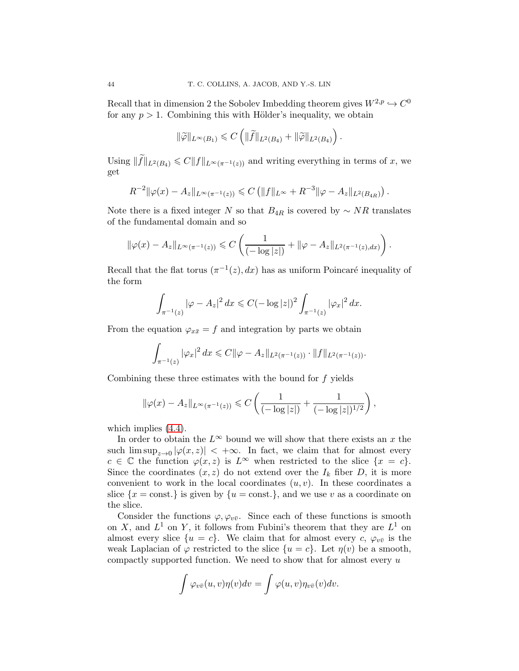Recall that in dimension 2 the Sobolev Imbedding theorem gives  $W^{2,p} \hookrightarrow C^0$ for any  $p > 1$ . Combining this with Hölder's inequality, we obtain

$$
\|\widetilde{\varphi}\|_{L^{\infty}(B_1)} \leqslant C\left(\|\widetilde{f}\|_{L^2(B_4)} + \|\widetilde{\varphi}\|_{L^2(B_4)}\right).
$$

Using  $\|\widetilde{f}\|_{L^2(B_4)} \leq C \|f\|_{L^{\infty}(\pi^{-1}(z))}$  and writing everything in terms of x, we get

$$
R^{-2} \|\varphi(x) - A_z\|_{L^{\infty}(\pi^{-1}(z))} \leq C \left( \|f\|_{L^{\infty}} + R^{-3} \|\varphi - A_z\|_{L^2(B_{4R})} \right).
$$

Note there is a fixed integer N so that  $B_{4R}$  is covered by  $\sim NR$  translates of the fundamental domain and so

$$
\|\varphi(x) - A_z\|_{L^{\infty}(\pi^{-1}(z))} \leq C \left( \frac{1}{(-\log|z|)} + \|\varphi - A_z\|_{L^2(\pi^{-1}(z),dx)} \right).
$$

Recall that the flat torus  $(\pi^{-1}(z), dx)$  has as uniform Poincaré inequality of the form

$$
\int_{\pi^{-1}(z)} |\varphi - A_z|^2 \, dx \leq C \left(-\log|z| \right)^2 \int_{\pi^{-1}(z)} |\varphi_x|^2 \, dx.
$$

From the equation  $\varphi_{x\bar{x}} = f$  and integration by parts we obtain

$$
\int_{\pi^{-1}(z)} |\varphi_x|^2 dx \leq C ||\varphi - A_z||_{L^2(\pi^{-1}(z))} \cdot ||f||_{L^2(\pi^{-1}(z))}.
$$

Combining these three estimates with the bound for f yields

$$
\|\varphi(x) - A_z\|_{L^{\infty}(\pi^{-1}(z))} \leq C \left( \frac{1}{(-\log|z|)} + \frac{1}{(-\log|z|)^{1/2}} \right),
$$

which implies  $(4.4)$ .

In order to obtain the  $L^{\infty}$  bound we will show that there exists an x the such  $\limsup_{z\to 0} |\varphi(x,z)| < +\infty$ . In fact, we claim that for almost every  $c \in \mathbb{C}$  the function  $\varphi(x, z)$  is  $L^{\infty}$  when restricted to the slice  $\{x = c\}.$ Since the coordinates  $(x, z)$  do not extend over the  $I_k$  fiber D, it is more convenient to work in the local coordinates  $(u, v)$ . In these coordinates a slice  $\{x = \text{const.}\}\$ is given by  $\{u = \text{const.}\}\$ , and we use v as a coordinate on the slice.

Consider the functions  $\varphi, \varphi_{v\bar{v}}$ . Since each of these functions is smooth on X, and  $L^1$  on Y, it follows from Fubini's theorem that they are  $L^1$  on almost every slice  $\{u = c\}$ . We claim that for almost every c,  $\varphi_{v\bar{v}}$  is the weak Laplacian of  $\varphi$  restricted to the slice  $\{u = c\}$ . Let  $\eta(v)$  be a smooth, compactly supported function. We need to show that for almost every  $u$ 

$$
\int \varphi_{v\bar{v}}(u,v)\eta(v)dv = \int \varphi(u,v)\eta_{v\bar{v}}(v)dv.
$$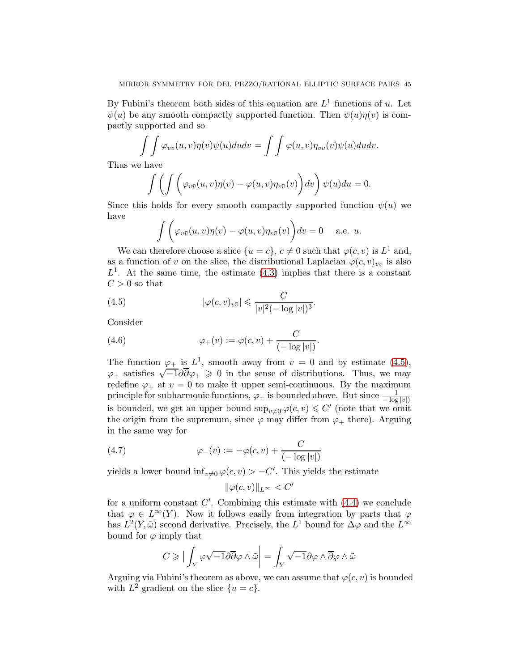By Fubini's theorem both sides of this equation are  $L<sup>1</sup>$  functions of u. Let  $\psi(u)$  be any smooth compactly supported function. Then  $\psi(u)\eta(v)$  is compactly supported and so

$$
\int \int \varphi_{v\bar{v}}(u,v)\eta(v)\psi(u)dudv = \int \int \varphi(u,v)\eta_{v\bar{v}}(v)\psi(u)dudv.
$$

Thus we have

$$
\int \left( \int \left( \varphi_{v\bar{v}}(u,v) \eta(v) - \varphi(u,v) \eta_{v\bar{v}}(v) \right) dv \right) \psi(u) du = 0.
$$

Since this holds for every smooth compactly supported function  $\psi(u)$  we have

<span id="page-44-0"></span>
$$
\int \bigg(\varphi_{v\bar{v}}(u,v)\eta(v) - \varphi(u,v)\eta_{v\bar{v}}(v)\bigg)dv = 0 \quad \text{ a.e. } u.
$$

We can therefore choose a slice  $\{u = c\}$ ,  $c \neq 0$  such that  $\varphi(c, v)$  is  $L^1$  and, as a function of v on the slice, the distributional Laplacian  $\varphi(c, v)_{v\bar{v}}$  is also  $L<sup>1</sup>$ . At the same time, the estimate [\(4.3\)](#page-39-0) implies that there is a constant  $C > 0$  so that

(4.5) 
$$
|\varphi(c,v)_{v\bar{v}}| \leqslant \frac{C}{|v|^2(-\log|v|)^3}.
$$

Consider

<span id="page-44-1"></span>(4.6) 
$$
\varphi_{+}(v) := \varphi(c,v) + \frac{C}{(-\log|v|)}.
$$

The function  $\varphi_+$  is  $L^1$ , smooth away from  $v = 0$  and by estimate [\(4.5\)](#page-44-0),  $\varphi_+$  satisfies  $\sqrt{-1}\partial\overline{\partial}\varphi_+ \geq 0$  in the sense of distributions. Thus, we may redefine  $\varphi_+$  at  $v = 0$  to make it upper semi-continuous. By the maximum principle for subharmonic functions,  $\varphi_+$  is bounded above. But since  $\frac{1}{-\log|v|}$ is bounded, we get an upper bound  $\sup_{v\neq 0} \varphi(c, v) \leq C'$  (note that we omit the origin from the supremum, since  $\varphi$  may differ from  $\varphi_+$  there). Arguing in the same way for

(4.7) 
$$
\varphi_{-}(v) := -\varphi(c, v) + \frac{C}{(-\log|v|)}
$$

yields a lower bound  $\inf_{v\neq0} \varphi(c, v) > -C'$ . This yields the estimate

<span id="page-44-2"></span>
$$
\|\varphi(c,v)\|_{L^\infty} < C'
$$

for a uniform constant  $C'$ . Combining this estimate with  $(4.4)$  we conclude that  $\varphi \in L^{\infty}(Y)$ . Now it follows easily from integration by parts that  $\varphi$ has  $L^2(Y, \tilde{\omega})$  second derivative. Precisely, the  $L^1$  bound for  $\Delta \varphi$  and the  $L^{\infty}$ bound for  $\varphi$  imply that

$$
C\geqslant \big|\int_Y\varphi\sqrt{-1}\partial\overline{\partial}\varphi\wedge\tilde{\omega}\bigg|=\int_Y\sqrt{-1}\partial\varphi\wedge\overline{\partial}\varphi\wedge\tilde{\omega}
$$

Arguing via Fubini's theorem as above, we can assume that  $\varphi(c, v)$  is bounded with  $L^2$  gradient on the slice  $\{u = c\}.$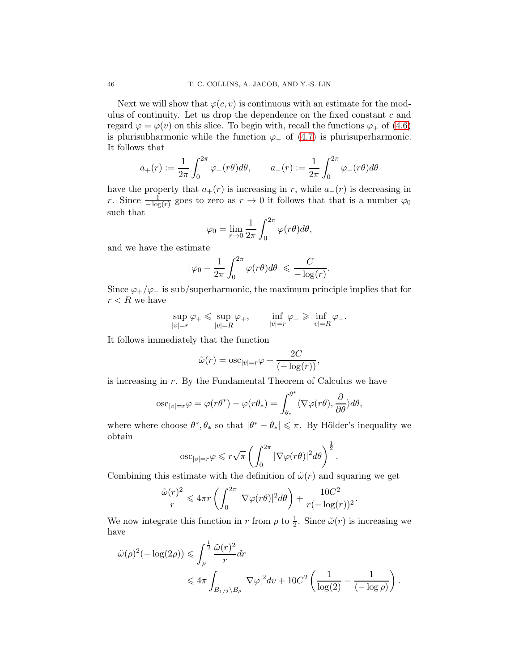Next we will show that  $\varphi(c, v)$  is continuous with an estimate for the modulus of continuity. Let us drop the dependence on the fixed constant  $c$  and regard  $\varphi = \varphi(v)$  on this slice. To begin with, recall the functions  $\varphi_+$  of [\(4.6\)](#page-44-1) is plurisubharmonic while the function  $\varphi_$  of [\(4.7\)](#page-44-2) is plurisuperharmonic. It follows that

$$
a_+(r) := \frac{1}{2\pi} \int_0^{2\pi} \varphi_+(r\theta) d\theta, \qquad a_-(r) := \frac{1}{2\pi} \int_0^{2\pi} \varphi_-(r\theta) d\theta
$$

have the property that  $a_{+}(r)$  is increasing in r, while  $a_{-}(r)$  is decreasing in r. Since  $\frac{1}{-\log(r)}$  goes to zero as  $r \to 0$  it follows that that is a number  $\varphi_0$ such that

$$
\varphi_0 = \lim_{r \to 0} \frac{1}{2\pi} \int_0^{2\pi} \varphi(r\theta) d\theta,
$$

and we have the estimate

$$
\left|\varphi_0 - \frac{1}{2\pi} \int_0^{2\pi} \varphi(r\theta) d\theta\right| \leqslant \frac{C}{-\log(r)}.
$$

Since  $\varphi_+/\varphi_-$  is sub/superharmonic, the maximum principle implies that for  $r < R$  we have

$$
\sup_{|v|=r}\varphi_+\leqslant \sup_{|v|=R}\varphi_+, \qquad \inf_{|v|=r}\varphi_-\geqslant \inf_{|v|=R}\varphi_-.
$$

It follows immediately that the function

$$
\tilde{\omega}(r) = \mathrm{osc}_{|v|=r} \varphi + \frac{2C}{(-\log(r))},
$$

is increasing in r. By the Fundamental Theorem of Calculus we have

$$
\mathrm{osc}_{|v|=r}\varphi=\varphi(r\theta^*)-\varphi(r\theta_*)=\int_{\theta_*}^{\theta^*}\langle\nabla\varphi(r\theta),\frac{\partial}{\partial\theta}\rangle d\theta,
$$

where where choose  $\theta^*, \theta_*$  so that  $|\theta^* - \theta_*| \leq \pi$ . By Hölder's inequality we obtain

$$
\mathrm{osc}_{|v|=r}\varphi \leqslant r\sqrt{\pi}\left(\int_0^{2\pi} |\nabla \varphi(r\theta)|^2 d\theta\right)^{\frac{1}{2}}.
$$

Combining this estimate with the definition of  $\tilde{\omega}(r)$  and squaring we get

$$
\frac{\tilde{\omega}(r)^2}{r} \leq 4\pi r \left( \int_0^{2\pi} |\nabla \varphi(r\theta)|^2 d\theta \right) + \frac{10C^2}{r(-\log(r))^2}.
$$

We now integrate this function in r from  $\rho$  to  $\frac{1}{2}$ . Since  $\tilde{\omega}(r)$  is increasing we have

$$
\tilde{\omega}(\rho)^2(-\log(2\rho)) \leq \int_{\rho}^{\frac{1}{2}} \frac{\tilde{\omega}(r)^2}{r} dr
$$
  

$$
\leq 4\pi \int_{B_{1/2} \backslash B_{\rho}} |\nabla \varphi|^2 dv + 10C^2 \left( \frac{1}{\log(2)} - \frac{1}{(-\log \rho)} \right).
$$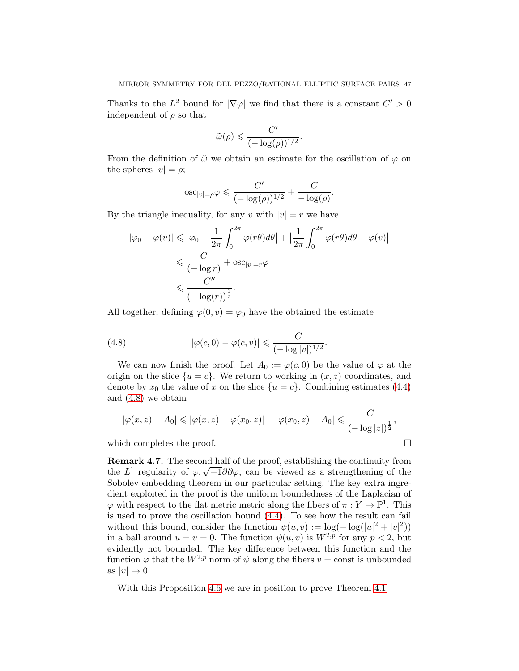Thanks to the  $L^2$  bound for  $|\nabla \varphi|$  we find that there is a constant  $C' > 0$ independent of  $\rho$  so that

$$
\tilde{\omega}(\rho) \leqslant \frac{C'}{(-\log(\rho))^{1/2}}.
$$

From the definition of  $\tilde{\omega}$  we obtain an estimate for the oscillation of  $\varphi$  on the spheres  $|v| = \rho$ ;

$$
\mathrm{osc}_{|v|=\rho}\varphi \leqslant \frac{C'}{(-\log(\rho))^{1/2}} + \frac{C}{-\log(\rho)}.
$$

By the triangle inequality, for any v with  $|v| = r$  we have

$$
|\varphi_0 - \varphi(v)| \le |\varphi_0 - \frac{1}{2\pi} \int_0^{2\pi} \varphi(r\theta) d\theta| + \left|\frac{1}{2\pi} \int_0^{2\pi} \varphi(r\theta) d\theta - \varphi(v)\right|
$$
  

$$
\le \frac{C}{(-\log r)} + \operatorname{osc}_{|v|=r} \varphi
$$
  

$$
\le \frac{C''}{(-\log(r))^{\frac{1}{2}}}.
$$

All together, defining  $\varphi(0, v) = \varphi_0$  have the obtained the estimate

<span id="page-46-0"></span>(4.8) 
$$
|\varphi(c,0)-\varphi(c,v)| \leq \frac{C}{(-\log|v|)^{1/2}}.
$$

We can now finish the proof. Let  $A_0 := \varphi(c, 0)$  be the value of  $\varphi$  at the origin on the slice  $\{u = c\}$ . We return to working in  $(x, z)$  coordinates, and denote by  $x_0$  the value of x on the slice  $\{u = c\}$ . Combining estimates [\(4.4\)](#page-42-0) and [\(4.8\)](#page-46-0) we obtain

$$
|\varphi(x, z) - A_0| \le |\varphi(x, z) - \varphi(x_0, z)| + |\varphi(x_0, z) - A_0| \le \frac{C}{(-\log|z|)^{\frac{1}{2}}},
$$

which completes the proof.  $\Box$ 

Remark 4.7. The second half of the proof, establishing the continuity from the  $L^1$  regularity of  $\varphi, \sqrt{-1}\partial\overline{\partial}\varphi$ , can be viewed as a strengthening of the Sobolev embedding theorem in our particular setting. The key extra ingredient exploited in the proof is the uniform boundedness of the Laplacian of  $\varphi$  with respect to the flat metric metric along the fibers of  $\pi: Y \to \mathbb{P}^1$ . This is used to prove the oscillation bound [\(4.4\)](#page-42-0). To see how the result can fail without this bound, consider the function  $\psi(u, v) := \log(-\log(|u|^2 + |v|^2))$ in a ball around  $u = v = 0$ . The function  $\psi(u, v)$  is  $W^{2,p}$  for any  $p < 2$ , but evidently not bounded. The key difference between this function and the function  $\varphi$  that the  $W^{2,p}$  norm of  $\psi$  along the fibers  $v = \text{const}$  is unbounded as  $|v| \to 0$ .

With this Proposition [4.6](#page-38-1) we are in position to prove Theorem [4.1](#page-35-0)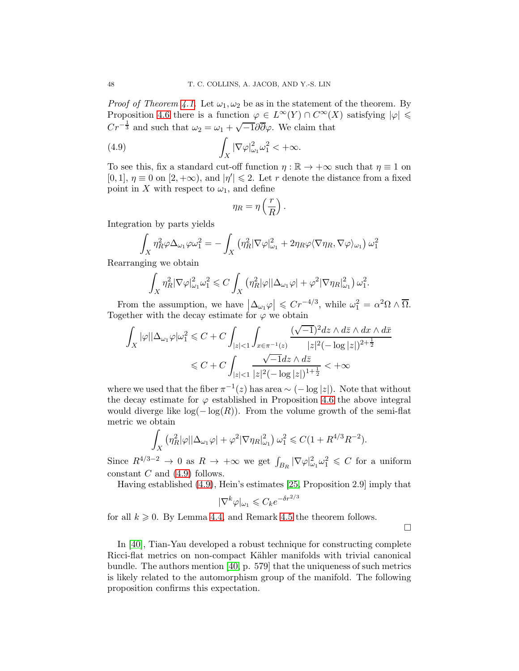*Proof of Theorem [4.1.](#page-35-0)* Let  $\omega_1, \omega_2$  be as in the statement of the theorem. By Proposition [4.6](#page-38-1) there is a function  $\varphi \in L^{\infty}(Y) \cap C^{\infty}(X)$  satisfying  $|\varphi| \leq$  $Cr^{-\frac{1}{3}}$  and such that  $\omega_2 = \omega_1 + \sqrt{-1}\partial\overline{\partial}\varphi$ . We claim that

(4.9) 
$$
\int_X |\nabla \varphi|_{\omega_1}^2 \omega_1^2 < +\infty.
$$

To see this, fix a standard cut-off function  $\eta : \mathbb{R} \to +\infty$  such that  $\eta \equiv 1$  on [0, 1],  $\eta \equiv 0$  on [2, + $\infty$ ), and  $|\eta'| \le 2$ . Let r denote the distance from a fixed point in X with respect to  $\omega_1$ , and define

<span id="page-47-0"></span>
$$
\eta_R = \eta\left(\frac{r}{R}\right).
$$

Integration by parts yields

$$
\int_X \eta_R^2 \varphi \Delta_{\omega_1} \varphi \omega_1^2 = -\int_X (\eta_R^2 |\nabla \varphi|_{\omega_1}^2 + 2\eta_R \varphi \langle \nabla \eta_R, \nabla \varphi \rangle_{\omega_1}) \omega_1^2
$$

Rearranging we obtain

$$
\int_X \eta_R^2 |\nabla \varphi|_{\omega_1}^2 \omega_1^2 \leqslant C \int_X (\eta_R^2 |\varphi| |\Delta_{\omega_1} \varphi| + \varphi^2 |\nabla \eta_R|_{\omega_1}^2) \, \omega_1^2.
$$

From the assumption, we have  $\left|\Delta_{\omega_1}\varphi\right| \leqslant Cr^{-4/3}$ , while  $\omega_1^2 = \alpha^2 \Omega \wedge \overline{\Omega}$ . Together with the decay estimate for  $\varphi$  we obtain

$$
\begin{aligned} \int_X |\varphi||\Delta_{\omega_1}\varphi|\omega_1^2 &\leqslant C+C\int_{|z|<1}\int_{x\in\pi^{-1}(z)}\frac{(\sqrt{-1})^2dz\wedge d\bar z\wedge dx\wedge d\bar x}{|z|^2(-\log|z|)^{2+\frac{1}{2}}}\\ &\leqslant C+C\int_{|z|<1}\frac{\sqrt{-1}dz\wedge d\bar z}{|z|^2(-\log|z|)^{1+\frac{1}{2}}}<+\infty \end{aligned}
$$

where we used that the fiber  $\pi^{-1}(z)$  has area ~ (- log |z|). Note that without the decay estimate for  $\varphi$  established in Proposition [4.6](#page-38-1) the above integral would diverge like  $log(-log(R))$ . From the volume growth of the semi-flat metric we obtain

$$
\int_X \left( \eta_R^2 |\varphi| |\Delta_{\omega_1} \varphi| + \varphi^2 |\nabla \eta_R|_{\omega_1}^2 \right) \omega_1^2 \leqslant C (1+R^{4/3} R^{-2}).
$$

Since  $R^{4/3-2} \to 0$  as  $R \to +\infty$  we get  $\int_{B_R} |\nabla \varphi|_{\omega_1}^2 \omega_1^2 \leq C$  for a uniform constant  $C$  and  $(4.9)$  follows.

Having established [\(4.9\)](#page-47-0), Hein's estimates [\[25,](#page-75-2) Proposition 2.9] imply that

$$
|\nabla^k \varphi|_{\omega_1} \leqslant C_k e^{-\delta r^{2/3}}
$$

for all  $k \geqslant 0$ . By Lemma [4.4,](#page-36-1) and Remark [4.5](#page-38-2) the theorem follows.

 $\Box$ 

In [\[40\]](#page-75-3), Tian-Yau developed a robust technique for constructing complete Ricci-flat metrics on non-compact Kähler manifolds with trivial canonical bundle. The authors mention [\[40,](#page-75-3) p. 579] that the uniqueness of such metrics is likely related to the automorphism group of the manifold. The following proposition confirms this expectation.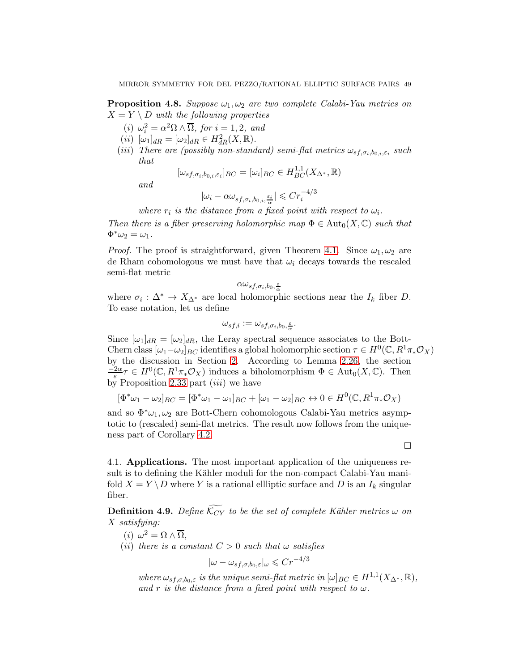<span id="page-48-0"></span>**Proposition 4.8.** Suppose  $\omega_1, \omega_2$  are two complete Calabi-Yau metrics on  $X = Y \setminus D$  with the following properties

- (i)  $\omega_i^2 = \alpha^2 \Omega \wedge \overline{\Omega}$ , for  $i = 1, 2$ , and
- (*ii*)  $[\omega_1]_{dR} = [\omega_2]_{dR} \in H^2_{dR}(X, \mathbb{R}).$
- (iii) There are (possibly non-standard) semi-flat metrics  $\omega_{sf,\sigma_i,b_{0,i},\varepsilon_i}$  such that

$$
[\omega_{sf,\sigma_i,b_{0,i},\varepsilon_i}]_{BC} = [\omega_i]_{BC} \in H_{BC}^{1,1}(X_{\Delta^*},\mathbb{R})
$$

and

$$
|\omega_i - \alpha \omega_{sf, \sigma_i, b_{0,i}, \frac{\varepsilon_i}{\alpha}}| \leqslant Cr_i^{-4/3}
$$

where  $r_i$  is the distance from a fixed point with respect to  $\omega_i$ .

Then there is a fiber preserving holomorphic map  $\Phi \in \text{Aut}_0(X, \mathbb{C})$  such that  $\Phi^*\omega_2=\omega_1.$ 

*Proof.* The proof is straightforward, given Theorem [4.1.](#page-35-0) Since  $\omega_1, \omega_2$  are de Rham cohomologous we must have that  $\omega_i$  decays towards the rescaled semi-flat metric

$$
\alpha \omega_{sf,\sigma_i,b_0,\frac{\varepsilon}{\alpha}}
$$

where  $\sigma_i : \Delta^* \to X_{\Delta^*}$  are local holomorphic sections near the  $I_k$  fiber D. To ease notation, let us define

$$
\omega_{sf,i} := \omega_{sf,\sigma_i,b_0,\frac{\varepsilon}{\alpha}}.
$$

Since  $[\omega_1]_{dR} = [\omega_2]_{dR}$ , the Leray spectral sequence associates to the Bott-Chern class  $[\omega_1 - \omega_2]_{BC}$  identifies a global holomorphic section  $\tau \in H^0(\mathbb{C}, R^1\pi_*\mathcal{O}_X)$ by the discussion in Section [2.](#page-5-0) According to Lemma [2.26,](#page-21-0) the section  $\frac{-2\alpha}{\varepsilon} \tau \in H^0(\mathbb{C}, R^1\pi_*\mathcal{O}_X)$  induces a biholomorphism  $\Phi \in \text{Aut}_0(X, \mathbb{C})$ . Then by Proposition [2.33](#page-26-0) part  $(iii)$  we have

$$
[\Phi^*\omega_1 - \omega_2]_{BC} = [\Phi^*\omega_1 - \omega_1]_{BC} + [\omega_1 - \omega_2]_{BC} \leftrightarrow 0 \in H^0(\mathbb{C}, R^1\pi_*\mathcal{O}_X)
$$

and so  $\Phi^* \omega_1, \omega_2$  are Bott-Chern cohomologous Calabi-Yau metrics asymptotic to (rescaled) semi-flat metrics. The result now follows from the uniqueness part of Corollary [4.2.](#page-35-1)

 $\Box$ 

4.1. Applications. The most important application of the uniqueness result is to defining the Kähler moduli for the non-compact Calabi-Yau manifold  $X = Y \ D$  where Y is a rational ellliptic surface and D is an  $I_k$  singular fiber.

<span id="page-48-1"></span>**Definition 4.9.** Define  $\widetilde{\mathcal{K}_{CY}}$  to be the set of complete Kähler metrics  $\omega$  on X satisfying:

- (*i*)  $\omega^2 = \Omega \wedge \overline{\Omega},$
- (ii) there is a constant  $C > 0$  such that  $\omega$  satisfies

$$
|\omega - \omega_{sf,\sigma,b_0,\varepsilon}|_{\omega} \leq C r^{-4/3}
$$

where  $\omega_{sf,\sigma,b_0,\varepsilon}$  is the unique semi-flat metric in  $[\omega]_{BC} \in H^{1,1}(X_{\Delta^*}, \mathbb{R}),$ and r is the distance from a fixed point with respect to  $\omega$ .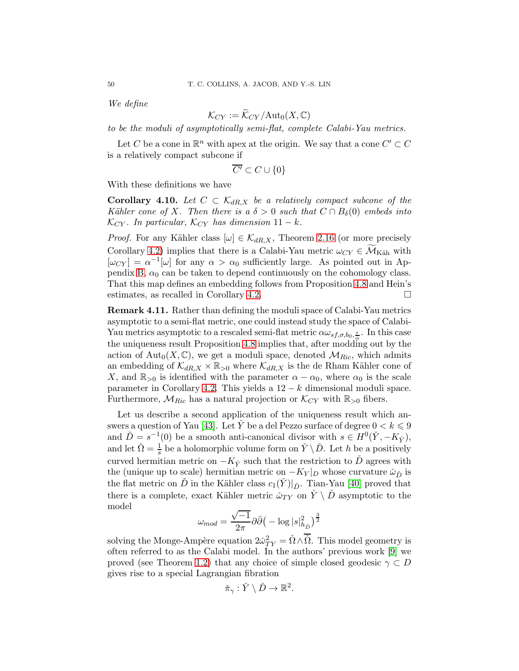We define

$$
\mathcal{K}_{CY} := \widetilde{\mathcal{K}}_{CY}/\mathrm{Aut}_0(X,\mathbb{C})
$$

to be the moduli of asymptotically semi-flat, complete Calabi-Yau metrics.

Let C be a cone in  $\mathbb{R}^n$  with apex at the origin. We say that a cone  $C' \subset C$ is a relatively compact subcone if

$$
\overline{C'}\subset C\cup\{0\}
$$

With these definitions we have

**Corollary 4.10.** Let  $C \subset \mathcal{K}_{dR,X}$  be a relatively compact subcone of the Kähler cone of X. Then there is a  $\delta > 0$  such that  $C \cap B_{\delta}(0)$  embeds into  $\mathcal{K}_{CY}$ . In particular,  $\mathcal{K}_{CY}$  has dimension  $11 - k$ .

*Proof.* For any Kähler class  $[\omega] \in \mathcal{K}_{dR,X}$ , Theorem [2.16](#page-15-0) (or more precisely Corollary [4.2\)](#page-35-1) implies that there is a Calabi-Yau metric  $\omega_{CY} \in \widetilde{\mathcal{M}}_{\text{Käh}}$  with  $[\omega_{CY}] = \alpha^{-1}[\omega]$  for any  $\alpha > \alpha_0$  sufficiently large. As pointed out in Ap-pendix [B,](#page-67-0)  $\alpha_0$  can be taken to depend continuously on the cohomology class. That this map defines an embedding follows from Proposition [4.8](#page-48-0) and Hein's estimates, as recalled in Corollary [4.2.](#page-35-1)

Remark 4.11. Rather than defining the moduli space of Calabi-Yau metrics asymptotic to a semi-flat metric, one could instead study the space of Calabi-Yau metrics asymptotic to a rescaled semi-flat metric  $\alpha \omega_{sf,\sigma,b_0,\frac{\varepsilon}{\alpha}}$ . In this case the uniqueness result Proposition [4.8](#page-48-0) implies that, after modding out by the action of  $\text{Aut}_0(X,\mathbb{C})$ , we get a moduli space, denoted  $\mathcal{M}_{Ric}$ , which admits an embedding of  $\mathcal{K}_{dR,X} \times \mathbb{R}_{>0}$  where  $\mathcal{K}_{dR,X}$  is the de Rham Kähler cone of X, and  $\mathbb{R}_{>0}$  is identified with the parameter  $\alpha - \alpha_0$ , where  $\alpha_0$  is the scale parameter in Corollary [4.2.](#page-35-1) This yields a  $12 - k$  dimensional moduli space. Furthermore,  $\mathcal{M}_{Ric}$  has a natural projection or  $\mathcal{K}_{CY}$  with  $\mathbb{R}_{>0}$  fibers.

Let us describe a second application of the uniqueness result which an-swers a question of Yau [\[43\]](#page-75-0). Let  $\check{Y}$  be a del Pezzo surface of degree  $0 < k \leq 9$ and  $\check{D} = s^{-1}(0)$  be a smooth anti-canonical divisor with  $s \in H^0(\check{Y}, -K_{\check{Y}})$ , and let  $\check{\Omega} = \frac{1}{s}$  be a holomorphic volume form on  $\check{Y} \setminus \check{D}$ . Let h be a positively curved hermitian metric on  $-K_{\tilde{Y}}$  such that the restriction to  $\tilde{D}$  agrees with the (unique up to scale) hermitian metric on  $-K_Y|_D$  whose curvature  $\tilde{\omega}_{\tilde{D}}$  is the flat metric on D in the Kähler class  $c_1(Y)|_{\tilde{D}}$ . Tian-Yau [\[40\]](#page-75-3) proved that there is a complete, exact Kähler metric  $\tilde{\omega}_{TY}$  on  $\tilde{Y} \setminus \tilde{D}$  asymptotic to the model

$$
\omega_{mod} = \frac{\sqrt{-1}}{2\pi} \partial \bar{\partial} \big(-\log |s|^2_{h_{\tilde{D}}} \big)^{\frac{3}{2}}
$$

solving the Monge-Ampère equation  $2\tilde{\omega}_{TY}^2 = \tilde{\Omega} \wedge \overline{\tilde{\Omega}}$ . This model geometry is often referred to as the Calabi model. In the authors' previous work [\[9\]](#page-74-0) we proved (see Theorem [1.2\)](#page-2-0) that any choice of simple closed geodesic  $\gamma \subset D$ gives rise to a special Lagrangian fibration

$$
\check{\pi}_{\gamma}: \check{Y} \setminus \check{D} \to \mathbb{R}^2.
$$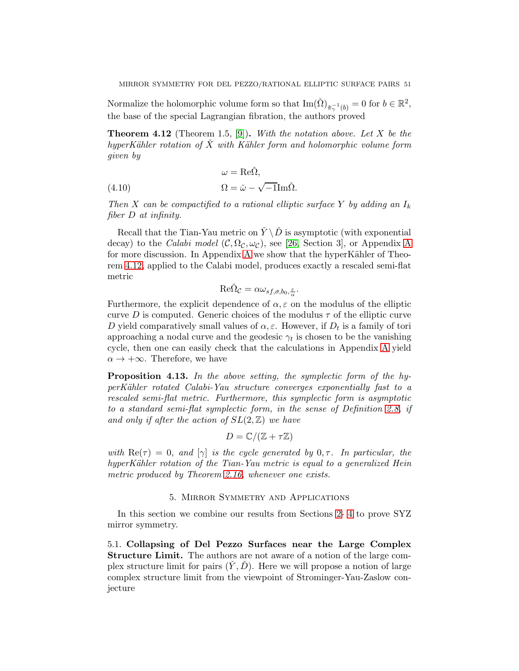Normalize the holomorphic volume form so that  $\text{Im}(\check{\Omega})_{\check{\pi}_\gamma^{-1}(b)} = 0$  for  $b \in \mathbb{R}^2$ , the base of the special Lagrangian fibration, the authors proved

<span id="page-50-0"></span>**Theorem 4.12** (Theorem 1.5, [\[9\]](#page-74-0)). With the notation above. Let X be the hyperKähler rotation of  $\overline{X}$  with Kähler form and holomorphic volume form given by

<span id="page-50-1"></span>(4.10) 
$$
\omega = \text{Re}\check{\Omega},
$$

$$
\Omega = \check{\omega} - \sqrt{-1}\text{Im}\check{\Omega}.
$$

Then X can be compactified to a rational elliptic surface Y by adding an  $I_k$ fiber D at infinity.

Recall that the Tian-Yau metric on  $\check{Y} \backslash \check{D}$  is asymptotic (with exponential decay) to the Calabi model  $(C, \Omega_C, \omega_C)$ , see [\[26,](#page-75-4) Section 3], or [A](#page-60-0)ppendix A for more discussion. In [A](#page-60-0)ppendix A we show that the hyperKähler of Theorem [4.12,](#page-50-0) applied to the Calabi model, produces exactly a rescaled semi-flat metric

$$
\mathrm{Re}\check{\Omega}_{\mathcal{C}}=\alpha\omega_{sf,\sigma,b_0,\frac{\varepsilon}{\alpha}}.
$$

Furthermore, the explicit dependence of  $\alpha, \varepsilon$  on the modulus of the elliptic curve D is computed. Generic choices of the modulus  $\tau$  of the elliptic curve D yield comparatively small values of  $\alpha, \varepsilon$ . However, if  $D_t$  is a family of tori approaching a nodal curve and the geodesic  $\gamma_t$  is chosen to be the vanishing cycle, then one can easily check that the calculations in Appendix [A](#page-60-0) yield  $\alpha \to +\infty$ . Therefore, we have

<span id="page-50-2"></span>Proposition 4.13. In the above setting, the symplectic form of the hyperK¨ahler rotated Calabi-Yau structure converges exponentially fast to a rescaled semi-flat metric. Furthermore, this symplectic form is asymptotic to a standard semi-flat symplectic form, in the sense of Definition [2.8,](#page-11-0) if and only if after the action of  $SL(2,\mathbb{Z})$  we have

$$
D = \mathbb{C}/(\mathbb{Z} + \tau \mathbb{Z})
$$

with  $\text{Re}(\tau) = 0$ , and  $[\gamma]$  is the cycle generated by  $0, \tau$ . In particular, the hyperKähler rotation of the Tian-Yau metric is equal to a generalized Hein metric produced by Theorem [2.16,](#page-15-0) whenever one exists.

## 5. Mirror Symmetry and Applications

In this section we combine our results from Sections [2-](#page-5-0) [4](#page-35-2) to prove SYZ mirror symmetry.

5.1. Collapsing of Del Pezzo Surfaces near the Large Complex Structure Limit. The authors are not aware of a notion of the large complex structure limit for pairs  $(Y, D)$ . Here we will propose a notion of large complex structure limit from the viewpoint of Strominger-Yau-Zaslow conjecture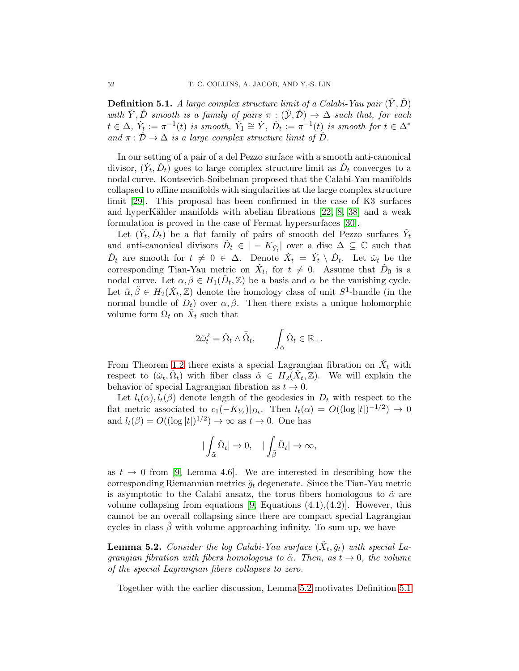<span id="page-51-1"></span>**Definition 5.1.** A large complex structure limit of a Calabi-Yau pair  $(\tilde{Y}, \tilde{D})$ with  $\check{Y}, \check{D}$  smooth is a family of pairs  $\pi : (\check{Y}, \check{D}) \to \Delta$  such that, for each  $t \in \Delta$ ,  $\check{Y}_t := \pi^{-1}(t)$  is smooth,  $\check{Y}_1 \cong \check{Y}$ ,  $\check{D}_t := \pi^{-1}(t)$  is smooth for  $t \in \Delta^*$ and  $\pi : \check{\mathcal{D}} \to \Delta$  is a large complex structure limit of  $\check{\mathcal{D}}$ .

In our setting of a pair of a del Pezzo surface with a smooth anti-canonical divisor,  $(\check{Y}_t, \check{D}_t)$  goes to large complex structure limit as  $\check{D}_t$  converges to a nodal curve. Kontsevich-Soibelman proposed that the Calabi-Yau manifolds collapsed to affine manifolds with singularities at the large complex structure limit [\[29\]](#page-75-5). This proposal has been confirmed in the case of K3 surfaces and hyperKähler manifolds with abelian fibrations  $[22, 8, 38]$  $[22, 8, 38]$  $[22, 8, 38]$  and a weak formulation is proved in the case of Fermat hypersurfaces [\[30\]](#page-75-8).

Let  $(\check{Y}_t, \check{D}_t)$  be a flat family of pairs of smooth del Pezzo surfaces  $\check{Y}_t$ and anti-canonical divisors  $\check{D}_t \in |-K_{\check{Y}_t}|$  over a disc  $\Delta \subseteq \mathbb{C}$  such that  $\check{D}_t$  are smooth for  $t \neq 0 \in \Delta$ . Denote  $\check{X}_t = \check{Y}_t \setminus \check{D}_t$ . Let  $\check{\omega}_t$  be the corresponding Tian-Yau metric on  $\check{X}_t$ , for  $t \neq 0$ . Assume that  $\check{D}_0$  is a nodal curve. Let  $\alpha, \beta \in H_1(\check{D}_t, \mathbb{Z})$  be a basis and  $\alpha$  be the vanishing cycle. Let  $\tilde{\alpha}, \tilde{\beta} \in H_2(\check{X}_t, \mathbb{Z})$  denote the homology class of unit  $S^1$ -bundle (in the normal bundle of  $D_t$ ) over  $\alpha, \beta$ . Then there exists a unique holomorphic volume form  $\Omega_t$  on  $\check{X}_t$  such that

$$
2\tilde{\omega}_t^2 = \check{\Omega}_t \wedge \bar{\check{\Omega}}_t, \qquad \int_{\tilde{\alpha}} \check{\Omega}_t \in \mathbb{R}_+.
$$

From Theorem [1.2](#page-2-0) there exists a special Lagrangian fibration on  $\check{X}_t$  with respect to  $(\check{\omega}_t, \check{\Omega}_t)$  with fiber class  $\tilde{\alpha} \in H_2(\check{X}_t, \mathbb{Z})$ . We will explain the behavior of special Lagrangian fibration as  $t \to 0$ .

Let  $l_t(\alpha)$ ,  $l_t(\beta)$  denote length of the geodesics in  $D_t$  with respect to the flat metric associated to  $c_1(-K_{Y_t})|_{D_t}$ . Then  $l_t(\alpha) = O((\log|t|)^{-1/2}) \to 0$ and  $l_t(\beta) = O((\log|t|)^{1/2}) \to \infty$  as  $t \to 0$ . One has

$$
|\int_{\tilde{\alpha}}\check{\Omega}_t|\to 0,\quad |\int_{\tilde{\beta}}\check{\Omega}_t|\to \infty,
$$

as  $t \to 0$  from [\[9,](#page-74-0) Lemma 4.6]. We are interested in describing how the corresponding Riemannian metrics  $\check{g}_t$  degenerate. Since the Tian-Yau metric is asymptotic to the Calabi ansatz, the torus fibers homologous to  $\tilde{\alpha}$  are volume collapsing from equations  $[9,$  Equations  $(4.1),(4.2)]$ . However, this cannot be an overall collapsing since there are compact special Lagrangian cycles in class  $\hat{\beta}$  with volume approaching infinity. To sum up, we have

<span id="page-51-0"></span>**Lemma 5.2.** Consider the log Calabi-Yau surface  $(\check{X}_t, \check{g}_t)$  with special Lagrangian fibration with fibers homologous to  $\tilde{\alpha}$ . Then, as  $t \to 0$ , the volume of the special Lagrangian fibers collapses to zero.

Together with the earlier discussion, Lemma [5.2](#page-51-0) motivates Definition [5.1](#page-51-1)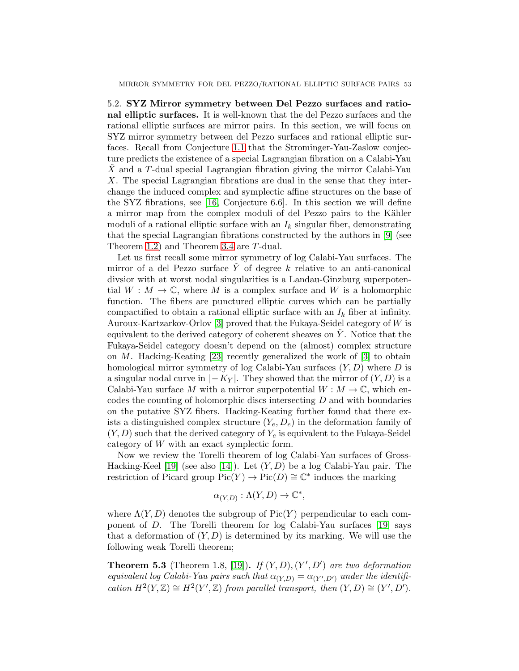5.2. SYZ Mirror symmetry between Del Pezzo surfaces and rational elliptic surfaces. It is well-known that the del Pezzo surfaces and the rational elliptic surfaces are mirror pairs. In this section, we will focus on SYZ mirror symmetry between del Pezzo surfaces and rational elliptic surfaces. Recall from Conjecture [1.1](#page-0-0) that the Strominger-Yau-Zaslow conjecture predicts the existence of a special Lagrangian fibration on a Calabi-Yau  $X$  and a T-dual special Lagrangian fibration giving the mirror Calabi-Yau X. The special Lagrangian fibrations are dual in the sense that they interchange the induced complex and symplectic affine structures on the base of the SYZ fibrations, see [\[16,](#page-74-2) Conjecture 6.6]. In this section we will define a mirror map from the complex moduli of del Pezzo pairs to the Kähler moduli of a rational elliptic surface with an  $I_k$  singular fiber, demonstrating that the special Lagrangian fibrations constructed by the authors in [\[9\]](#page-74-0) (see Theorem [1.2\)](#page-2-0) and Theorem [3.4](#page-33-0) are T-dual.

Let us first recall some mirror symmetry of log Calabi-Yau surfaces. The mirror of a del Pezzo surface  $Y$  of degree  $k$  relative to an anti-canonical divsior with at worst nodal singularities is a Landau-Ginzburg superpotential  $W : M \to \mathbb{C}$ , where M is a complex surface and W is a holomorphic function. The fibers are punctured elliptic curves which can be partially compactified to obtain a rational elliptic surface with an  $I_k$  fiber at infinity. Auroux-Kartzarkov-Orlov [\[3\]](#page-74-3) proved that the Fukaya-Seidel category of W is equivalent to the derived category of coherent sheaves on  $\dot{Y}$ . Notice that the Fukaya-Seidel category doesn't depend on the (almost) complex structure on M. Hacking-Keating [\[23\]](#page-75-9) recently generalized the work of  $[3]$  to obtain homological mirror symmetry of log Calabi-Yau surfaces  $(Y, D)$  where D is a singular nodal curve in  $|-K_Y|$ . They showed that the mirror of  $(Y, D)$  is a Calabi-Yau surface M with a mirror superpotential  $W : M \to \mathbb{C}$ , which encodes the counting of holomorphic discs intersecting D and with boundaries on the putative SYZ fibers. Hacking-Keating further found that there exists a distinguished complex structure  $(Y_e, D_e)$  in the deformation family of  $(Y, D)$  such that the derived category of  $Y_e$  is equivalent to the Fukaya-Seidel category of W with an exact symplectic form.

Now we review the Torelli theorem of log Calabi-Yau surfaces of Gross-Hacking-Keel [\[19\]](#page-74-4) (see also [\[14\]](#page-74-5)). Let  $(Y, D)$  be a log Calabi-Yau pair. The restriction of Picard group  $Pic(Y) \to Pic(D) \cong \mathbb{C}^*$  induces the marking

$$
\alpha_{(Y,D)} : \Lambda(Y,D) \to \mathbb{C}^*,
$$

where  $\Lambda(Y, D)$  denotes the subgroup of Pic(Y) perpendicular to each component of D. The Torelli theorem for log Calabi-Yau surfaces [\[19\]](#page-74-4) says that a deformation of  $(Y, D)$  is determined by its marking. We will use the following weak Torelli theorem;

<span id="page-52-0"></span>**Theorem 5.3** (Theorem 1.8, [\[19\]](#page-74-4)). If  $(Y, D), (Y', D')$  are two deformation equivalent log Calabi-Yau pairs such that  $\alpha_{(Y,D)} = \alpha_{(Y',D')}$  under the identification  $H^2(Y, \mathbb{Z}) \cong H^2(Y', \mathbb{Z})$  from parallel transport, then  $(Y, D) \cong (Y', D')$ .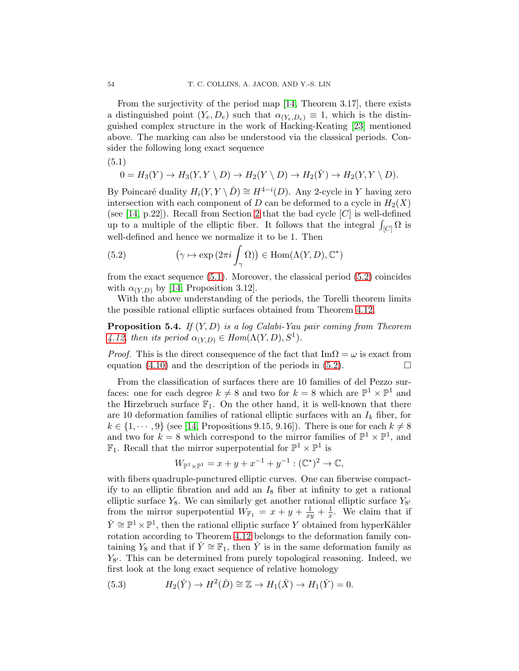From the surjectivity of the period map [\[14,](#page-74-5) Theorem 3.17], there exists a distinguished point  $(Y_e, D_e)$  such that  $\alpha_{(Y_e, D_e)} \equiv 1$ , which is the distinguished complex structure in the work of Hacking-Keating [\[23\]](#page-75-9) mentioned above. The marking can also be understood via the classical periods. Consider the following long exact sequence

<span id="page-53-0"></span>(5.1)

$$
0 = H_3(Y) \to H_3(Y, Y \setminus D) \to H_2(Y \setminus D) \to H_2(Y) \to H_2(Y, Y \setminus D).
$$

By Poincaré duality  $H_i(Y, Y \setminus \check{D}) \cong H^{4-i}(D)$ . Any 2-cycle in Y having zero intersection with each component of D can be deformed to a cycle in  $H_2(X)$ (see [\[14,](#page-74-5) p.22]). Recall from Section [2](#page-5-0) that the bad cycle  $[C]$  is well-defined up to a multiple of the elliptic fiber. It follows that the integral  $\int_{[C]} \Omega$  is well-defined and hence we normalize it to be 1. Then

<span id="page-53-1"></span>(5.2) 
$$
(\gamma \mapsto \exp(2\pi i \int_{\gamma} \Omega)) \in \text{Hom}(\Lambda(Y, D), \mathbb{C}^*)
$$

from the exact sequence [\(5.1\)](#page-53-0). Moreover, the classical period [\(5.2\)](#page-53-1) coincides with  $\alpha_{(Y,D)}$  by [\[14,](#page-74-5) Proposition 3.12].

With the above understanding of the periods, the Torelli theorem limits the possible rational elliptic surfaces obtained from Theorem [4.12.](#page-50-0)

**Proposition 5.4.** If  $(Y, D)$  is a log Calabi-Yau pair coming from Theorem [4.12,](#page-50-0) then its period  $\alpha_{(Y,D)} \in Hom(\Lambda(Y,D), S^1)$ .

*Proof.* This is the direct consequence of the fact that  $\text{Im}\Omega = \omega$  is exact from equation [\(4.10\)](#page-50-1) and the description of the periods in [\(5.2\)](#page-53-1).  $\Box$ 

From the classification of surfaces there are 10 families of del Pezzo surfaces: one for each degree  $k \neq 8$  and two for  $k = 8$  which are  $\mathbb{P}^1 \times \mathbb{P}^1$  and the Hirzebruch surface  $\mathbb{F}_1$ . On the other hand, it is well-known that there are 10 deformation families of rational elliptic surfaces with an  $I_k$  fiber, for  $k \in \{1, \dots, 9\}$  (see [\[14,](#page-74-5) Propositions 9.15, 9.16]). There is one for each  $k \neq 8$ and two for  $k = 8$  which correspond to the mirror families of  $\mathbb{P}^1 \times \mathbb{P}^1$ , and  $\mathbb{F}_1$ . Recall that the mirror superpotential for  $\mathbb{P}^1 \times \mathbb{P}^1$  is

$$
W_{\mathbb{P}^1 \times \mathbb{P}^1} = x + y + x^{-1} + y^{-1} : (\mathbb{C}^*)^2 \to \mathbb{C},
$$

with fibers quadruple-punctured elliptic curves. One can fiberwise compactify to an elliptic fibration and add an  $I_8$  fiber at infinity to get a rational elliptic surface  $Y_8$ . We can similarly get another rational elliptic surface  $Y_{8'}$ from the mirror superpotential  $W_{\mathbb{F}_1} = x + y + \frac{1}{xy} + \frac{1}{x}$  $\frac{1}{x}$ . We claim that if  $\check{Y} \cong \mathbb{P}^1 \times \mathbb{P}^1$ , then the rational elliptic surface Y obtained from hyperKähler rotation according to Theorem [4.12](#page-50-0) belongs to the deformation family containing  $Y_8$  and that if  $\check{Y} \cong \mathbb{F}_1$ , then  $\check{Y}$  is in the same deformation family as  $Y_{8'}$ . This can be determined from purely topological reasoning. Indeed, we first look at the long exact sequence of relative homology

(5.3) 
$$
H_2(\check{Y}) \to H^2(\check{D}) \cong \mathbb{Z} \to H_1(\check{X}) \to H_1(\check{Y}) = 0.
$$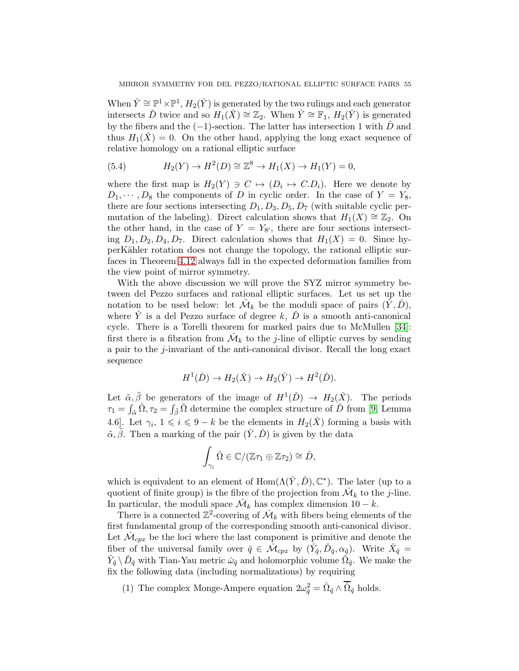When  $\check{Y} \cong \mathbb{P}^1 \times \mathbb{P}^1$ ,  $H_2(\check{Y})$  is generated by the two rulings and each generator intersects Ď twice and so  $H_1(\check{X}) \cong \mathbb{Z}_2$ . When  $\check{Y} \cong \mathbb{F}_1$ ,  $H_2(\check{Y})$  is generated by the fibers and the  $(-1)$ -section. The latter has intersection 1 with  $\check{D}$  and thus  $H_1(\check{X}) = 0$ . On the other hand, applying the long exact sequence of relative homology on a rational elliptic surface

<span id="page-54-0"></span>(5.4) 
$$
H_2(Y) \to H^2(D) \cong \mathbb{Z}^8 \to H_1(X) \to H_1(Y) = 0,
$$

where the first map is  $H_2(Y) \ni C \mapsto (D_i \mapsto C.D_i)$ . Here we denote by  $D_1, \dots, D_8$  the components of D in cyclic order. In the case of  $Y = Y_8$ , there are four sections intersecting  $D_1, D_3, D_5, D_7$  (with suitable cyclic permutation of the labeling). Direct calculation shows that  $H_1(X) \cong \mathbb{Z}_2$ . On the other hand, in the case of  $Y = Y_{8'}$ , there are four sections intersecting  $D_1, D_2, D_4, D_7$ . Direct calculation shows that  $H_1(X) = 0$ . Since hyperK¨ahler rotation does not change the topology, the rational elliptic surfaces in Theorem [4.12](#page-50-0) always fall in the expected deformation families from the view point of mirror symmetry.

With the above discussion we will prove the SYZ mirror symmetry between del Pezzo surfaces and rational elliptic surfaces. Let us set up the notation to be used below: let  $\check{\mathcal{M}}_k$  be the moduli space of pairs  $(\check{Y}, \check{D}),$ where Y is a del Pezzo surface of degree k,  $\dot{D}$  is a smooth anti-canonical cycle. There is a Torelli theorem for marked pairs due to McMullen [\[34\]](#page-75-10): first there is a fibration from  $\mathcal{M}_k$  to the *j*-line of elliptic curves by sending a pair to the j-invariant of the anti-canonical divisor. Recall the long exact sequence

$$
H^1(\check{D}) \to H_2(\check{X}) \to H_2(\check{Y}) \to H^2(\check{D}).
$$

Let  $\tilde{\alpha}, \tilde{\beta}$  be generators of the image of  $H^1(\check{D}) \to H_2(\check{X})$ . The periods  $\tau_1 = \int_{\tilde{\alpha}} \check{\Omega}, \tau_2 = \int_{\tilde{\beta}} \check{\Omega}$  determine the complex structure of  $\check{D}$  from [\[9,](#page-74-0) Lemma 4.6. Let  $\gamma_i, 1 \leq i \leq 9-k$  be the elements in  $H_2(\check{X})$  forming a basis with  $\tilde{\alpha}, \tilde{\beta}$ . Then a marking of the pair  $(\check{Y}, \check{D})$  is given by the data

$$
\int_{\gamma_i} \check{\Omega} \in \mathbb{C}/(\mathbb{Z}\tau_1 \oplus \mathbb{Z}\tau_2) \cong \check{D},
$$

which is equivalent to an element of  $Hom(\Lambda(\check{Y}, \check{D}), \mathbb{C}^*)$ . The later (up to a quotient of finite group) is the fibre of the projection from  $\mathcal{M}_k$  to the *j*-line. In particular, the moduli space  $\mathcal{M}_k$  has complex dimension  $10 - k$ .

There is a connected  $\mathbb{Z}^2$ -covering of  $\mathcal{M}_k$  with fibers being elements of the first fundamental group of the corresponding smooth anti-canonical divisor. Let  $\mathcal{M}_{cpx}$  be the loci where the last component is primitive and denote the fiber of the universal family over  $\check{q} \in \check{\mathcal{M}}_{cpx}$  by  $(\check{Y}_{\check{q}}, \check{D}_{\check{q}}, \alpha_{\check{g}})$ . Write  $\check{X}_{\check{q}} =$  $\check{Y}_{\check{q}}\setminus \check{D}_{\check{q}}$  with Tian-Yau metric  $\check{\omega}_{\check{q}}$  and holomorphic volume  $\check{\Omega}_{\check{q}}$ . We make the fix the following data (including normalizations) by requiring

(1) The complex Monge-Ampere equation  $2\omega_{\tilde{q}}^2 = \tilde{\Omega}_{\tilde{q}} \wedge \overline{\tilde{\Omega}}_{\tilde{q}}$  holds.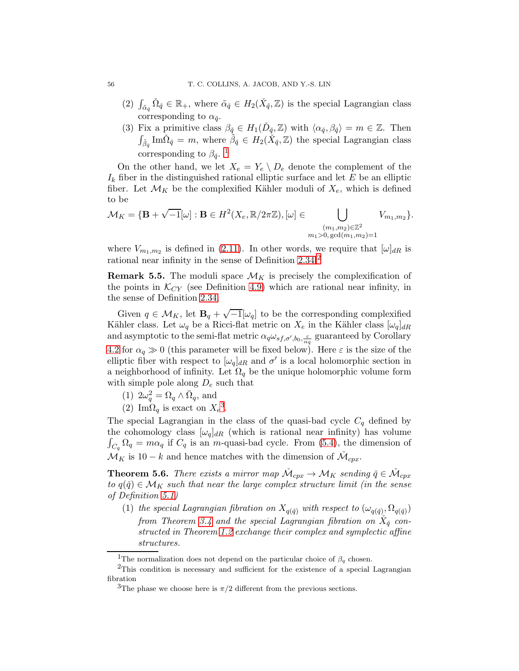- (2)  $\int_{\tilde{\alpha}_{\tilde{q}}} \tilde{\Omega}_{\tilde{q}} \in \mathbb{R}_+$ , where  $\tilde{\alpha}_{\tilde{q}} \in H_2(\tilde{X}_{\tilde{q}}, \mathbb{Z})$  is the special Lagrangian class corresponding to  $\alpha_{\check{q}}$ .
- (3) Fix a primitive class  $\beta_{\tilde{q}} \in H_1(\check{D}_{\tilde{q}}, \mathbb{Z})$  with  $\langle \alpha_{\tilde{q}}, \beta_{\tilde{q}} \rangle = m \in \mathbb{Z}$ . Then  $\int_{\tilde{\beta}_{\tilde{q}}}$  Im $\tilde{\Omega}_{\tilde{q}} = m$ , where  $\tilde{\beta}_{\tilde{q}} \in H_2(\tilde{X}_{\tilde{q}}, \mathbb{Z})$  the special Lagrangian class corresponding to  $\beta_{\check{q}}$ .<sup>[1](#page-55-0)</sup>

On the other hand, we let  $X_e = Y_e \setminus D_e$  denote the complement of the  $I_k$  fiber in the distinguished rational elliptic surface and let E be an elliptic fiber. Let  $\mathcal{M}_K$  be the complexified Kähler moduli of  $X_e$ , which is defined to be

$$
\mathcal{M}_K = \{ \mathbf{B} + \sqrt{-1}[\omega] : \mathbf{B} \in H^2(X_e, \mathbb{R}/2\pi\mathbb{Z}), [\omega] \in \bigcup_{\substack{(m_1, m_2) \in \mathbb{Z}^2 \\ m_1 > 0, \text{gcd}(m_1, m_2) = 1}} V_{m_1, m_2} \}.
$$

where  $V_{m_1,m_2}$  is defined in [\(2.11\)](#page-27-1). In other words, we require that  $[\omega]_{dR}$  is rational near infinity in the sense of Definition [2.34.](#page-27-2)<sup>[2](#page-55-1)</sup>

**Remark 5.5.** The moduli space  $\mathcal{M}_K$  is precisely the complexification of the points in  $\mathcal{K}_{CY}$  (see Definition [4.9\)](#page-48-1) which are rational near infinity, in the sense of Definition [2.34.](#page-27-2)

Given  $q \in M_K$ , let  $\mathbf{B}_q + \sqrt{-1}[\omega_q]$  to be the corresponding complexified Kähler class. Let  $\omega_q$  be a Ricci-flat metric on  $X_e$  in the Kähler class  $[\omega_q]_{dR}$ and asymptotic to the semi-flat metric  $\alpha_q \omega_{sf,\sigma',b_0,\frac{\varepsilon}{\alpha_q}}$  guaranteed by Corollary [4.2](#page-35-1) for  $\alpha_q \gg 0$  (this parameter will be fixed below). Here  $\varepsilon$  is the size of the elliptic fiber with respect to  $[\omega_q]_{dR}$  and  $\sigma'$  is a local holomorphic section in a neighborhood of infinity. Let  $\Omega_q$  be the unique holomorphic volume form with simple pole along  $D_e$  such that

- (1)  $2\omega_q^2 = \Omega_q \wedge \overline{\Omega}_q$ , and
- (2) Im $\Omega_q$  is exact on  $X_e^3$  $X_e^3$ .

The special Lagrangian in the class of the quasi-bad cycle  $C_q$  defined by the cohomology class  $[\omega_q]_{dR}$  (which is rational near infinity) has volume  $\int_{C_q} \Omega_q = m \alpha_q$  if  $C_q$  is an m-quasi-bad cycle. From [\(5.4\)](#page-54-0), the dimension of  $\mathcal{M}_K$  is 10 – k and hence matches with the dimension of  $\mathcal{M}_{cpx}$ .

<span id="page-55-3"></span>**Theorem 5.6.** There exists a mirror map  $\check{\mathcal{M}}_{cpx} \to \mathcal{M}_K$  sending  $\check{q} \in \check{\mathcal{M}}_{cpx}$ to  $q(\check{q}) \in \mathcal{M}_K$  such that near the large complex structure limit (in the sense of Definition [5.1\)](#page-51-1)

(1) the special Lagrangian fibration on  $X_{q(\check{q})}$  with respect to  $(\omega_{q(\check{q})}, \Omega_{q(\check{q})})$ from Theorem [3.4](#page-33-0) and the special Lagrangian fibration on  $\check{X}_{\check{q}}$  constructed in Theorem [1.2](#page-2-0) exchange their complex and symplectic affine structures.

<span id="page-55-0"></span><sup>&</sup>lt;sup>1</sup>The normalization does not depend on the particular choice of  $\beta_q$  chosen.

<sup>&</sup>lt;sup>2</sup>This condition is necessary and sufficient for the existence of a special Lagrangian fibration

<span id="page-55-2"></span><span id="page-55-1"></span><sup>&</sup>lt;sup>3</sup>The phase we choose here is  $\pi/2$  different from the previous sections.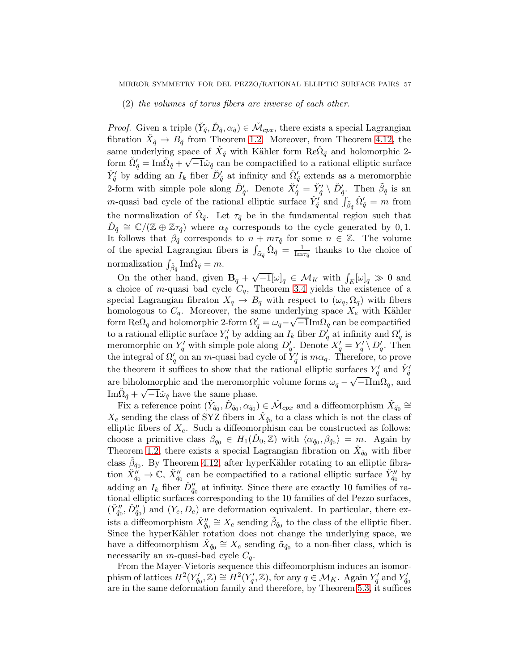## (2) the volumes of torus fibers are inverse of each other.

*Proof.* Given a triple  $(\check{Y}_{\check{q}}, \check{D}_{\check{q}}, \alpha_{\check{q}}) \in \check{\mathcal{M}}_{cpx}$ , there exists a special Lagrangian fibration  $\check{X}_{\check{q}} \to B_{\check{q}}$  from Theorem [1.2.](#page-2-0) Moreover, from Theorem [4.12,](#page-50-0) the same underlying space of  $\check{X}_{\check{q}}$  with Kähler form  $\text{Re}\check{\Omega}_{\check{q}}$  and holomorphic 2form  $\tilde{\Omega}'_{\check{q}} = \text{Im}\tilde{\Omega}_{\check{q}} + \sqrt{-1}\tilde{\omega}_{\check{q}}$  can be compactified to a rational elliptic surface  $\check{Y}'_{\check{q}}$  by adding an  $I_k$  fiber  $\check{D}'_{\check{q}}$  at infinity and  $\check{\Omega}'_{\check{q}}$  extends as a meromorphic 2-form with simple pole along  $\check{D}'_{\check{q}}$ . Denote  $\check{X}'_{\check{q}} = \check{Y}'_{\check{q}} \setminus \check{D}'_{\check{q}}$ . Then  $\tilde{\beta}_{\check{q}}$  is an *m*-quasi bad cycle of the rational elliptic surface  $\check{Y}'_{\check{q}}$  and  $\int_{\tilde{\beta}_{\check{q}}} \check{\Omega}'_{\check{q}} = m$  from the normalization of  $\check{\Omega}_{\check{q}}$ . Let  $\tau_{\check{q}}$  be in the fundamental region such that  $\tilde{D}_{\tilde{q}} \cong \mathbb{C}/(\mathbb{Z} \oplus \mathbb{Z}\tau_{\tilde{q}})$  where  $\alpha_{\tilde{q}}$  corresponds to the cycle generated by 0, 1. It follows that  $\beta_{\check{q}}$  corresponds to  $n + m\tau_{\check{q}}$  for some  $n \in \mathbb{Z}$ . The volume of the special Lagrangian fibers is  $\int_{\tilde{\alpha}_{\tilde{q}}} \tilde{\Omega}_{\tilde{q}} = \frac{1}{\text{Im}\tau_{\tilde{q}}}$  thanks to the choice of normalization  $\int_{\tilde{\beta}_{\tilde{q}}}$  Im $\check{\Omega}_{\check{q}} = m$ .

On the other hand, given  $\mathbf{B}_q + \sqrt{-1}[\omega]_q \in \mathcal{M}_K$  with  $\int_E[\omega]_q \gg 0$  and a choice of m-quasi bad cycle  $C_q$ , Theorem [3.4](#page-33-0) yields the existence of a special Lagrangian fibraton  $X_q \to B_q$  with respect to  $(\omega_q, \Omega_q)$  with fibers homologous to  $C_q$ . Moreover, the same underlying space  $X_e$  with Kähler form Re $\Omega_q$  and holomorphic 2-form  $\Omega'_q = \omega_q - \sqrt{-1} \text{Im}\Omega_q$  can be compactified to a rational elliptic surface  $Y'_q$  by adding an  $I_k$  fiber  $D'_q$  at infinity and  $\Omega'_q$  is meromorphic on  $Y'_q$  with simple pole along  $D'_q$ . Denote  $X'_q = Y'_q \setminus D'_q$ . Then the integral of  $\Omega'_q$  on an m-quasi bad cycle of  $Y'_q$  is  $m\alpha_q$ . Therefore, to prove the theorem it suffices to show that the rational elliptic surfaces  $Y'_q$  and  $\check{Y}'_{\check{q}}$ are biholomorphic and the meromorphic volume forms  $\omega_q - \sqrt{-1} \text{Im}\Omega_q$ , and Im $\tilde{\Omega}_{\check{q}} + \sqrt{-1}\tilde{\omega}_{\check{q}}$  have the same phase.

Fix a reference point  $(\check{Y}_{\check{q}_0}, \check{D}_{\check{q}_0}, \alpha_{\check{q}_0}) \in \check{\mathcal{M}}_{cpx}$  and a diffeomorphism  $\check{X}_{\check{q}_0} \cong$  $X_e$  sending the class of SYZ fibers in  $\check{X}_{\check{q}_0}$  to a class which is not the class of elliptic fibers of  $X_e$ . Such a diffeomorphism can be constructed as follows: choose a primitive class  $\beta_{q_0} \in H_1(\check{D}_0, \mathbb{Z})$  with  $\langle \alpha_{\check{q}_0}, \beta_{\check{q}_0} \rangle = m$ . Again by Theorem [1.2,](#page-2-0) there exists a special Lagrangian fibration on  $\check{X}_{\check{q}_0}$  with fiber class  $\tilde{\beta}_{\check{q}_0}$ . By Theorem [4.12,](#page-50-0) after hyperKähler rotating to an elliptic fibration  $\check{X}_{\check{q}_0}'' \to \mathbb{C}, \check{X}_{\check{q}_0}''$  can be compactified to a rational elliptic surface  $\check{Y}_{\check{q}_0}''$  by adding an  $I_k$  fiber  $\check{D}''_{\check{q}_0}$  at infinity. Since there are exactly 10 families of rational elliptic surfaces corresponding to the 10 families of del Pezzo surfaces,  $(\check{Y}_{\check{q}_0}'', \check{D}_{\check{q}_0}'')$  and  $(Y_e, D_e)$  are deformation equivalent. In particular, there exists a diffeomorphism  $\check{X}_{\check{q}_0}'' \cong X_e$  sending  $\tilde{\beta}_{\check{q}_0}$  to the class of the elliptic fiber. Since the hyperKähler rotation does not change the underlying space, we have a diffeomorphism  $\check{X}_{\check{q}_0} \cong X_e$  sending  $\tilde{\alpha}_{\check{q}_0}$  to a non-fiber class, which is necessarily an *m*-quasi-bad cycle  $C_q$ .

From the Mayer-Vietoris sequence this diffeomorphism induces an isomorphism of lattices  $H^2(Y'_{\check{q}_0}, \mathbb{Z}) \cong H^2(Y'_q, \mathbb{Z})$ , for any  $q \in \mathcal{M}_K$ . Again  $Y'_q$  and  $Y'_{\check{q}_0}$ are in the same deformation family and therefore, by Theorem [5.3,](#page-52-0) it suffices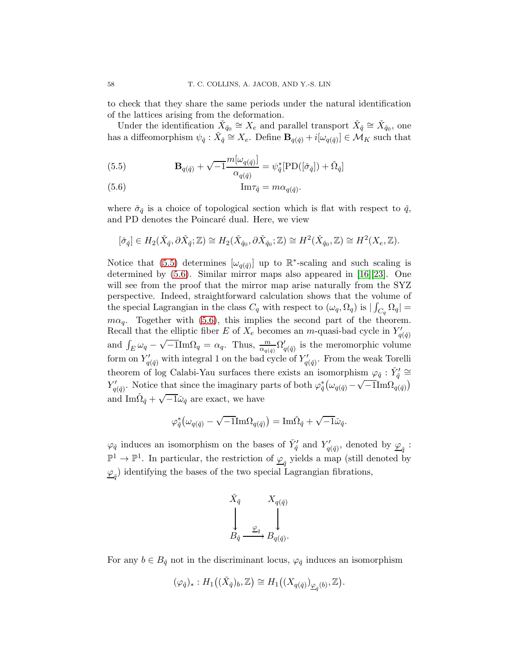to check that they share the same periods under the natural identification of the lattices arising from the deformation.

Under the identification  $\check{X}_{\check{q}_0} \cong X_e$  and parallel transport  $\check{X}_{\check{q}} \cong \check{X}_{\check{q}_0}$ , one has a diffeomorphism  $\psi_{\tilde{q}} : \check{X}_{\tilde{q}} \cong X_e$ . Define  $\mathbf{B}_{q(\tilde{q})} + i[\omega_{q(\tilde{q})}] \in \mathcal{M}_K$  such that

<span id="page-57-0"></span>(5.5) 
$$
\mathbf{B}_{q(\check{q})} + \sqrt{-1} \frac{m[\omega_{q(\check{q})}]}{\alpha_{q(\check{q})}} = \psi_{\check{q}}^* [\text{PD}([\check{\sigma}_{\check{q}}]) + \check{\Omega}_{\check{q}}]
$$

<span id="page-57-1"></span>(5.6) 
$$
\text{Im}\tau_{\check{q}} = m\alpha_{q(\check{q})}.
$$

where  $\check{\sigma}_{\check{q}}$  is a choice of topological section which is flat with respect to  $\check{q}$ , and PD denotes the Poincaré dual. Here, we view

$$
[\check{\sigma}_{\check{q}}] \in H_2(\check{X}_{\check{q}}, \partial \check{X}_{\check{q}}; \mathbb{Z}) \cong H_2(\check{X}_{\check{q}_0}, \partial \check{X}_{\check{q}_0}; \mathbb{Z}) \cong H^2(\check{X}_{\check{q}_0}, \mathbb{Z}) \cong H^2(X_e, \mathbb{Z}).
$$

Notice that [\(5.5\)](#page-57-0) determines  $[\omega_{q(\check{q})}]$  up to  $\mathbb{R}^*$ -scaling and such scaling is determined by [\(5.6\)](#page-57-1). Similar mirror maps also appeared in [\[16\]](#page-74-2)[\[23\]](#page-75-9). One will see from the proof that the mirror map arise naturally from the SYZ perspective. Indeed, straightforward calculation shows that the volume of the special Lagrangian in the class  $C_q$  with respect to  $(\omega_q, \Omega_q)$  is  $|\int_{C_q} \Omega_q|$  =  $m\alpha_q$ . Together with [\(5.6\)](#page-57-1), this implies the second part of the theorem. Recall that the elliptic fiber E of  $X_e$  becomes an m-quasi-bad cycle in  $Y'_{q(\check{q})}$ and  $\int_E \omega_q - \sqrt{-1} \text{Im}\Omega_q = \alpha_q$ . Thus,  $\frac{m}{\alpha_{q(\tilde{q})}} \Omega'_{q(\tilde{q})}$  is the meromorphic volume form on  $Y'_{q(\check{q})}$  with integral 1 on the bad cycle of  $Y'_{q(\check{q})}$ . From the weak Torelli theorem of log Calabi-Yau surfaces there exists an isomorphism  $\varphi_{\check{q}} : \check{Y}'_{\check{q}} \cong$  $Y'_{q(\check{q})}$ . Notice that since the imaginary parts of both  $\varphi_{\check{q}}^* (\omega_{q(\check{q})} - \sqrt{-1} \text{Im} \Omega_{q(\check{q})})$ and  $\text{Im}\,\tilde{\Omega}_{\check{q}} + \sqrt{-1}\tilde{\omega}_{\check{q}}$  are exact, we have

$$
\varphi_{\check{q}}^* \big( \omega_{q(\check{q})} - \sqrt{-1} \text{Im} \Omega_{q(\check{q})} \big) = \text{Im} \check{\Omega}_{\check{q}} + \sqrt{-1} \check{\omega}_{\check{q}}.
$$

 $\varphi_{\tilde{q}}$  induces an isomorphism on the bases of  $\check{Y}'_{\tilde{q}}$  and  $Y'_{q(\tilde{q})}$ , denoted by  $\underline{\varphi}_{\tilde{q}}$ :  $\mathbb{P}^1 \to \mathbb{P}^1$ . In particular, the restriction of  $\underline{\varphi}_{\check{q}}$  yields a map (still denoted by  $\frac{\varphi_{\check{q}}}{\varphi}$  identifying the bases of the two special Lagrangian fibrations,



For any  $b \in B_{\check{q}}$  not in the discriminant locus,  $\varphi_{\check{q}}$  induces an isomorphism

$$
(\varphi_{\check{q}})_*: H_1((\check{X}_{\check{q}})_b, \mathbb{Z}) \cong H_1\big((X_{q(\check{q})})_{\underline{\varphi}_{\check{q}}(b)}, \mathbb{Z}\big).
$$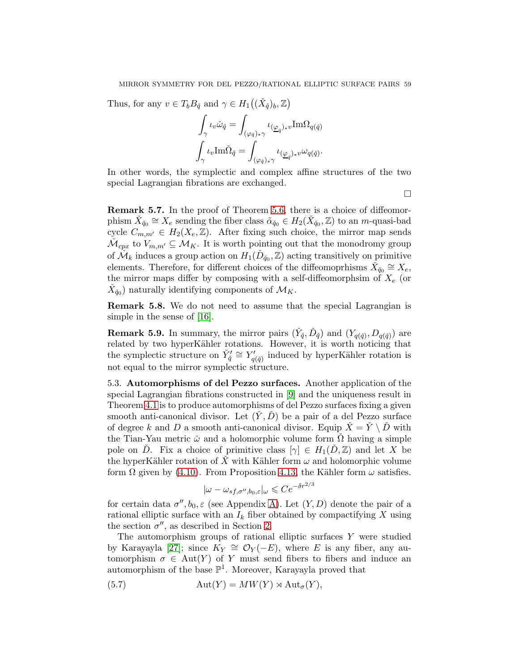Thus, for any  $v \in T_b B_{\tilde{q}}$  and  $\gamma \in H_1((\check{X}_{\check{q}})_b, \mathbb{Z})$ 

$$
\int_{\gamma} \iota_v \check{\omega}_{\check{q}} = \int_{(\varphi_{\check{q}})_{*}\gamma} \iota_{(\underline{\varphi}_{\check{q}})_{*}v} \text{Im}\Omega_{q(\check{q})}
$$

$$
\int_{\gamma} \iota_v \text{Im}\check{\Omega}_{\check{q}} = \int_{(\varphi_{\check{q}})_{*}\gamma} \iota_{(\underline{\varphi}_{\check{q}})_{*}v} \omega_{q(\check{q})}.
$$

In other words, the symplectic and complex affine structures of the two special Lagrangian fibrations are exchanged.

 $\Box$ 

Remark 5.7. In the proof of Theorem [5.6,](#page-55-3) there is a choice of diffeomorphism  $\check{X}_{\check{q}_0} \cong X_e$  sending the fiber class  $\tilde{\alpha}_{\check{q}_0} \in H_2(\check{X}_{\check{q}_0}, \mathbb{Z})$  to an *m*-quasi-bad cycle  $C_{m,m'} \in H_2(X_e, \mathbb{Z})$ . After fixing such choice, the mirror map sends  $\mathcal{M}_{cpx}$  to  $V_{m,m'} \subseteq \mathcal{M}_K$ . It is worth pointing out that the monodromy group of  $\check{\mathcal{M}}_k$  induces a group action on  $H_1(\check{D}_{\check{q}_0}, \mathbb{Z})$  acting transitively on primitive elements. Therefore, for different choices of the diffeomoprhisms  $\check{X}_{\check{q}_0} \cong X_e$ , the mirror maps differ by composing with a self-diffeomorphsim of  $X_e$  (or  $\check{X}_{\check{q}_0}$  naturally identifying components of  $\mathcal{M}_K$ .

Remark 5.8. We do not need to assume that the special Lagrangian is simple in the sense of [\[16\]](#page-74-2).

**Remark 5.9.** In summary, the mirror pairs  $(\check{Y}_{\check{q}}, \check{D}_{\check{q}})$  and  $(Y_{q(\check{q})}, D_{q(\check{q})})$  are related by two hyperKähler rotations. However, it is worth noticing that the symplectic structure on  $\check{Y}'_{\check{q}} \cong Y'_{q(\check{q})}$  induced by hyperKähler rotation is not equal to the mirror symplectic structure.

5.3. Automorphisms of del Pezzo surfaces. Another application of the special Lagrangian fibrations constructed in [\[9\]](#page-74-0) and the uniqueness result in Theorem [4.1](#page-35-0) is to produce automorphisms of del Pezzo surfaces fixing a given smooth anti-canonical divisor. Let  $(Y, D)$  be a pair of a del Pezzo surface of degree k and D a smooth anti-canonical divisor. Equip  $\dot{X} = \dot{Y} \setminus \dot{D}$  with the Tian-Yau metric  $\check{\omega}$  and a holomorphic volume form  $\check{\Omega}$  having a simple pole on D. Fix a choice of primitive class  $[\gamma] \in H_1(D, \mathbb{Z})$  and let X be the hyperKähler rotation of X with Kähler form  $\omega$  and holomorphic volume form  $\Omega$  given by [\(4.10\)](#page-50-1). From Proposition [4.13,](#page-50-2) the Kähler form  $\omega$  satisfies.

$$
|\omega - \omega_{sf,\sigma'',b_0,\varepsilon}|_{\omega} \leqslant Ce^{-\delta r^{2/3}}
$$

for certain data  $\sigma'', b_0, \varepsilon$  (see Appendix [A\)](#page-60-0). Let  $(Y, D)$  denote the pair of a rational elliptic surface with an  $I_k$  fiber obtained by compactifying X using the section  $\sigma''$ , as described in Section [2.](#page-5-0)

The automorphism groups of rational elliptic surfaces Y were studied by Karayayla [\[27\]](#page-75-11); since  $K_Y \cong \mathcal{O}_Y(-E)$ , where E is any fiber, any automorphism  $\sigma \in Aut(Y)$  of Y must send fibers to fibers and induce an automorphism of the base  $\mathbb{P}^1$ . Moreover, Karayayla proved that

<span id="page-58-0"></span>(5.7) 
$$
\operatorname{Aut}(Y) = MW(Y) \rtimes \operatorname{Aut}_{\sigma}(Y),
$$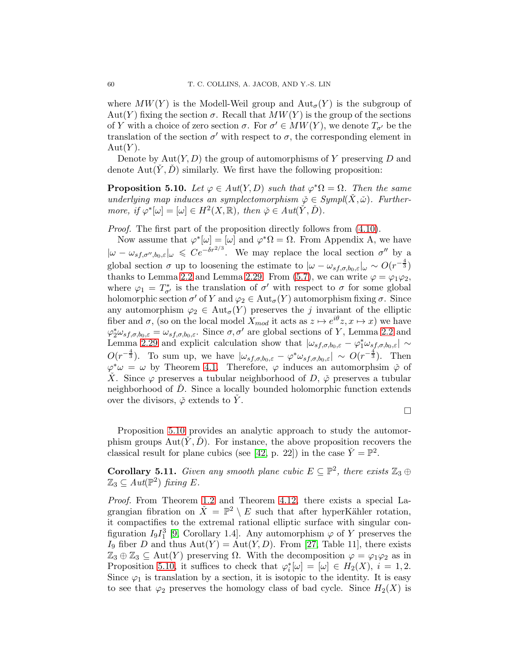where  $MW(Y)$  is the Modell-Weil group and  $Aut_{\sigma}(Y)$  is the subgroup of Aut(Y) fixing the section  $\sigma$ . Recall that  $MW(Y)$  is the group of the sections of Y with a choice of zero section  $\sigma$ . For  $\sigma' \in MW(Y)$ , we denote  $T_{\sigma'}$  be the translation of the section  $\sigma'$  with respect to  $\sigma$ , the corresponding element in  $Aut(Y)$ .

Denote by  $Aut(Y, D)$  the group of automorphisms of Y preserving D and denote  $Aut(Y, D)$  similarly. We first have the following proposition:

<span id="page-59-0"></span>**Proposition 5.10.** Let  $\varphi \in Aut(Y, D)$  such that  $\varphi^* \Omega = \Omega$ . Then the same underlying map induces an symplectomorphism  $\check{\varphi} \in Sympl(X, \check{\omega})$ . Furthermore, if  $\varphi^*[\omega] = [\omega] \in H^2(X, \mathbb{R})$ , then  $\check{\varphi} \in Aut(\check{Y}, \check{D})$ .

Proof. The first part of the proposition directly follows from  $(4.10)$ .

Now assume that  $\varphi^*[\omega] = [\omega]$  and  $\varphi^* \Omega = \Omega$ . From Appendix A, we have  $|\omega - \omega_{sf,\sigma'',b_0,\varepsilon}|_{\omega} \leqslant Ce^{-\delta r^{2/3}}$ . We may replace the local section  $\sigma''$  by a global section  $\sigma$  up to loosening the estimate to  $|\omega - \omega_{sf,\sigma,b_0,\varepsilon}|_{\omega} \sim O(r^{-\frac{4}{3}})$ thanks to Lemma [2.2](#page-6-0) and Lemma [2.29.](#page-23-0) From [\(5.7\)](#page-58-0), we can write  $\varphi = \varphi_1 \varphi_2$ , where  $\varphi_1 = T^*_{\sigma'}$  is the translation of  $\sigma'$  with respect to  $\sigma$  for some global holomorphic section  $\sigma'$  of Y and  $\varphi_2 \in \text{Aut}_{\sigma}(Y)$  automorphism fixing  $\sigma$ . Since any automorphism  $\varphi_2 \in \text{Aut}_{\sigma}(Y)$  preserves the j invariant of the elliptic fiber and  $\sigma$ , (so on the local model  $X_{mod}$  it acts as  $z \mapsto e^{i\theta}z, x \mapsto x$ ) we have  $\varphi_2^* \omega_{sf,\sigma,b_0,\varepsilon} = \omega_{sf,\sigma,b_0,\varepsilon}$ . Since  $\sigma, \sigma'$  are global sections of Y, Lemma [2.2](#page-6-0) and Lemma [2.29](#page-23-0) and explicit calculation show that  $|\omega_{sf,\sigma,b_0,\varepsilon} - \varphi_1^* \omega_{sf,\sigma,b_0,\varepsilon}| \sim$  $O(r^{-\frac{4}{3}})$ . To sum up, we have  $|\omega_{s,f,\sigma,b_0,\varepsilon} - \varphi^* \omega_{s,f,\sigma,b_0,\varepsilon}| \sim O(r^{-\frac{4}{3}})$ . Then  $\varphi^*\omega = \omega$  by Theorem [4.1.](#page-35-0) Therefore,  $\varphi$  induces an automorphsim  $\check{\varphi}$  of X. Since  $\varphi$  preserves a tubular neighborhood of D,  $\varphi$  preserves a tubular neighborhood of D. Since a locally bounded holomorphic function extends over the divisors,  $\check{\varphi}$  extends to Y.

 $\Box$ 

Proposition [5.10](#page-59-0) provides an analytic approach to study the automorphism groups  $Aut(Y, D)$ . For instance, the above proposition recovers the classical result for plane cubics (see [\[42,](#page-75-12) p. 22]) in the case  $\check{Y} = \mathbb{P}^2$ .

**Corollary 5.11.** Given any smooth plane cubic  $E \subseteq \mathbb{P}^2$ , there exists  $\mathbb{Z}_3 \oplus$  $\mathbb{Z}_3 \subseteq Aut(\mathbb{P}^2)$  fixing E.

Proof. From Theorem [1.2](#page-2-0) and Theorem [4.12,](#page-50-0) there exists a special Lagrangian fibration on  $\check{X} = \mathbb{P}^2 \setminus E$  such that after hyperKähler rotation, it compactifies to the extremal rational elliptic surface with singular configuration  $I_9I_1^3$  [\[9,](#page-74-0) Corollary 1.4]. Any automorphism  $\varphi$  of Y preserves the I<sub>9</sub> fiber D and thus  $Aut(Y) = Aut(Y, D)$ . From [\[27,](#page-75-11) Table 11], there exists  $\mathbb{Z}_3 \oplus \mathbb{Z}_3 \subseteq \text{Aut}(Y)$  preserving  $\Omega$ . With the decomposition  $\varphi = \varphi_1 \varphi_2$  as in Proposition [5.10,](#page-59-0) it suffices to check that  $\varphi_i^*[\omega] = [\omega] \in H_2(X)$ ,  $i = 1, 2$ . Since  $\varphi_1$  is translation by a section, it is isotopic to the identity. It is easy to see that  $\varphi_2$  preserves the homology class of bad cycle. Since  $H_2(X)$  is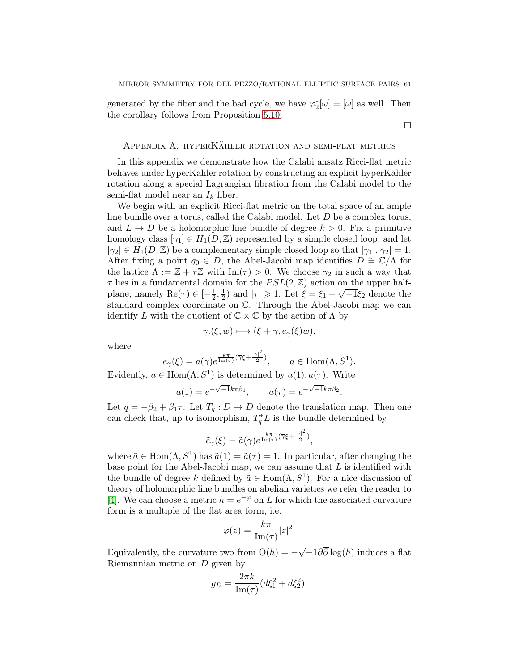$\Box$ 

generated by the fiber and the bad cycle, we have  $\varphi_2^*[\omega] = [\omega]$  as well. Then the corollary follows from Proposition [5.10.](#page-59-0)

## <span id="page-60-0"></span>APPENDIX A. HYPERKÄHLER ROTATION AND SEMI-FLAT METRICS

In this appendix we demonstrate how the Calabi ansatz Ricci-flat metric behaves under hyperKähler rotation by constructing an explicit hyperKähler rotation along a special Lagrangian fibration from the Calabi model to the semi-flat model near an  $I_k$  fiber.

We begin with an explicit Ricci-flat metric on the total space of an ample line bundle over a torus, called the Calabi model. Let D be a complex torus, and  $L \to D$  be a holomorphic line bundle of degree  $k > 0$ . Fix a primitive homology class  $[\gamma_1] \in H_1(D, \mathbb{Z})$  represented by a simple closed loop, and let  $[\gamma_2] \in H_1(D,\mathbb{Z})$  be a complementary simple closed loop so that  $[\gamma_1] \cdot [\gamma_2] = 1$ . After fixing a point  $q_0 \in D$ , the Abel-Jacobi map identifies  $D \cong \mathbb{C}/\Lambda$  for the lattice  $\Lambda := \mathbb{Z} + \tau \mathbb{Z}$  with  $\text{Im}(\tau) > 0$ . We choose  $\gamma_2$  in such a way that  $\tau$  lies in a fundamental domain for the  $PSL(2,\mathbb{Z})$  action on the upper halfplane; namely  $\text{Re}(\tau) \in \left[-\frac{1}{2}\right]$  $\frac{1}{2}, \frac{1}{2}$  $\frac{1}{2}$ ) and  $|\tau| \ge 1$ . Let  $\xi = \xi_1 + \sqrt{-1}\xi_2$  denote the standard complex coordinate on C. Through the Abel-Jacobi map we can identify L with the quotient of  $\mathbb{C} \times \mathbb{C}$  by the action of  $\Lambda$  by

$$
\gamma.(\xi, w) \longmapsto (\xi + \gamma, e_{\gamma}(\xi)w),
$$

where

$$
e_{\gamma}(\xi) = a(\gamma)e^{\frac{k\pi}{\text{Im}(\tau)}(\overline{\gamma}\xi + \frac{|\gamma|^2}{2})}
$$
,  $a \in \text{Hom}(\Lambda, S^1)$ .

Evidently,  $a \in \text{Hom}(\Lambda, S^1)$  is determined by  $a(1), a(\tau)$ . Write

$$
a(1) = e^{-\sqrt{-1}k\pi\beta_1}
$$
,  $a(\tau) = e^{-\sqrt{-1}k\pi\beta_2}$ .

Let  $q = -\beta_2 + \beta_1 \tau$ . Let  $T_q : D \to D$  denote the translation map. Then one can check that, up to isomorphism,  $T_q^*L$  is the bundle determined by

$$
\tilde{e}_{\gamma}(\xi) = \tilde{a}(\gamma)e^{\frac{k\pi}{\text{Im}(\tau)}(\overline{\gamma}\xi + \frac{|\gamma|^2}{2})},
$$

where  $\tilde{a} \in \text{Hom}(\Lambda, S^1)$  has  $\tilde{a}(1) = \tilde{a}(\tau) = 1$ . In particular, after changing the base point for the Abel-Jacobi map, we can assume that  $L$  is identified with the bundle of degree k defined by  $\tilde{a} \in \text{Hom}(\Lambda, S^1)$ . For a nice discussion of theory of holomorphic line bundles on abelian varieties we refer the reader to [\[4\]](#page-74-6). We can choose a metric  $h = e^{-\varphi}$  on L for which the associated curvature form is a multiple of the flat area form, i.e.

$$
\varphi(z) = \frac{k\pi}{\text{Im}(\tau)}|z|^2.
$$

Equivalently, the curvature two from  $\Theta(h) = -\sqrt{-1}\partial\overline{\partial}\log(h)$  induces a flat Riemannian metric on D given by

$$
g_D = \frac{2\pi k}{\text{Im}(\tau)} (d\xi_1^2 + d\xi_2^2).
$$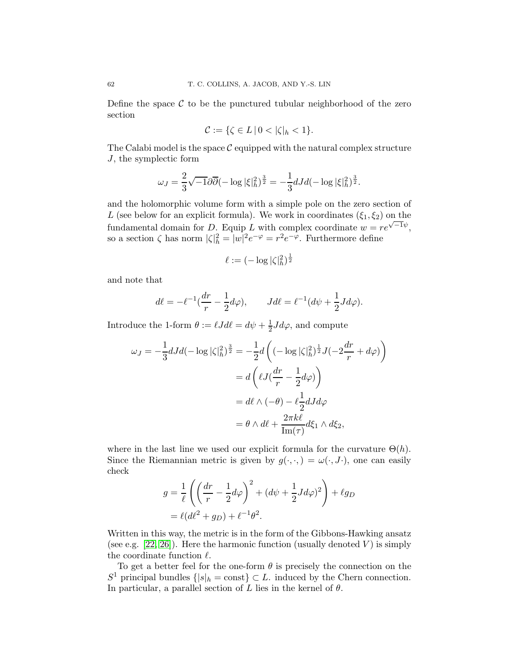Define the space  $\mathcal C$  to be the punctured tubular neighborhood of the zero section

$$
\mathcal{C}:=\{\zeta\in L\,|\,0<|\zeta|_h<1\}.
$$

The Calabi model is the space  $\mathcal C$  equipped with the natural complex structure J, the symplectic form

$$
\omega_J = \frac{2}{3}\sqrt{-1}\partial \overline{\partial}(-\log|\xi|_h^2)^{\frac{3}{2}} = -\frac{1}{3}dJd(-\log|\xi|_h^2)^{\frac{3}{2}}.
$$

and the holomorphic volume form with a simple pole on the zero section of L (see below for an explicit formula). We work in coordinates  $(\xi_1, \xi_2)$  on the fundamental domain for D. Equip L with complex coordinate  $w = re^{\sqrt{-1}\psi}$ , so a section  $\zeta$  has norm  $|\zeta|^2_h = |w|^2 e^{-\varphi} = r^2 e^{-\varphi}$ . Furthermore define

$$
\ell := (-\log |\zeta|_h^2)^{\frac{1}{2}}
$$

and note that

$$
d\ell = -\ell^{-1}\left(\frac{dr}{r} - \frac{1}{2}d\varphi\right), \qquad Jd\ell = \ell^{-1}\left(d\psi + \frac{1}{2}Jd\varphi\right).
$$

Introduce the 1-form  $\theta := \ell J d\ell = d\psi + \frac{1}{2} J d\varphi$ , and compute

$$
\omega_J = -\frac{1}{3} dJd(-\log|\zeta|_h^2)^{\frac{3}{2}} = -\frac{1}{2} d\left( (-\log|\zeta|_h^2)^{\frac{1}{2}} J(-2\frac{dr}{r} + d\varphi) \right)
$$
  

$$
= d\left( \ell J(\frac{dr}{r} - \frac{1}{2}d\varphi) \right)
$$
  

$$
= d\ell \wedge (-\theta) - \ell \frac{1}{2} dJd\varphi
$$
  

$$
= \theta \wedge d\ell + \frac{2\pi k\ell}{\text{Im}(\tau)} d\xi_1 \wedge d\xi_2,
$$

where in the last line we used our explicit formula for the curvature  $\Theta(h)$ . Since the Riemannian metric is given by  $g(\cdot,\cdot) = \omega(\cdot, J\cdot)$ , one can easily check

$$
g = \frac{1}{\ell} \left( \left( \frac{dr}{r} - \frac{1}{2} d\varphi \right)^2 + (d\psi + \frac{1}{2} J d\varphi)^2 \right) + \ell g_D
$$
  
=  $\ell (d\ell^2 + g_D) + \ell^{-1} \theta^2$ .

Written in this way, the metric is in the form of the Gibbons-Hawking ansatz (see e.g. [\[22,](#page-75-6) [26\]](#page-75-4)). Here the harmonic function (usually denoted  $V$ ) is simply the coordinate function  $\ell$ .

To get a better feel for the one-form  $\theta$  is precisely the connection on the  $S^1$  principal bundles  $\{|s|_h = \text{const}\}\subset L$ . induced by the Chern connection. In particular, a parallel section of L lies in the kernel of  $\theta$ .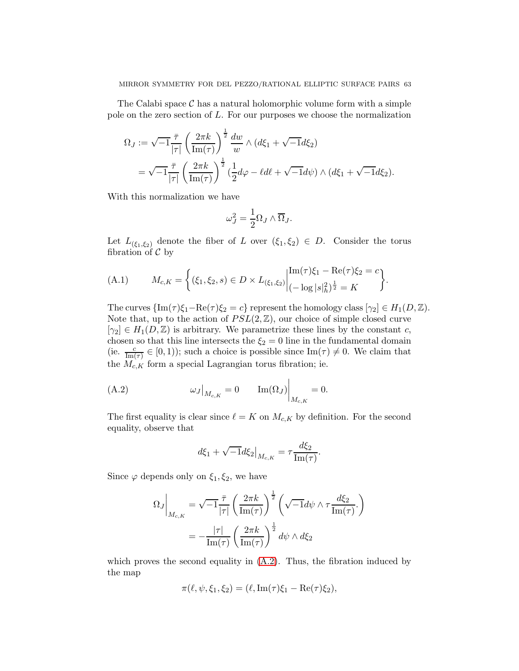The Calabi space  $\mathcal C$  has a natural holomorphic volume form with a simple pole on the zero section of  $L$ . For our purposes we choose the normalization

$$
\Omega_J := \sqrt{-1} \frac{\overline{\tau}}{|\tau|} \left( \frac{2\pi k}{\text{Im}(\tau)} \right)^{\frac{1}{2}} \frac{dw}{w} \wedge (d\xi_1 + \sqrt{-1}d\xi_2)
$$
  
=  $\sqrt{-1} \frac{\overline{\tau}}{|\tau|} \left( \frac{2\pi k}{\text{Im}(\tau)} \right)^{\frac{1}{2}} \left( \frac{1}{2}d\varphi - \ell d\ell + \sqrt{-1}d\psi \right) \wedge (d\xi_1 + \sqrt{-1}d\xi_2).$ 

With this normalization we have

$$
\omega_J^2 = \frac{1}{2} \Omega_J \wedge \overline{\Omega}_J.
$$

Let  $L_{(\xi_1,\xi_2)}$  denote the fiber of L over  $(\xi_1,\xi_2) \in D$ . Consider the torus fibration of  $\mathcal C$  by

<span id="page-62-1"></span>(A.1) 
$$
M_{c,K} = \left\{ (\xi_1, \xi_2, s) \in D \times L_{(\xi_1, \xi_2)} \middle| \begin{aligned} &\text{Im}(\tau)\xi_1 - \text{Re}(\tau)\xi_2 = c \\ &(-\log|s|_h^2)^{\frac{1}{2}} = K \end{aligned} \right\}
$$

The curves  $\{\text{Im}(\tau)\xi_1-\text{Re}(\tau)\xi_2=c\}$  represent the homology class  $[\gamma_2] \in H_1(D,\mathbb{Z})$ . Note that, up to the action of  $PSL(2,\mathbb{Z})$ , our choice of simple closed curve  $[\gamma_2] \in H_1(D, \mathbb{Z})$  is arbitrary. We parametrize these lines by the constant c, chosen so that this line intersects the  $\xi_2 = 0$  line in the fundamental domain (ie.  $\frac{c}{\text{Im}(\tau)} \in [0, 1)$ ); such a choice is possible since  $\text{Im}(\tau) \neq 0$ . We claim that the  $M_{c,K}$  form a special Lagrangian torus fibration; ie.

.

(A.2) 
$$
\omega_J\big|_{M_{c,K}} = 0 \qquad \text{Im}(\Omega_J)\big|_{M_{c,K}} = 0.
$$

The first equality is clear since  $\ell = K$  on  $M_{c,K}$  by definition. For the second equality, observe that

<span id="page-62-0"></span>
$$
d\xi_1 + \sqrt{-1}d\xi_2|_{M_{c,K}} = \tau \frac{d\xi_2}{\text{Im}(\tau)}.
$$

Since  $\varphi$  depends only on  $\xi_1, \xi_2$ , we have

$$
\Omega_J\Big|_{M_{c,K}} = \sqrt{-1} \frac{\bar{\tau}}{|\tau|} \left(\frac{2\pi k}{\text{Im}(\tau)}\right)^{\frac{1}{2}} \left(\sqrt{-1}d\psi \wedge \tau \frac{d\xi_2}{\text{Im}(\tau)}\right)
$$

$$
= -\frac{|\tau|}{\text{Im}(\tau)} \left(\frac{2\pi k}{\text{Im}(\tau)}\right)^{\frac{1}{2}} d\psi \wedge d\xi_2
$$

which proves the second equality in  $(A.2)$ . Thus, the fibration induced by the map

$$
\pi(\ell, \psi, \xi_1, \xi_2) = (\ell, \operatorname{Im}(\tau)\xi_1 - \operatorname{Re}(\tau)\xi_2),
$$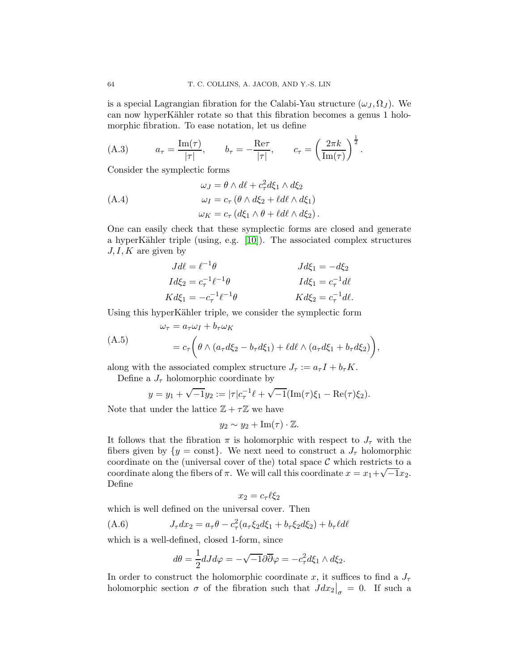is a special Lagrangian fibration for the Calabi-Yau structure  $(\omega_J, \Omega_J)$ . We can now hyperKähler rotate so that this fibration becomes a genus 1 holomorphic fibration. To ease notation, let us define

<span id="page-63-2"></span>(A.3) 
$$
a_{\tau} = \frac{\text{Im}(\tau)}{|\tau|}, \qquad b_{\tau} = -\frac{\text{Re}\tau}{|\tau|}, \qquad c_{\tau} = \left(\frac{2\pi k}{\text{Im}(\tau)}\right)^{\frac{1}{2}}.
$$

Consider the symplectic forms

$$
\omega_J = \theta \wedge d\ell + c_\tau^2 d\xi_1 \wedge d\xi_2
$$
  
(A.4)  

$$
\omega_I = c_\tau (\theta \wedge d\xi_2 + \ell d\ell \wedge d\xi_1)
$$
  

$$
\omega_K = c_\tau (d\xi_1 \wedge \theta + \ell d\ell \wedge d\xi_2).
$$

One can easily check that these symplectic forms are closed and generate a hyperKähler triple (using, e.g.  $[10]$ ). The associated complex structures  $J, I, K$  are given by

<span id="page-63-0"></span>
$$
Jd\ell = \ell^{-1}\theta
$$
  
\n
$$
Jd\xi_1 = -d\xi_2
$$
  
\n
$$
Id\xi_2 = c_\tau^{-1}\ell^{-1}\theta
$$
  
\n
$$
Kd\xi_1 = -c_\tau^{-1}\ell^{-1}\theta
$$
  
\n
$$
Kd\xi_2 = c_\tau^{-1}d\ell.
$$

Using this hyperKähler triple, we consider the symplectic form

$$
\omega_{\tau} = a_{\tau}\omega_{I} + b_{\tau}\omega_{K}
$$
  
(A.5)  

$$
= c_{\tau}\left(\theta \wedge (a_{\tau}d\xi_{2} - b_{\tau}d\xi_{1}) + \ell d\ell \wedge (a_{\tau}d\xi_{1} + b_{\tau}d\xi_{2})\right),
$$

along with the associated complex structure  $J_{\tau} := a_{\tau} I + b_{\tau} K$ .

Define a  $J_{\tau}$  holomorphic coordinate by

<span id="page-63-1"></span>
$$
y = y_1 + \sqrt{-1}y_2 := |\tau|c_{\tau}^{-1}\ell + \sqrt{-1}(\text{Im}(\tau)\xi_1 - \text{Re}(\tau)\xi_2).
$$

Note that under the lattice  $\mathbb{Z} + \tau \mathbb{Z}$  we have

$$
y_2 \sim y_2 + \operatorname{Im}(\tau) \cdot \mathbb{Z}.
$$

It follows that the fibration  $\pi$  is holomorphic with respect to  $J_{\tau}$  with the fibers given by  $\{y = \text{const}\}.$  We next need to construct a  $J_{\tau}$  holomorphic coordinate on the (universal cover of the) total space  $\mathcal C$  which restricts to a coordinate along the fibers of  $\pi$ . We will call this coordinate  $x = x_1 + \sqrt{-1}x_2$ . Define

$$
x_2 = c_\tau \ell \xi_2
$$

which is well defined on the universal cover. Then

(A.6) 
$$
J_{\tau}dx_2 = a_{\tau}\theta - c_{\tau}^2(a_{\tau}\xi_2d\xi_1 + b_{\tau}\xi_2d\xi_2) + b_{\tau}\ell d\ell
$$

which is a well-defined, closed 1-form, since

<span id="page-63-3"></span>
$$
d\theta = \frac{1}{2}dJd\varphi = -\sqrt{-1}\partial\overline{\partial}\varphi = -c_{\tau}^{2}d\xi_{1} \wedge d\xi_{2}.
$$

In order to construct the holomorphic coordinate x, it suffices to find a  $J_{\tau}$ holomorphic section  $\sigma$  of the fibration such that  $Jdx_2\big|_{\sigma} = 0$ . If such a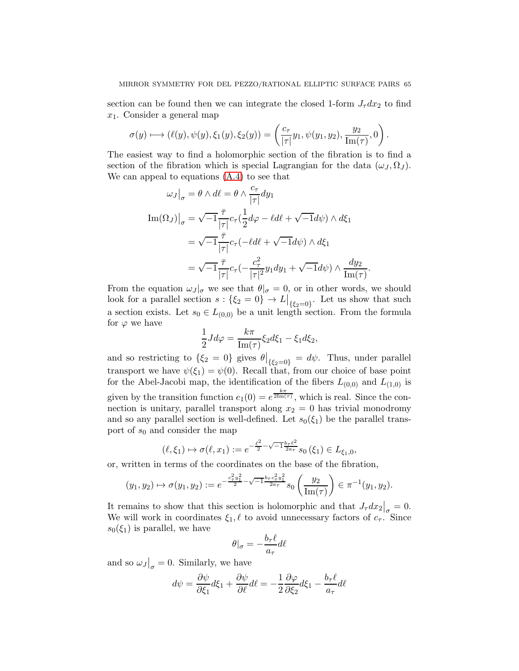section can be found then we can integrate the closed 1-form  $J_\tau dx_2$  to find  $x_1$ . Consider a general map

$$
\sigma(y) \longmapsto (\ell(y), \psi(y), \xi_1(y), \xi_2(y)) = \left(\frac{c_{\tau}}{|\tau|} y_1, \psi(y_1, y_2), \frac{y_2}{\text{Im}(\tau)}, 0\right).
$$

The easiest way to find a holomorphic section of the fibration is to find a section of the fibration which is special Lagrangian for the data  $(\omega_J, \Omega_J)$ . We can appeal to equations [\(A.4\)](#page-63-0) to see that

$$
\omega_J\big|_{\sigma} = \theta \wedge d\ell = \theta \wedge \frac{c_{\tau}}{|\tau|} dy_1
$$
  
\n
$$
\text{Im}(\Omega_J)\big|_{\sigma} = \sqrt{-1} \frac{\bar{\tau}}{|\tau|} c_{\tau} (\frac{1}{2} d\varphi - \ell d\ell + \sqrt{-1} d\psi) \wedge d\xi_1
$$
  
\n
$$
= \sqrt{-1} \frac{\bar{\tau}}{|\tau|} c_{\tau} (-\ell d\ell + \sqrt{-1} d\psi) \wedge d\xi_1
$$
  
\n
$$
= \sqrt{-1} \frac{\bar{\tau}}{|\tau|} c_{\tau} (-\frac{c_{\tau}^2}{|\tau|^2} y_1 dy_1 + \sqrt{-1} d\psi) \wedge \frac{dy_2}{\text{Im}(\tau)}.
$$

From the equation  $\omega_J|_{\sigma}$  we see that  $\theta|_{\sigma}=0$ , or in other words, we should look for a parallel section  $s: \{\xi_2 = 0\} \to L\big|_{\{\xi_2 = 0\}}$ . Let us show that such a section exists. Let  $s_0 \in L_{(0,0)}$  be a unit length section. From the formula for  $\varphi$  we have

$$
\frac{1}{2}Jd\varphi = \frac{k\pi}{\text{Im}(\tau)}\xi_2 d\xi_1 - \xi_1 d\xi_2,
$$

and so restricting to  $\{\xi_2 = 0\}$  gives  $\theta|_{\{\xi_2=0\}} = d\psi$ . Thus, under parallel transport we have  $\psi(\xi_1) = \psi(0)$ . Recall that, from our choice of base point for the Abel-Jacobi map, the identification of the fibers  $L_{(0,0)}$  and  $L_{(1,0)}$  is given by the transition function  $e_1(0) = e^{\frac{k\pi}{2\text{Im}(\tau)}}$ , which is real. Since the connection is unitary, parallel transport along  $x_2 = 0$  has trivial monodromy and so any parallel section is well-defined. Let  $s_0(\xi_1)$  be the parallel transport of  $s_0$  and consider the map

$$
(\ell, \xi_1) \mapsto \sigma(\ell, x_1) := e^{-\frac{\ell^2}{2} - \sqrt{-1} \frac{b_\tau \ell^2}{2a_\tau}} s_0(\xi_1) \in L_{\xi_1, 0},
$$

or, written in terms of the coordinates on the base of the fibration,

$$
(y_1, y_2) \mapsto \sigma(y_1, y_2) := e^{-\frac{c^2 \cdot y_1^2}{2}} \sqrt{-1} \frac{b_\tau c^2 \cdot y_1^2}{2a_\tau} s_0 \left(\frac{y_2}{\text{Im}(\tau)}\right) \in \pi^{-1}(y_1, y_2).
$$

It remains to show that this section is holomorphic and that  $J_{\tau}dx_2|_{\sigma=0} = 0$ . We will work in coordinates  $\xi_1, \ell$  to avoid unnecessary factors of  $c_{\tau}$ . Since  $s_0(\xi_1)$  is parallel, we have

$$
\theta|_{\sigma} = -\frac{b_{\tau}\ell}{a_{\tau}}d\ell
$$

and so  $\omega_J|_{\sigma} = 0$ . Similarly, we have

$$
d\psi = \frac{\partial \psi}{\partial \xi_1} d\xi_1 + \frac{\partial \psi}{\partial \ell} d\ell = -\frac{1}{2} \frac{\partial \varphi}{\partial \xi_2} d\xi_1 - \frac{b_\tau \ell}{a_\tau} d\ell
$$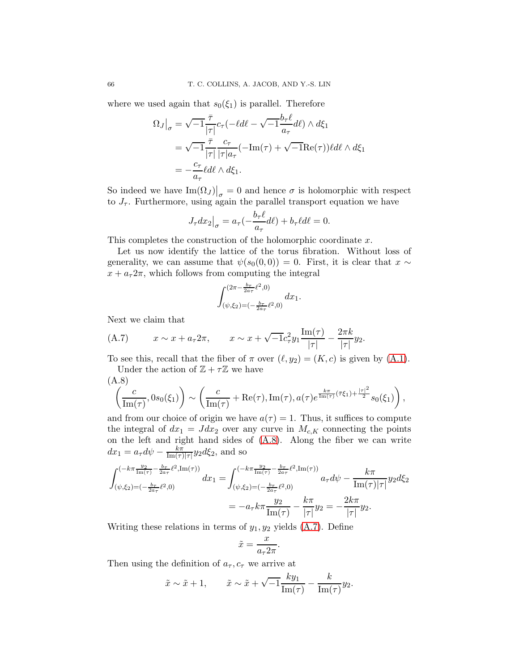where we used again that  $s_0(\xi_1)$  is parallel. Therefore

$$
\Omega_J\big|_{\sigma} = \sqrt{-1} \frac{\bar{\tau}}{|\tau|} c_{\tau}(-\ell d\ell - \sqrt{-1} \frac{b_{\tau}\ell}{a_{\tau}} d\ell) \wedge d\xi_1
$$
  
=  $\sqrt{-1} \frac{\bar{\tau}}{|\tau|} \frac{c_{\tau}}{|\tau| a_{\tau}} (-\text{Im}(\tau) + \sqrt{-1} \text{Re}(\tau)) \ell d\ell \wedge d\xi_1$   
=  $-\frac{c_{\tau}}{a_{\tau}} \ell d\ell \wedge d\xi_1.$ 

So indeed we have  $\text{Im}(\Omega_J)|_{\sigma} = 0$  and hence  $\sigma$  is holomorphic with respect to  $J_{\tau}$ . Furthermore, using again the parallel transport equation we have

$$
J_{\tau}dx_2\big|_{\sigma} = a_{\tau}(-\frac{b_{\tau}\ell}{a_{\tau}}d\ell) + b_{\tau}\ell d\ell = 0.
$$

This completes the construction of the holomorphic coordinate x.

Let us now identify the lattice of the torus fibration. Without loss of generality, we can assume that  $\psi(s_0(0,0)) = 0$ . First, it is clear that  $x \sim$  $x + a_{\tau} 2\pi$ , which follows from computing the integral

$$
\int_{(\psi,\xi_2)=(-\frac{b_{\tau}}{2a_{\tau}}\ell^2,0)}^{(2\pi-\frac{b_{\tau}}{2a_{\tau}}\ell^2,0)} dx_1.
$$

Next we claim that

<span id="page-65-1"></span>(A.7) 
$$
x \sim x + a_{\tau} 2\pi
$$
,  $x \sim x + \sqrt{-1}c_{\tau}^2 y_1 \frac{\text{Im}(\tau)}{|\tau|} - \frac{2\pi k}{|\tau|} y_2$ .

To see this, recall that the fiber of  $\pi$  over  $(\ell, y_2) = (K, c)$  is given by  $(A.1)$ . Under the action of  $\mathbb{Z} + \tau \mathbb{Z}$  we have

> $\setminus$ ,

<span id="page-65-0"></span>(A.8)  

$$
\left(\frac{c}{\text{Im}(\tau)}, 0s_0(\xi_1)\right) \sim \left(\frac{c}{\text{Im}(\tau)} + \text{Re}(\tau), \text{Im}(\tau), a(\tau) e^{\frac{k\pi}{\text{Im}(\tau)}(\bar{\tau}\xi_1) + \frac{|\tau|^2}{2}} s_0(\xi_1)\right)
$$

and from our choice of origin we have  $a(\tau) = 1$ . Thus, it suffices to compute the integral of  $dx_1 = Jdx_2$  over any curve in  $M_{c,K}$  connecting the points on the left and right hand sides of [\(A.8\)](#page-65-0). Along the fiber we can write  $dx_1 = a_\tau d\psi - \frac{k\pi}{\text{Im}(\tau)}$  $\frac{k\pi}{\text{Im}(\tau)|\tau|}y_2 d\xi_2$ , and so

$$
\int_{(\psi,\xi_2)=(-\frac{b_{\tau}}{2a_{\tau}}\ell^2,\text{Im}(\tau))}^{(-k\pi\frac{y_2}{2a_{\tau}}\ell^2,\text{Im}(\tau))} dx_1 = \int_{(\psi,\xi_2)=(-\frac{b_{\tau}}{2a_{\tau}}\ell^2,\text{Im}(\tau))}^{(-k\pi\frac{y_2}{2a_{\tau}}-\frac{b_{\tau}}{2a_{\tau}}\ell^2,\text{Im}(\tau))} a_{\tau}d\psi - \frac{k\pi}{\text{Im}(\tau)|\tau|} y_2d\xi_2
$$
  
=  $-a_{\tau}k\pi \frac{y_2}{\text{Im}(\tau)} - \frac{k\pi}{|\tau|} y_2 = -\frac{2k\pi}{|\tau|} y_2.$ 

Writing these relations in terms of  $y_1, y_2$  yields  $(A.7)$ . Define

$$
\tilde{x} = \frac{x}{a_{\tau} 2\pi}.
$$

Then using the definition of  $a_{\tau}$ ,  $c_{\tau}$  we arrive at

$$
\tilde{x} \sim \tilde{x} + 1,
$$
  $\tilde{x} \sim \tilde{x} + \sqrt{-1} \frac{k y_1}{\text{Im}(\tau)} - \frac{k}{\text{Im}(\tau)} y_2.$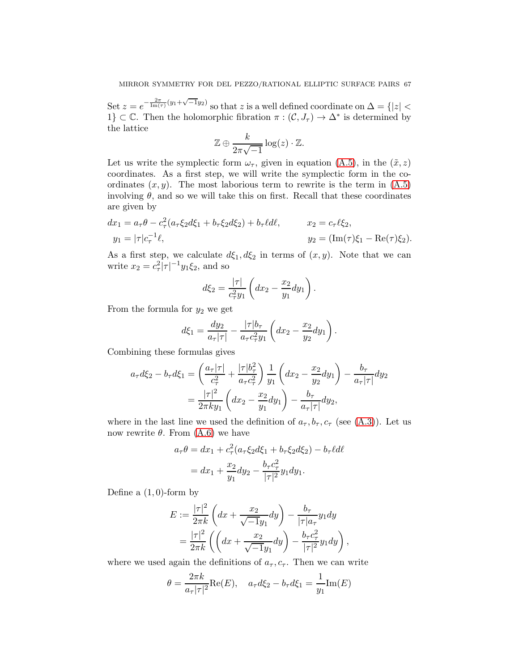Set  $z = e^{-\frac{2\pi}{\text{Im}(\tau)}(y_1 + \sqrt{-1}y_2)}$  so that z is a well defined coordinate on  $\Delta = \{|z| < \infty\}$ 1}  $\subset \mathbb{C}$ . Then the holomorphic fibration  $\pi : (\mathcal{C}, J_{\tau}) \to \Delta^*$  is determined by the lattice

$$
\mathbb{Z} \oplus \frac{k}{2\pi\sqrt{-1}}\log(z) \cdot \mathbb{Z}.
$$

Let us write the symplectic form  $\omega_{\tau}$ , given in equation [\(A.5\)](#page-63-1), in the  $(\tilde{x}, z)$ coordinates. As a first step, we will write the symplectic form in the coordinates  $(x, y)$ . The most laborious term to rewrite is the term in  $(A.5)$ involving  $\theta$ , and so we will take this on first. Recall that these coordinates are given by

$$
dx_1 = a_{\tau}\theta - c_{\tau}^2(a_{\tau}\xi_2 d\xi_1 + b_{\tau}\xi_2 d\xi_2) + b_{\tau}\ell d\ell, \qquad x_2 = c_{\tau}\ell\xi_2, \n y_1 = |\tau|c_{\tau}^{-1}\ell, \qquad y_2 = (\text{Im}(\tau)\xi_1 - \text{Re}(\tau)\xi_2).
$$

As a first step, we calculate  $d\xi_1, d\xi_2$  in terms of  $(x, y)$ . Note that we can write  $x_2 = c_\tau^2 |\tau|^{-1} y_1 \xi_2$ , and so

$$
d\xi_2 = \frac{|\tau|}{c_\tau^2 y_1} \left( dx_2 - \frac{x_2}{y_1} dy_1 \right).
$$

From the formula for  $y_2$  we get

$$
d\xi_1 = \frac{dy_2}{a_{\tau}|\tau|} - \frac{|\tau|b_{\tau}}{a_{\tau}c_{\tau}^2y_1} \left(dx_2 - \frac{x_2}{y_2}dy_1\right).
$$

Combining these formulas gives

$$
a_{\tau}d\xi_{2} - b_{\tau}d\xi_{1} = \left(\frac{a_{\tau}|\tau|}{c_{\tau}^{2}} + \frac{|\tau|b_{\tau}^{2}}{a_{\tau}c_{\tau}^{2}}\right)\frac{1}{y_{1}}\left(dx_{2} - \frac{x_{2}}{y_{2}}dy_{1}\right) - \frac{b_{\tau}}{a_{\tau}|\tau|}dy_{2}
$$

$$
= \frac{|\tau|^{2}}{2\pi k y_{1}}\left(dx_{2} - \frac{x_{2}}{y_{1}}dy_{1}\right) - \frac{b_{\tau}}{a_{\tau}|\tau|}dy_{2},
$$

where in the last line we used the definition of  $a_{\tau}, b_{\tau}, c_{\tau}$  (see [\(A.3\)](#page-63-2)). Let us now rewrite  $\theta$ . From  $(A.6)$  we have

$$
a_{\tau}\theta = dx_1 + c_{\tau}^2(a_{\tau}\xi_2 d\xi_1 + b_{\tau}\xi_2 d\xi_2) - b_{\tau}\ell d\ell
$$
  
= 
$$
dx_1 + \frac{x_2}{y_1}dy_2 - \frac{b_{\tau}c_{\tau}^2}{|\tau|^2}y_1 dy_1.
$$

Define a  $(1,0)$ -form by

$$
E := \frac{|\tau|^2}{2\pi k} \left( dx + \frac{x_2}{\sqrt{-1}y_1} dy \right) - \frac{b_\tau}{|\tau| a_\tau} y_1 dy
$$
  
= 
$$
\frac{|\tau|^2}{2\pi k} \left( \left( dx + \frac{x_2}{\sqrt{-1}y_1} dy \right) - \frac{b_\tau c_\tau^2}{|\tau|^2} y_1 dy \right),
$$

where we used again the definitions of  $a_{\tau}, c_{\tau}$ . Then we can write

$$
\theta = \frac{2\pi k}{a_{\tau}|\tau|^2} \text{Re}(E), \quad a_{\tau}d\xi_2 - b_{\tau}d\xi_1 = \frac{1}{y_1}\text{Im}(E)
$$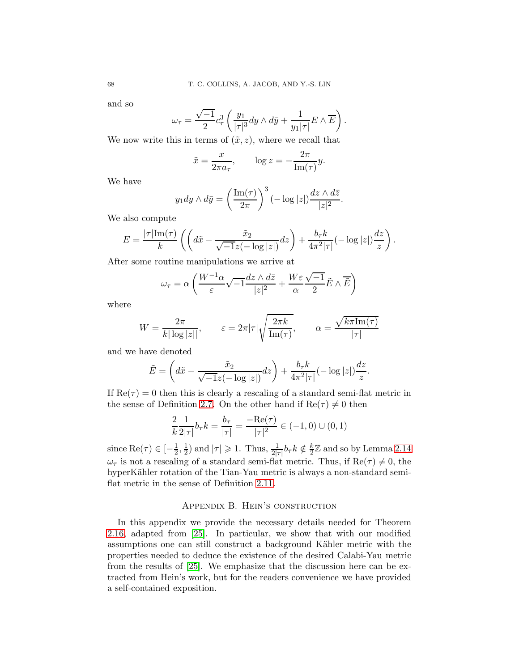and so

$$
\omega_{\tau} = \frac{\sqrt{-1}}{2} c_{\tau}^{3} \left( \frac{y_{1}}{|\tau|^{3}} dy \wedge d\bar{y} + \frac{1}{y_{1}|\tau|} E \wedge \overline{E} \right).
$$

We now write this in terms of  $(\tilde{x}, z)$ , where we recall that

$$
\tilde{x} = \frac{x}{2\pi a_{\tau}}, \qquad \log z = -\frac{2\pi}{\text{Im}(\tau)}y.
$$

We have

$$
y_1 dy \wedge d\overline{y} = \left(\frac{\operatorname{Im}(\tau)}{2\pi}\right)^3 \left(-\log|z|\right) \frac{dz \wedge d\overline{z}}{|z|^2}.
$$

We also compute

$$
E = \frac{|\tau| \text{Im}(\tau)}{k} \left( \left( d\tilde{x} - \frac{\tilde{x}_2}{\sqrt{-1}z(-\log|z|)} dz \right) + \frac{b_\tau k}{4\pi^2 |\tau|} (-\log|z|) \frac{dz}{z} \right).
$$

After some routine manipulations we arrive at

$$
\omega_{\tau} = \alpha \left( \frac{W^{-1}\alpha}{\varepsilon} \sqrt{-1} \frac{dz \wedge d\bar{z}}{|z|^2} + \frac{W \varepsilon}{\alpha} \frac{\sqrt{-1}}{2} \tilde{E} \wedge \overline{\tilde{E}} \right)
$$

where

$$
W = \frac{2\pi}{k|\log|z||}, \qquad \varepsilon = 2\pi|\tau|\sqrt{\frac{2\pi k}{\text{Im}(\tau)}}, \qquad \alpha = \frac{\sqrt{k\pi \text{Im}(\tau)}}{|\tau|}
$$

and we have denoted

$$
\tilde{E} = \left(d\tilde{x} - \frac{\tilde{x}_2}{\sqrt{-1}z(-\log|z|)}dz\right) + \frac{b_\tau k}{4\pi^2|\tau|}(-\log|z|)\frac{dz}{z}.
$$

If  $Re(\tau) = 0$  then this is clearly a rescaling of a standard semi-flat metric in the sense of Definition [2.7.](#page-10-0) On the other hand if  $\text{Re}(\tau) \neq 0$  then

$$
\frac{2}{k}\frac{1}{2|\tau|}b_{\tau}k = \frac{b_{\tau}}{|\tau|} = \frac{-\text{Re}(\tau)}{|\tau|^2} \in (-1,0) \cup (0,1)
$$

since  $\operatorname{Re}(\tau) \in \left[-\frac{1}{2}\right]$  $\frac{1}{2}, \frac{1}{2}$  $(\frac{1}{2})$  and  $|\tau| \geq 1$ . Thus,  $\frac{1}{2|\tau|}b_{\tau}k \notin \frac{k}{2}$  $\frac{k}{2}\mathbb{Z}$  and so by Lemma [2.14](#page-14-0)  $\omega_{\tau}$  is not a rescaling of a standard semi-flat metric. Thus, if  $\text{Re}(\tau) \neq 0$ , the hyperKähler rotation of the Tian-Yau metric is always a non-standard semiflat metric in the sense of Definition [2.11.](#page-13-0)

## Appendix B. Hein's construction

<span id="page-67-0"></span>In this appendix we provide the necessary details needed for Theorem [2.16,](#page-15-0) adapted from [\[25\]](#page-75-2). In particular, we show that with our modified assumptions one can still construct a background Kähler metric with the properties needed to deduce the existence of the desired Calabi-Yau metric from the results of [\[25\]](#page-75-2). We emphasize that the discussion here can be extracted from Hein's work, but for the readers convenience we have provided a self-contained exposition.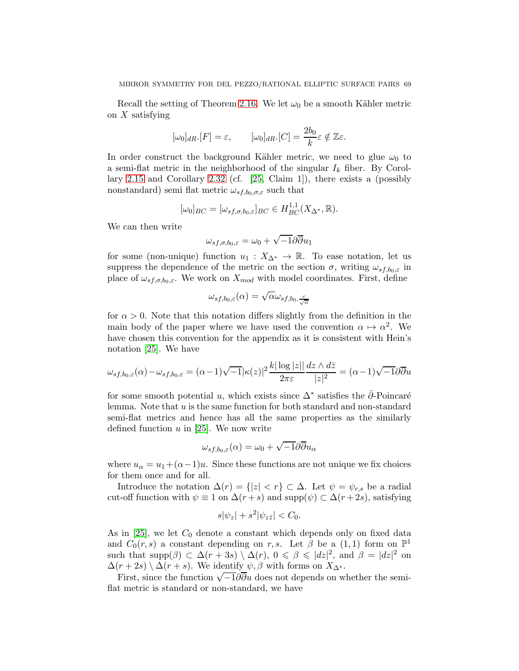Recall the setting of Theorem [2.16.](#page-15-0) We let  $\omega_0$  be a smooth Kähler metric on  $X$  satisfying

$$
[\omega_0]_{dR}.[F] = \varepsilon, \qquad [\omega_0]_{dR}.[C] = \frac{2b_0}{k}\varepsilon \notin \mathbb{Z}\varepsilon.
$$

In order construct the background Kähler metric, we need to glue  $\omega_0$  to a semi-flat metric in the neighborhood of the singular  $I_k$  fiber. By Corollary [2.15](#page-14-1) and Corollary [2.32](#page-25-0) (cf. [\[25,](#page-75-2) Claim 1]), there exists a (possibly nonstandard) semi flat metric  $\omega_{s,f,b_0,\sigma,\varepsilon}$  such that

$$
[\omega_0]_{BC} = [\omega_{sf,\sigma,b_0,\varepsilon}]_{BC} \in H_{BC}^{1,1}(X_{\Delta^*},\mathbb{R}).
$$

We can then write

$$
\omega_{sf,\sigma,b_0,\varepsilon} = \omega_0 + \sqrt{-1}\partial \overline{\partial} u_1
$$

for some (non-unique) function  $u_1 : X_{\Delta^*} \to \mathbb{R}$ . To ease notation, let us suppress the dependence of the metric on the section  $\sigma$ , writing  $\omega_{s f, b_0, \varepsilon}$  in place of  $\omega_{s,f,\sigma,b_0,\varepsilon}$ . We work on  $X_{mod}$  with model coordinates. First, define

$$
\omega_{sf,b_0,\varepsilon}(\alpha) = \sqrt{\alpha} \omega_{sf,b_0,\frac{\varepsilon}{\sqrt{\alpha}}}
$$

for  $\alpha > 0$ . Note that this notation differs slightly from the definition in the main body of the paper where we have used the convention  $\alpha \mapsto \alpha^2$ . We have chosen this convention for the appendix as it is consistent with Hein's notation [\[25\]](#page-75-2). We have

$$
\omega_{sf,b_0,\varepsilon}(\alpha) - \omega_{sf,b_0,\varepsilon} = (\alpha - 1)\sqrt{-1}|\kappa(z)|^2 \frac{k|\log|z||}{2\pi\varepsilon} \frac{dz \wedge d\bar{z}}{|z|^2} = (\alpha - 1)\sqrt{-1}\partial\overline{\partial}u
$$

for some smooth potential u, which exists since  $\Delta^*$  satisfies the  $\bar{\partial}$ -Poincaré lemma. Note that u is the same function for both standard and non-standard semi-flat metrics and hence has all the same properties as the similarly defined function  $u$  in [\[25\]](#page-75-2). We now write

$$
\omega_{sf,b_0,\varepsilon}(\alpha) = \omega_0 + \sqrt{-1}\partial\overline{\partial} u_\alpha
$$

where  $u_{\alpha} = u_1 + (\alpha - 1)u$ . Since these functions are not unique we fix choices for them once and for all.

Introduce the notation  $\Delta(r) = \{|z| < r\} \subset \Delta$ . Let  $\psi = \psi_{r,s}$  be a radial cut-off function with  $\psi \equiv 1$  on  $\Delta(r+s)$  and supp $(\psi) \subset \Delta(r+2s)$ , satisfying

$$
s|\psi_z| + s^2|\psi_{z\bar{z}}| < C_0.
$$

As in [\[25\]](#page-75-2), we let  $C_0$  denote a constant which depends only on fixed data and  $C_0(r, s)$  a constant depending on r, s. Let  $\beta$  be a  $(1, 1)$  form on  $\mathbb{P}^1$ such that  $\text{supp}(\beta) \subset \Delta(r+3s) \setminus \Delta(r)$ ,  $0 \le \beta \le |dz|^2$ , and  $\beta = |dz|^2$  on  $\Delta(r+2s)\setminus \Delta(r+s)$ . We identify  $\psi, \beta$  with forms on  $X_{\Delta^*}$ .

First, since the function  $\sqrt{-1}\overline{\partial}\overline{\partial}u$  does not depends on whether the semiflat metric is standard or non-standard, we have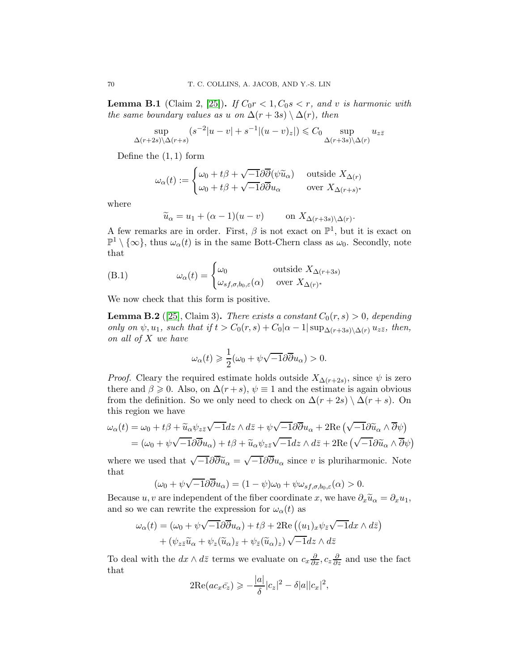<span id="page-69-0"></span>**Lemma B.1** (Claim 2, [\[25\]](#page-75-2)). If  $C_0r < 1$ ,  $C_0s < r$ , and v is harmonic with the same boundary values as u on  $\Delta(r+3s) \setminus \Delta(r)$ , then

$$
\sup_{\Delta(r+2s)\setminus\Delta(r+s)}(s^{-2}|u-v|+s^{-1}|(u-v)_z|) \leq C_0 \sup_{\Delta(r+3s)\setminus\Delta(r)}u_{z\bar{z}}
$$

Define the  $(1,1)$  form

$$
\omega_{\alpha}(t) := \begin{cases} \omega_0 + t\beta + \sqrt{-1}\partial\overline{\partial}(\psi\widetilde{u}_{\alpha}) & \text{outside } X_{\Delta(r)} \\ \omega_0 + t\beta + \sqrt{-1}\partial\overline{\partial}u_{\alpha} & \text{over } X_{\Delta(r+s)^*} \end{cases}
$$

where

$$
\widetilde{u}_{\alpha} = u_1 + (\alpha - 1)(u - v)
$$
 on  $X_{\Delta(r+3s)\backslash \Delta(r)}$ .

A few remarks are in order. First,  $\beta$  is not exact on  $\mathbb{P}^1$ , but it is exact on  $\mathbb{P}^1 \setminus {\infty}$ , thus  $\omega_\alpha(t)$  is in the same Bott-Chern class as  $\omega_0$ . Secondly, note that

(B.1) 
$$
\omega_{\alpha}(t) = \begin{cases} \omega_0 & \text{outside } X_{\Delta(r+3s)} \\ \omega_{s f, \sigma, b_0, \varepsilon}(\alpha) & \text{over } X_{\Delta(r)^*} \end{cases}
$$

We now check that this form is positive.

<span id="page-69-1"></span>**Lemma B.2** ([\[25\]](#page-75-2), Claim 3). There exists a constant  $C_0(r, s) > 0$ , depending only on  $\psi$ ,  $u_1$ , such that if  $t > C_0(r, s) + C_0(\alpha - 1|\sup_{\Delta(r+3s)\setminus\Delta(r)} u_{z\bar{z}}$ , then, on all of X we have

$$
\omega_{\alpha}(t) \geqslant \frac{1}{2}(\omega_0 + \psi \sqrt{-1}\partial \overline{\partial} u_{\alpha}) > 0.
$$

*Proof.* Cleary the required estimate holds outside  $X_{\Delta(r+2s)}$ , since  $\psi$  is zero there and  $\beta \geq 0$ . Also, on  $\Delta(r+s)$ ,  $\psi \equiv 1$  and the estimate is again obvious from the definition. So we only need to check on  $\Delta(r+2s) \setminus \Delta(r+s)$ . On this region we have

$$
\omega_{\alpha}(t) = \omega_0 + t\beta + \widetilde{u}_{\alpha}\psi_{z\bar{z}}\sqrt{-1}dz \wedge d\bar{z} + \psi\sqrt{-1}\partial\overline{\partial}u_{\alpha} + 2\text{Re}\left(\sqrt{-1}\partial\widetilde{u}_{\alpha} \wedge \overline{\partial}\psi\right)
$$

$$
= (\omega_0 + \psi\sqrt{-1}\partial\overline{\partial}u_{\alpha}) + t\beta + \widetilde{u}_{\alpha}\psi_{z\bar{z}}\sqrt{-1}dz \wedge d\bar{z} + 2\text{Re}\left(\sqrt{-1}\partial\widetilde{u}_{\alpha} \wedge \overline{\partial}\psi\right)
$$

where we used that  $\sqrt{-1}\partial\overline{\partial}\tilde{u}_{\alpha} = \sqrt{-1}\partial\overline{\partial}u_{\alpha}$  since v is pluriharmonic. Note that

$$
(\omega_0 + \psi \sqrt{-1} \partial \overline{\partial} u_{\alpha}) = (1 - \psi)\omega_0 + \psi \omega_{sf,\sigma,b_0,\varepsilon}(\alpha) > 0.
$$

Because u, v are independent of the fiber coordinate x, we have  $\partial_x \tilde{u}_\alpha = \partial_x u_1$ , and so we can rewrite the expression for  $\omega_{\alpha}(t)$  as

$$
\omega_{\alpha}(t) = (\omega_0 + \psi \sqrt{-1} \partial \overline{\partial} u_{\alpha}) + t\beta + 2\text{Re}((u_1)_x \psi_{\overline{z}} \sqrt{-1} dx \wedge d\overline{z}) + (\psi_{z\overline{z}} \widetilde{u}_{\alpha} + \psi_{z} (\widetilde{u}_{\alpha})_{\overline{z}} + \psi_{\overline{z}} (\widetilde{u}_{\alpha})_{z}) \sqrt{-1} dz \wedge d\overline{z}
$$

To deal with the  $dx \wedge d\bar{z}$  terms we evaluate on  $c_x \frac{\partial}{\partial x}, c_z \frac{\partial}{\partial z}$  and use the fact that

$$
2\mathrm{Re}(ac_x\bar{c}_z) \geqslant -\frac{|a|}{\delta}|c_z|^2 - \delta|a||c_x|^2,
$$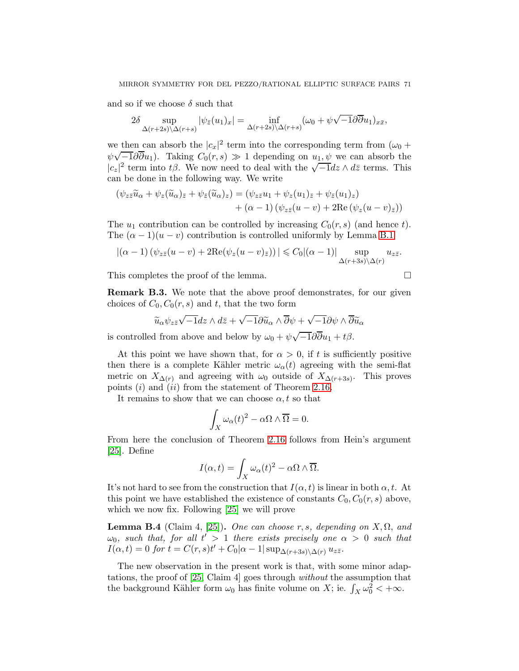and so if we choose  $\delta$  such that

$$
2\delta \sup_{\Delta(r+2s)\setminus\Delta(r+s)}|\psi_{\bar{z}}(u_1)_x| = \inf_{\Delta(r+2s)\setminus\Delta(r+s)}(\omega_0 + \psi\sqrt{-1}\partial\overline{\partial}u_1)_{x\bar{x}},
$$

we then can absorb the  $|c_x|^2$  term into the corresponding term from  $(\omega_0 +$  $\psi\sqrt{-1}\partial\overline{\partial}u_1$ ). Taking  $C_0(r,s) \gg 1$  depending on  $u_1, \psi$  we can absorb the  $|c_z|^2$  term into t $\beta$ . We now need to deal with the  $\sqrt{-1}dz \wedge d\bar{z}$  terms. This can be done in the following way. We write

$$
(\psi_{z\bar{z}}\widetilde{u}_{\alpha} + \psi_z(\widetilde{u}_{\alpha})_{\bar{z}} + \psi_{\bar{z}}(\widetilde{u}_{\alpha})_z) = (\psi_{z\bar{z}}u_1 + \psi_z(u_1)_{\bar{z}} + \psi_{\bar{z}}(u_1)_z) + (\alpha - 1) (\psi_{z\bar{z}}(u - v) + 2\text{Re}(\psi_z(u - v)_{\bar{z}}))
$$

The  $u_1$  contribution can be controlled by increasing  $C_0(r, s)$  (and hence t). The  $(\alpha - 1)(u - v)$  contribution is controlled uniformly by Lemma [B.1](#page-69-0)

$$
|(\alpha - 1) (\psi_{z\bar{z}}(u - v) + 2\text{Re}(\psi_z(u - v)_{\bar{z}}))| \leq C_0 |(\alpha - 1)| \sup_{\Delta(r+3s)\setminus\Delta(r)} u_{z\bar{z}}.
$$

This completes the proof of the lemma.

$$
\Box_{\mathbb{C}}
$$

Remark B.3. We note that the above proof demonstrates, for our given choices of  $C_0, C_0(r, s)$  and t, that the two form

$$
\widetilde{u}_{\alpha}\psi_{z\bar{z}}\sqrt{-1}dz\wedge d\bar{z}+\sqrt{-1}\partial\widetilde{u}_{\alpha}\wedge\overline{\partial}\psi+\sqrt{-1}\partial\psi\wedge\overline{\partial}\widetilde{u}_{\alpha}
$$

is controlled from above and below by  $\omega_0 + \psi \sqrt{-1} \partial \overline{\partial} u_1 + t \beta$ .

At this point we have shown that, for  $\alpha > 0$ , if t is sufficiently positive then there is a complete Kähler metric  $\omega_{\alpha}(t)$  agreeing with the semi-flat metric on  $X_{\Delta(r)}$  and agreeing with  $\omega_0$  outside of  $X_{\Delta(r+3s)}$ . This proves points  $(i)$  and  $(ii)$  from the statement of Theorem [2.16.](#page-15-0)

It remains to show that we can choose  $\alpha, t$  so that

$$
\int_X \omega_\alpha(t)^2 - \alpha \Omega \wedge \overline{\Omega} = 0.
$$

From here the conclusion of Theorem [2.16](#page-15-0) follows from Hein's argument [\[25\]](#page-75-2). Define

$$
I(\alpha, t) = \int_X \omega_{\alpha}(t)^2 - \alpha \Omega \wedge \overline{\Omega}.
$$

It's not hard to see from the construction that  $I(\alpha, t)$  is linear in both  $\alpha, t$ . At this point we have established the existence of constants  $C_0, C_0(r, s)$  above, which we now fix. Following [\[25\]](#page-75-2) we will prove

<span id="page-70-0"></span>**Lemma B.4** (Claim 4, [\[25\]](#page-75-2)). One can choose r, s, depending on  $X, \Omega$ , and  $\omega_0$ , such that, for all  $t'>1$  there exists precisely one  $\alpha>0$  such that  $I(\alpha, t) = 0$  for  $t = C(r, s)t' + C_0|\alpha - 1| \sup_{\Delta(r+3s)\setminus\Delta(r)} u_{z\bar{z}}.$ 

The new observation in the present work is that, with some minor adaptations, the proof of [\[25,](#page-75-2) Claim 4] goes through without the assumption that the background Kähler form  $\omega_0$  has finite volume on X; ie.  $\int_X \omega_0^2 < +\infty$ .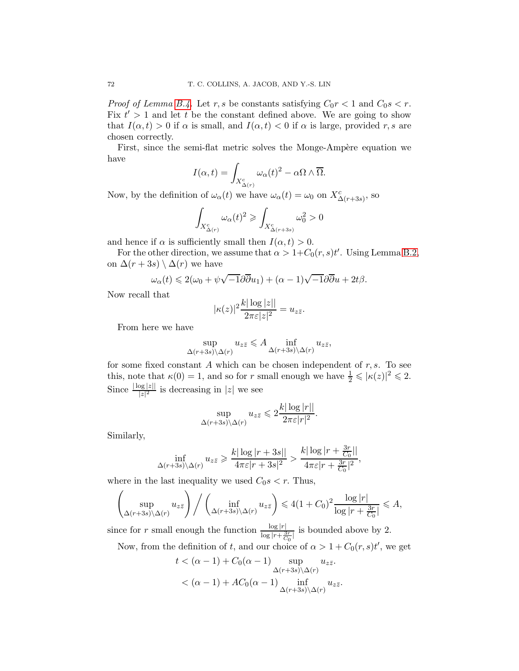*Proof of Lemma [B.4.](#page-70-0)* Let r, s be constants satisfying  $C_0r < 1$  and  $C_0s < r$ . Fix  $t' > 1$  and let t be the constant defined above. We are going to show that  $I(\alpha, t) > 0$  if  $\alpha$  is small, and  $I(\alpha, t) < 0$  if  $\alpha$  is large, provided r, s are chosen correctly.

First, since the semi-flat metric solves the Monge-Ampère equation we have

$$
I(\alpha, t) = \int_{X_{\Delta(r)}^c} \omega_{\alpha}(t)^2 - \alpha \Omega \wedge \overline{\Omega}.
$$

Now, by the definition of  $\omega_{\alpha}(t)$  we have  $\omega_{\alpha}(t) = \omega_0$  on  $X_{\Delta(r+3s)}^c$ , so

$$
\int_{X_{\Delta(r)}^c}\omega_\alpha(t)^2\geqslant \int_{X_{\Delta(r+3s)}^c}\omega_0^2>0
$$

and hence if  $\alpha$  is sufficiently small then  $I(\alpha, t) > 0$ .

For the other direction, we assume that  $\alpha > 1+C_0(r,s)t'$ . Using Lemma [B.2,](#page-69-1) on  $\Delta(r+3s)\setminus\Delta(r)$  we have

$$
\omega_{\alpha}(t) \leq 2(\omega_0 + \psi \sqrt{-1} \partial \overline{\partial} u_1) + (\alpha - 1) \sqrt{-1} \partial \overline{\partial} u + 2t \beta.
$$

Now recall that

$$
|\kappa(z)|^2 \frac{k|\log|z||}{2\pi\varepsilon|z|^2} = u_{z\bar{z}}.
$$

From here we have

$$
\sup_{\Delta(r+3s)\setminus\Delta(r)} u_{z\bar{z}} \leqslant A \inf_{\Delta(r+3s)\setminus\Delta(r)} u_{z\bar{z}},
$$

for some fixed constant A which can be chosen independent of  $r, s$ . To see this, note that  $\kappa(0) = 1$ , and so for r small enough we have  $\frac{1}{2} \leqslant |\kappa(z)|^2 \leqslant 2$ . Since  $\frac{\lfloor \log |z| \rfloor}{|z|^2}$  is decreasing in  $|z|$  we see

$$
\sup_{\Delta(r+3s)\setminus\Delta(r)} u_{z\bar{z}} \leqslant 2\frac{k|\log|r||}{2\pi\varepsilon|r|^2}.
$$

Similarly,

$$
\inf_{\Delta(r+3s)\setminus\Delta(r)} u_{z\bar{z}} \geqslant \frac{k|\log|r+3s||}{4\pi\varepsilon|r+3s|^2} > \frac{k|\log|r+\frac{3r}{C_0}||}{4\pi\varepsilon|r+\frac{3r}{C_0}|^2},
$$

where in the last inequality we used  $C_0s < r$ . Thus,

$$
\left(\sup_{\Delta(r+3s)\backslash \Delta(r)} u_{z\bar{z}}\right) \bigg/ \left(\inf_{\Delta(r+3s)\backslash \Delta(r)} u_{z\bar{z}}\right) \leqslant 4(1+C_0)^2 \frac{\log |r|}{\log |r+\frac{3r}{C_0}|} \leqslant A,
$$

since for r small enough the function  $\frac{\log |r|}{\log |r + \frac{3r}{C_0}|}$  is bounded above by 2.

Now, from the definition of t, and our choice of  $\alpha > 1 + C_0(r, s)t'$ , we get

$$
t < (\alpha - 1) + C_0(\alpha - 1) \sup_{\Delta(r+3s)\setminus\Delta(r)} u_{z\bar{z}}.
$$
  

$$
< (\alpha - 1) + AC_0(\alpha - 1) \inf_{\Delta(r+3s)\setminus\Delta(r)} u_{z\bar{z}}.
$$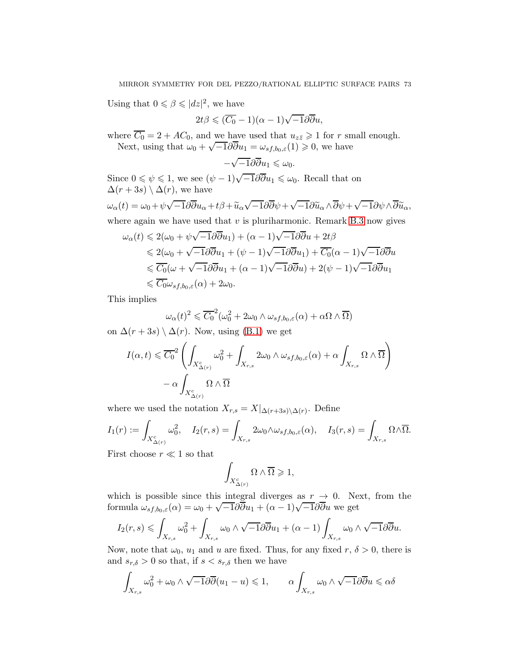Using that  $0 \le \beta \le |dz|^2$ , we have

$$
2t\beta \leqslant (\overline{C_0} - 1)(\alpha - 1)\sqrt{-1}\partial \overline{\partial} u,
$$

where  $C_0 = 2 + AC_0$ , and we have used that  $u_{z\bar{z}} \geq 1$  for r small enough. Next, using that  $\omega_0 + \sqrt{-1} \partial \overline{\partial} u_1 = \omega_{sf,b_0,\varepsilon}(1) \geq 0$ , we have

$$
-\sqrt{-1}\partial\overline{\partial}u_1\leqslant\omega_0.
$$

Since  $0 \leq \psi \leq 1$ , we see  $(\psi - 1)\sqrt{-1}\partial \overline{\partial} u_1 \leq u_0$ . Recall that on  $\Delta(r+3s)\setminus \Delta(r)$ , we have

$$
\omega_{\alpha}(t) = \omega_0 + \psi \sqrt{-1} \partial \overline{\partial} u_{\alpha} + t\beta + \widetilde{u}_{\alpha} \sqrt{-1} \partial \overline{\partial} \psi + \sqrt{-1} \partial \widetilde{u}_{\alpha} \wedge \overline{\partial} \psi + \sqrt{-1} \partial \psi \wedge \overline{\partial} \widetilde{u}_{\alpha},
$$

where again we have used that  $v$  is pluriharmonic. Remark [B.3](#page-70-0) now gives

$$
\omega_{\alpha}(t) \leq 2(\omega_{0} + \psi\sqrt{-1}\partial\overline{\partial}u_{1}) + (\alpha - 1)\sqrt{-1}\partial\overline{\partial}u + 2t\beta
$$
  
\n
$$
\leq 2(\omega_{0} + \sqrt{-1}\partial\overline{\partial}u_{1} + (\psi - 1)\sqrt{-1}\partial\overline{\partial}u_{1}) + \overline{C_{0}}(\alpha - 1)\sqrt{-1}\partial\overline{\partial}u
$$
  
\n
$$
\leq \overline{C_{0}}(\omega + \sqrt{-1}\partial\overline{\partial}u_{1} + (\alpha - 1)\sqrt{-1}\partial\overline{\partial}u) + 2(\psi - 1)\sqrt{-1}\partial\overline{\partial}u_{1}
$$
  
\n
$$
\leq \overline{C_{0}}\omega_{sf,b_{0},\varepsilon}(\alpha) + 2\omega_{0}.
$$

This implies

$$
\omega_{\alpha}(t)^{2} \leq \overline{C_{0}}^{2}(\omega_{0}^{2} + 2\omega_{0} \wedge \omega_{sf,b_{0},\varepsilon}(\alpha) + \alpha \Omega \wedge \overline{\Omega})
$$

on  $\Delta(r+3s) \setminus \Delta(r)$ . Now, using [\(B.1\)](#page-69-0) we get

$$
I(\alpha, t) \leq \overline{C_0}^2 \left( \int_{X_{\Delta(r)}^c} \omega_0^2 + \int_{X_{r,s}} 2\omega_0 \wedge \omega_{sf,b_0,\varepsilon}(\alpha) + \alpha \int_{X_{r,s}} \Omega \wedge \overline{\Omega} \right) - \alpha \int_{X_{\Delta(r)}^c} \Omega \wedge \overline{\Omega}
$$

where we used the notation  $X_{r,s} = X|_{\Delta(r+3s)\setminus \Delta(r)}$ . Define

$$
I_1(r) := \int_{X_{\Delta(r)}^c} \omega_0^2, \quad I_2(r,s) = \int_{X_{r,s}} 2\omega_0 \wedge \omega_{sf,b_0,\varepsilon}(\alpha), \quad I_3(r,s) = \int_{X_{r,s}} \Omega \wedge \overline{\Omega}.
$$

First choose  $r \ll 1$  so that

$$
\int_{X^c_{\Delta(r)}} \Omega \wedge \overline{\Omega} \geqslant 1,
$$

which is possible since this integral diverges as  $r \to 0$ . Next, from the formula  $\omega_{sf,b_0,\varepsilon}(\alpha) = \omega_0 + \sqrt{-1}\partial\overline{\partial}u_1 + (\alpha - 1)\sqrt{-1}\partial\overline{\partial}u$  we get

$$
I_2(r,s) \leqslant \int_{X_{r,s}} \omega_0^2 + \int_{X_{r,s}} \omega_0 \wedge \sqrt{-1} \partial \overline{\partial} u_1 + (\alpha - 1) \int_{X_{r,s}} \omega_0 \wedge \sqrt{-1} \partial \overline{\partial} u.
$$

Now, note that  $\omega_0$ ,  $u_1$  and u are fixed. Thus, for any fixed r,  $\delta > 0$ , there is and  $s_{r,\delta} > 0$  so that, if  $s < s_{r,\delta}$  then we have

$$
\int_{X_{r,s}} \omega_0^2 + \omega_0 \wedge \sqrt{-1} \partial \overline{\partial}(u_1 - u) \leq 1, \qquad \alpha \int_{X_{r,s}} \omega_0 \wedge \sqrt{-1} \partial \overline{\partial} u \leq \alpha \delta
$$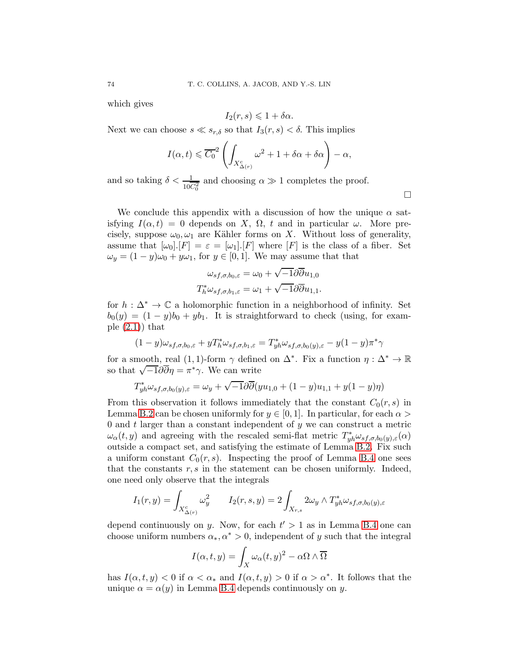which gives

$$
I_2(r,s) \leq 1 + \delta \alpha.
$$

Next we can choose  $s \ll s_{r,\delta}$  so that  $I_3(r, s) < \delta$ . This implies

$$
I(\alpha, t) \leq \overline{C_0}^2 \left( \int_{X_{\Delta(r)}^c} \omega^2 + 1 + \delta \alpha + \delta \alpha \right) - \alpha,
$$

and so taking  $\delta < \frac{1}{10C_0^2}$  and choosing  $\alpha \gg 1$  completes the proof.

We conclude this appendix with a discussion of how the unique  $\alpha$  satisfying  $I(\alpha, t) = 0$  depends on X,  $\Omega$ , t and in particular  $\omega$ . More precisely, suppose  $\omega_0, \omega_1$  are Kähler forms on X. Without loss of generality, assume that  $[\omega_0][F] = \varepsilon = [\omega_1][F]$  where  $[F]$  is the class of a fiber. Set  $\omega_y = (1 - y)\omega_0 + y\omega_1$ , for  $y \in [0, 1]$ . We may assume that that

$$
\omega_{sf,\sigma,b_0,\varepsilon} = \omega_0 + \sqrt{-1}\partial\overline{\partial}u_{1,0}
$$

$$
T_h^*\omega_{sf,\sigma,b_1,\varepsilon} = \omega_1 + \sqrt{-1}\partial\overline{\partial}u_{1,1}.
$$

for  $h : \Delta^* \to \mathbb{C}$  a holomorphic function in a neighborhood of infinity. Set  $b_0(y) = (1 - y)b_0 + yb_1$ . It is straightforward to check (using, for example  $(2.1)$  that

$$
(1-y)\omega_{sf,\sigma,b_0,\varepsilon} + yT_h^*\omega_{sf,\sigma,b_1,\varepsilon} = T_{yh}^*\omega_{sf,\sigma,b_0(y),\varepsilon} - y(1-y)\pi^*\gamma
$$

for a smooth, real (1, 1)-form  $\gamma$  defined on  $\Delta^*$ . Fix a function  $\eta : \Delta^* \to \mathbb{R}$ so that  $\sqrt{-1}\partial\overline{\partial}\eta = \pi^*\gamma$ . We can write

$$
T_{yh}^* \omega_{sf,\sigma,b_0(y),\varepsilon} = \omega_y + \sqrt{-1}\partial \overline{\partial}(yu_{1,0} + (1-y)u_{1,1} + y(1-y)\eta)
$$

From this observation it follows immediately that the constant  $C_0(r, s)$  in Lemma [B.2](#page-69-1) can be chosen uniformly for  $y \in [0, 1]$ . In particular, for each  $\alpha >$ 0 and  $t$  larger than a constant independent of  $y$  we can construct a metric  $\omega_{\alpha}(t, y)$  and agreeing with the rescaled semi-flat metric  $T_{yh}^* \omega_{sf, \sigma, b_0(y), \varepsilon}(\alpha)$ outside a compact set, and satisfying the estimate of Lemma [B.2.](#page-69-1) Fix such a uniform constant  $C_0(r, s)$ . Inspecting the proof of Lemma [B.4](#page-70-1) one sees that the constants  $r, s$  in the statement can be chosen uniformly. Indeed, one need only observe that the integrals

$$
I_1(r,y) = \int_{X_{\Delta(r)}^c} \omega_y^2 \qquad I_2(r,s,y) = 2 \int_{X_{r,s}} 2\omega_y \wedge T_{yh}^* \omega_{sf,\sigma,b_0(y),\varepsilon}
$$

depend continuously on y. Now, for each  $t' > 1$  as in Lemma [B.4](#page-70-1) one can choose uniform numbers  $\alpha_*, \alpha^* > 0$ , independent of y such that the integral

$$
I(\alpha, t, y) = \int_X \omega_{\alpha}(t, y)^2 - \alpha \Omega \wedge \overline{\Omega}
$$

has  $I(\alpha, t, y) < 0$  if  $\alpha < \alpha_*$  and  $I(\alpha, t, y) > 0$  if  $\alpha > \alpha^*$ . It follows that the unique  $\alpha = \alpha(y)$  in Lemma [B.4](#page-70-1) depends continuously on y.

 $\Box$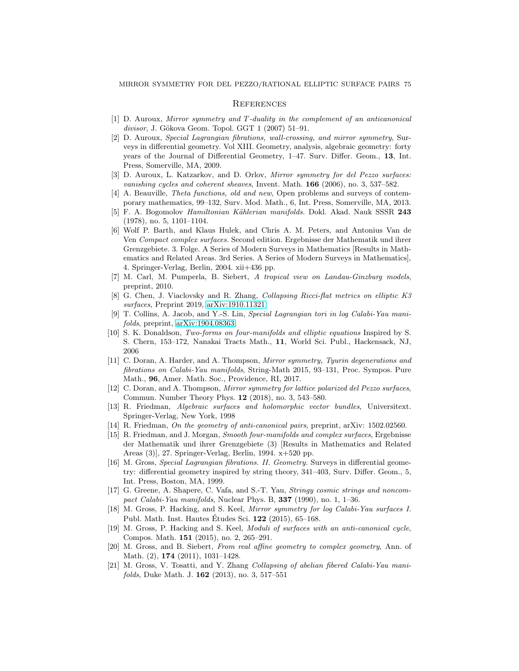## **REFERENCES**

- [1] D. Auroux, Mirror symmetry and T -duality in the complement of an anticanonical  $divisor$ , J. Gökova Geom. Topol. GGT 1 (2007) 51–91.
- [2] D. Auroux, Special Lagrangian fibrations, wall-crossing, and mirror symmetry, Surveys in differential geometry. Vol XIII. Geometry, analysis, algebraic geometry: forty years of the Journal of Differential Geometry, 1–47. Surv. Differ. Geom., 13, Int. Press, Somerville, MA, 2009.
- [3] D. Auroux, L. Katzarkov, and D. Orlov, Mirror symmetry for del Pezzo surfaces: vanishing cycles and coherent sheaves, Invent. Math. 166 (2006), no. 3, 537–582.
- [4] A. Beauville, Theta functions, old and new, Open problems and surveys of contemporary mathematics, 99–132, Surv. Mod. Math., 6, Int. Press, Somerville, MA, 2013.
- [5] F. A. Bogomolov *Hamiltonian Kählerian manifolds*. Dokl. Akad. Nauk SSSR 243 (1978), no. 5, 1101–1104.
- [6] Wolf P. Barth, and Klaus Hulek, and Chris A. M. Peters, and Antonius Van de Ven Compact complex surfaces. Second edition. Ergebnisse der Mathematik und ihrer Grenzgebiete. 3. Folge. A Series of Modern Surveys in Mathematics [Results in Mathematics and Related Areas. 3rd Series. A Series of Modern Surveys in Mathematics], 4. Springer-Verlag, Berlin, 2004. xii+436 pp.
- [7] M. Carl, M. Pumperla, B. Siebert, A tropical view on Landau-Ginzburg models, preprint, 2010.
- [8] G. Chen, J. Viaclovsky and R. Zhang, Collapsing Ricci-flat metrics on elliptic K3 surfaces, Preprint 2019, [arXiv:1910.11321.](http://arxiv.org/abs/1910.11321)
- [9] T. Collins, A. Jacob, and Y.-S. Lin, Special Lagrangian tori in log Calabi-Yau manifolds, preprint, [arXiv:1904.08363.](http://arxiv.org/abs/1904.08363)
- [10] S. K. Donaldson, Two-forms on four-manifolds and elliptic equations Inspired by S. S. Chern, 153–172, Nanakai Tracts Math., 11, World Sci. Publ., Hackensack, NJ, 2006
- [11] C. Doran, A. Harder, and A. Thompson, Mirror symmetry, Tyurin degenerations and fibrations on Calabi-Yau manifolds, String-Math 2015, 93–131, Proc. Sympos. Pure Math., 96, Amer. Math. Soc., Providence, RI, 2017.
- [12] C. Doran, and A. Thompson, Mirror symmetry for lattice polarized del Pezzo surfaces, Commun. Number Theory Phys. 12 (2018), no. 3, 543–580.
- [13] R. Friedman, Algebraic surfaces and holomorphic vector bundles, Universitext. Springer-Verlag, New York, 1998
- [14] R. Friedman, On the geometry of anti-canonical pairs, preprint, arXiv: 1502.02560.
- [15] R. Friedman, and J. Morgan, Smooth four-manifolds and complex surfaces, Ergebnisse der Mathematik und ihrer Grenzgebiete (3) [Results in Mathematics and Related Areas (3)], 27. Springer-Verlag, Berlin, 1994. x+520 pp.
- [16] M. Gross, Special Lagrangian fibrations. II. Geometry. Surveys in differential geometry: differential geometry inspired by string theory, 341–403, Surv. Differ. Geom., 5, Int. Press, Boston, MA, 1999.
- [17] G. Greene, A. Shapere, C. Vafa, and S.-T. Yau, Stringy cosmic strings and noncompact Calabi-Yau manifolds, Nuclear Phys. B, 337 (1990), no. 1, 1-36.
- [18] M. Gross, P. Hacking, and S. Keel, Mirror symmetry for log Calabi-Yau surfaces I. Publ. Math. Inst. Hautes Études Sci.  $122$  (2015), 65–168.
- [19] M. Gross, P. Hacking and S. Keel, Moduli of surfaces with an anti-canonical cycle, Compos. Math. 151 (2015), no. 2, 265–291.
- [20] M. Gross, and B. Siebert, From real affine geometry to complex geometry, Ann. of Math. (2), 174 (2011), 1031–1428.
- [21] M. Gross, V. Tosatti, and Y. Zhang Collapsing of abelian fibered Calabi-Yau manifolds, Duke Math. J. 162 (2013), no. 3, 517–551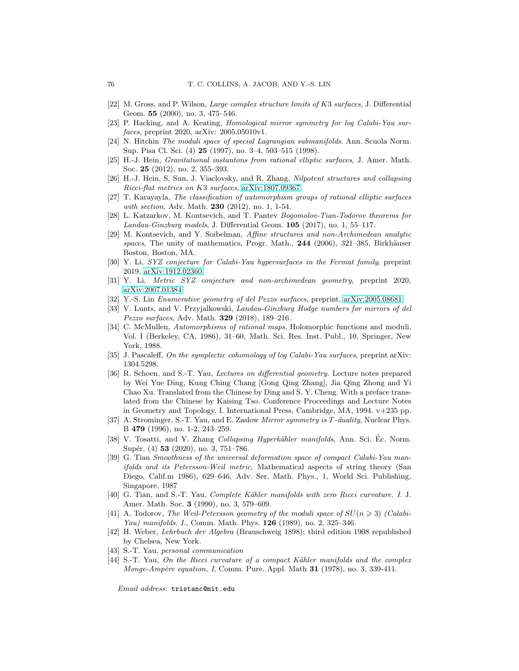- [22] M. Gross, and P. Wilson, Large complex structure limits of K3 surfaces, J. Differential Geom. 55 (2000), no. 3, 475–546.
- [23] P. Hacking, and A. Keating, Homological mirror symmetry for log Calabi-Yau surfaces, preprint 2020, arXiv: 2005.05010v1.
- [24] N. Hitchin The moduli space of special Lagrangian submanifolds. Ann. Scuola Norm. Sup. Pisa Cl. Sci. (4) 25 (1997), no. 3–4, 503–515 (1998).
- [25] H.-J. Hein, Gravitational instantons from rational elliptic surfaces, J. Amer. Math. Soc. 25 (2012), no. 2, 355–393.
- [26] H.-J. Hein, S. Sun, J. Viaclovsky, and R. Zhang, Nilpotent structures and collapsing Ricci-flat metrics on K3 surfaces, [arXiv:1807.09367](http://arxiv.org/abs/1807.09367)
- [27] T. Karayayla, The classification of automorphism groups of rational elliptic surfaces with section, Adv. Math. **230** (2012), no. 1, 1-54.
- [28] L. Katzarkov, M. Kontsevich, and T. Pantev Bogomolov-Tian-Todorov theorems for Landau-Ginzburg models, J. Differential Geom. 105 (2017), no. 1, 55–117.
- [29] M. Kontsevich, and Y. Soibelman, Affine structures and non-Archimedean analytic spaces, The unity of mathematics, Progr. Math.,  $244$  (2006), 321–385, Birkhäuser Boston, Boston, MA.
- [30] Y. Li, SYZ conjecture for Calabi-Yau hypersurfaces in the Fermat family, preprint 2019, [arXiv:1912.02360.](http://arxiv.org/abs/1912.02360)
- [31] Y. Li, Metric SYZ conjecture and non-archimedean geometry, preprint 2020, [arXiv:2007.01384](http://arxiv.org/abs/2007.01384)
- [32] Y.-S. Lin Enumerative geometry of del Pezzo surfaces, preprint, [arXiv:2005.08681](http://arxiv.org/abs/2005.08681)
- [33] V. Lunts, and V. Przyjalkowski, Landau-Ginzburg Hodge numbers for mirrors of del Pezzo surfaces, Adv. Math. 329 (2018), 189–216.
- [34] C. McMullen, Automorphisms of rational maps, Holomorphic functions and moduli, Vol. I (Berkeley, CA, 1986), 31–60, Math. Sci. Res. Inst. Publ., 10, Springer, New York, 1988.
- [35] J. Pascaleff, On the symplectic cohomology of log Calabi-Yau surfaces, preprint arXiv: 1304.5298.
- [36] R. Schoen, and S.-T. Yau, Lectures on differential geometry. Lecture notes prepared by Wei Yue Ding, Kung Ching Chang [Gong Qing Zhang], Jia Qing Zhong and Yi Chao Xu. Translated from the Chinese by Ding and S. Y. Cheng. With a preface translated from the Chinese by Kaising Tso. Conference Proceedings and Lecture Notes in Geometry and Topology, I. International Press, Cambridge, MA, 1994. v+235 pp.
- [37] A. Strominger, S.-T. Yau, and E. Zaslow Mirror symmetry is T -duality, Nuclear Phys. B 479 (1996), no. 1-2, 243–259.
- [38] V. Tosatti, and Y. Zhang Collapsing Hyperkähler manifolds, Ann. Sci. Éc. Norm. Supér. (4) **53** (2020), no. 3, 751–786.
- [39] G. Tian Smoothness of the universal deformation space of compact Calabi-Yau manifolds and its Petersson-Weil metric, Mathematical aspects of string theory (San Diego, Calif.m 1986), 629–646, Adv. Ser. Math. Phys., 1, World Sci. Publishing, Singapore, 1987
- [40] G. Tian, and S.-T. Yau, *Complete Kähler manifolds with zero Ricci curvature. I. J.* Amer. Math. Soc. 3 (1990), no. 3, 579–609.
- [41] A. Todorov, The Weil-Petersson geometry of the moduli space of  $SU(n \geq 3)$  (Calabi-Yau) manifolds. I., Comm. Math. Phys. **126** (1989), no. 2, 325–346.
- [42] H. Weber, Lehrbuch der Algebra (Brauschweig 1898); third edition 1908 republished by Chelsea, New York.
- [43] S.-T. Yau, personal communication
- [44] S.-T. Yau, On the Ricci curvature of a compact Kähler manifolds and the complex *Monge-Ampère equation, I, Comm. Pure. Appl. Math 31 (1978), no. 3, 339-411.*

Email address: tristanc@mit.edu